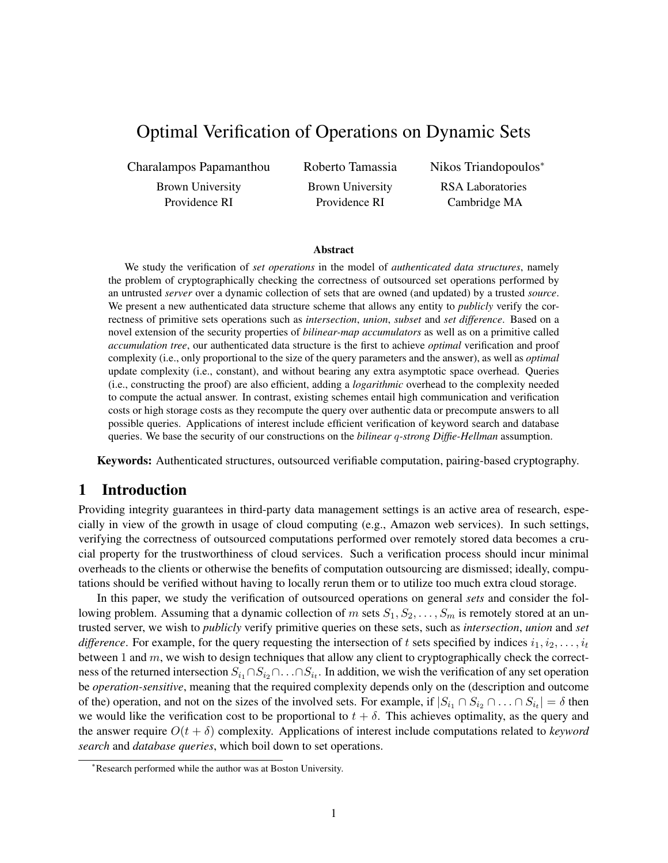# Optimal Verification of Operations on Dynamic Sets

Charalampos Papamanthou

Brown University Providence RI

Roberto Tamassia

Brown University Providence RI

Nikos Triandopoulos<sup>∗</sup>

RSA Laboratories Cambridge MA

#### Abstract

We study the verification of *set operations* in the model of *authenticated data structures*, namely the problem of cryptographically checking the correctness of outsourced set operations performed by an untrusted *server* over a dynamic collection of sets that are owned (and updated) by a trusted *source*. We present a new authenticated data structure scheme that allows any entity to *publicly* verify the correctness of primitive sets operations such as *intersection*, *union*, *subset* and *set difference*. Based on a novel extension of the security properties of *bilinear-map accumulators* as well as on a primitive called *accumulation tree*, our authenticated data structure is the first to achieve *optimal* verification and proof complexity (i.e., only proportional to the size of the query parameters and the answer), as well as *optimal* update complexity (i.e., constant), and without bearing any extra asymptotic space overhead. Queries (i.e., constructing the proof) are also efficient, adding a *logarithmic* overhead to the complexity needed to compute the actual answer. In contrast, existing schemes entail high communication and verification costs or high storage costs as they recompute the query over authentic data or precompute answers to all possible queries. Applications of interest include efficient verification of keyword search and database queries. We base the security of our constructions on the *bilinear* q*-strong Diffie-Hellman* assumption.

Keywords: Authenticated structures, outsourced verifiable computation, pairing-based cryptography.

# 1 Introduction

Providing integrity guarantees in third-party data management settings is an active area of research, especially in view of the growth in usage of cloud computing (e.g., Amazon web services). In such settings, verifying the correctness of outsourced computations performed over remotely stored data becomes a crucial property for the trustworthiness of cloud services. Such a verification process should incur minimal overheads to the clients or otherwise the benefits of computation outsourcing are dismissed; ideally, computations should be verified without having to locally rerun them or to utilize too much extra cloud storage.

In this paper, we study the verification of outsourced operations on general *sets* and consider the following problem. Assuming that a dynamic collection of m sets  $S_1, S_2, \ldots, S_m$  is remotely stored at an untrusted server, we wish to *publicly* verify primitive queries on these sets, such as *intersection*, *union* and *set difference*. For example, for the query requesting the intersection of t sets specified by indices  $i_1, i_2, \ldots, i_t$ between 1 and  $m$ , we wish to design techniques that allow any client to cryptographically check the correctness of the returned intersection  $S_{i_1} \cap S_{i_2} \cap \ldots \cap S_{i_t}$ . In addition, we wish the verification of any set operation be *operation-sensitive*, meaning that the required complexity depends only on the (description and outcome of the) operation, and not on the sizes of the involved sets. For example, if  $|S_{i_1} \cap S_{i_2} \cap \ldots \cap S_{i_t}| = \delta$  then we would like the verification cost to be proportional to  $t + \delta$ . This achieves optimality, as the query and the answer require  $O(t + \delta)$  complexity. Applications of interest include computations related to *keyword search* and *database queries*, which boil down to set operations.

<sup>∗</sup>Research performed while the author was at Boston University.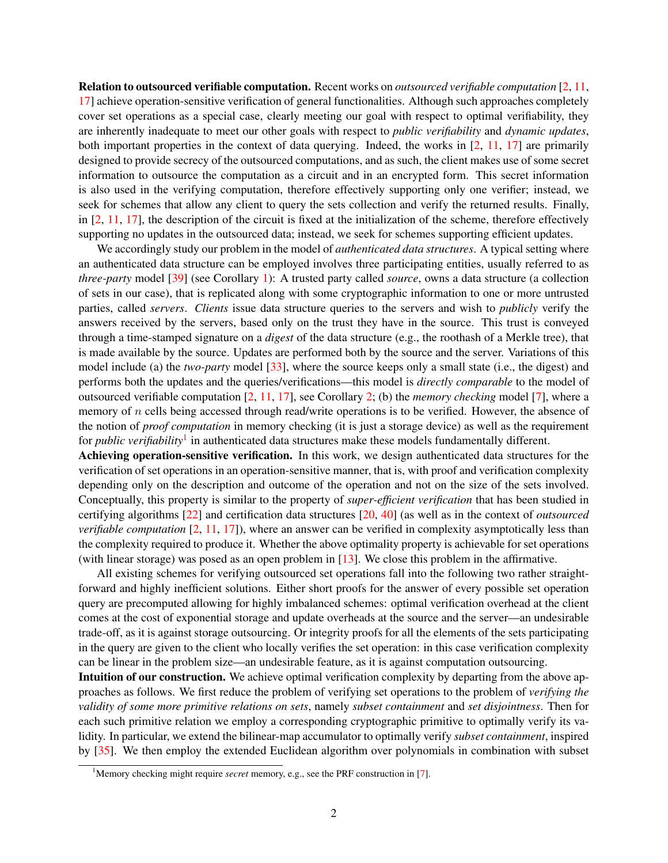Relation to outsourced verifiable computation. Recent works on *outsourced verifiable computation* [\[2,](#page-13-0) [11,](#page-13-1) [17\]](#page-13-2) achieve operation-sensitive verification of general functionalities. Although such approaches completely cover set operations as a special case, clearly meeting our goal with respect to optimal verifiability, they are inherently inadequate to meet our other goals with respect to *public verifiability* and *dynamic updates*, both important properties in the context of data querying. Indeed, the works in  $[2, 11, 17]$  $[2, 11, 17]$  $[2, 11, 17]$  $[2, 11, 17]$  $[2, 11, 17]$  are primarily designed to provide secrecy of the outsourced computations, and as such, the client makes use of some secret information to outsource the computation as a circuit and in an encrypted form. This secret information is also used in the verifying computation, therefore effectively supporting only one verifier; instead, we seek for schemes that allow any client to query the sets collection and verify the returned results. Finally, in  $[2, 11, 17]$  $[2, 11, 17]$  $[2, 11, 17]$  $[2, 11, 17]$  $[2, 11, 17]$ , the description of the circuit is fixed at the initialization of the scheme, therefore effectively supporting no updates in the outsourced data; instead, we seek for schemes supporting efficient updates.

We accordingly study our problem in the model of *authenticated data structures*. A typical setting where an authenticated data structure can be employed involves three participating entities, usually referred to as *three-party* model [\[39\]](#page-15-0) (see Corollary [1\)](#page-10-0): A trusted party called *source*, owns a data structure (a collection of sets in our case), that is replicated along with some cryptographic information to one or more untrusted parties, called *servers*. *Clients* issue data structure queries to the servers and wish to *publicly* verify the answers received by the servers, based only on the trust they have in the source. This trust is conveyed through a time-stamped signature on a *digest* of the data structure (e.g., the roothash of a Merkle tree), that is made available by the source. Updates are performed both by the source and the server. Variations of this model include (a) the *two-party* model [\[33\]](#page-14-0), where the source keeps only a small state (i.e., the digest) and performs both the updates and the queries/verifications—this model is *directly comparable* to the model of outsourced verifiable computation [\[2,](#page-13-0) [11,](#page-13-1) [17\]](#page-13-2), see Corollary [2;](#page-11-0) (b) the *memory checking* model [\[7\]](#page-13-3), where a memory of n cells being accessed through read/write operations is to be verified. However, the absence of the notion of *proof computation* in memory checking (it is just a storage device) as well as the requirement for *public verifiability*[1](#page-1-0) in authenticated data structures make these models fundamentally different.

Achieving operation-sensitive verification. In this work, we design authenticated data structures for the verification of set operations in an operation-sensitive manner, that is, with proof and verification complexity depending only on the description and outcome of the operation and not on the size of the sets involved. Conceptually, this property is similar to the property of *super-efficient verification* that has been studied in certifying algorithms [\[22\]](#page-14-1) and certification data structures [\[20,](#page-14-2) [40\]](#page-15-1) (as well as in the context of *outsourced verifiable computation* [\[2,](#page-13-0) [11,](#page-13-1) [17\]](#page-13-2)), where an answer can be verified in complexity asymptotically less than the complexity required to produce it. Whether the above optimality property is achievable for set operations (with linear storage) was posed as an open problem in [\[13\]](#page-13-4). We close this problem in the affirmative.

All existing schemes for verifying outsourced set operations fall into the following two rather straightforward and highly inefficient solutions. Either short proofs for the answer of every possible set operation query are precomputed allowing for highly imbalanced schemes: optimal verification overhead at the client comes at the cost of exponential storage and update overheads at the source and the server—an undesirable trade-off, as it is against storage outsourcing. Or integrity proofs for all the elements of the sets participating in the query are given to the client who locally verifies the set operation: in this case verification complexity can be linear in the problem size—an undesirable feature, as it is against computation outsourcing.

Intuition of our construction. We achieve optimal verification complexity by departing from the above approaches as follows. We first reduce the problem of verifying set operations to the problem of *verifying the validity of some more primitive relations on sets*, namely *subset containment* and *set disjointness*. Then for each such primitive relation we employ a corresponding cryptographic primitive to optimally verify its validity. In particular, we extend the bilinear-map accumulator to optimally verify *subset containment*, inspired by [\[35\]](#page-15-2). We then employ the extended Euclidean algorithm over polynomials in combination with subset

<span id="page-1-0"></span><sup>&</sup>lt;sup>1</sup>Memory checking might require *secret* memory, e.g., see the PRF construction in [\[7\]](#page-13-3).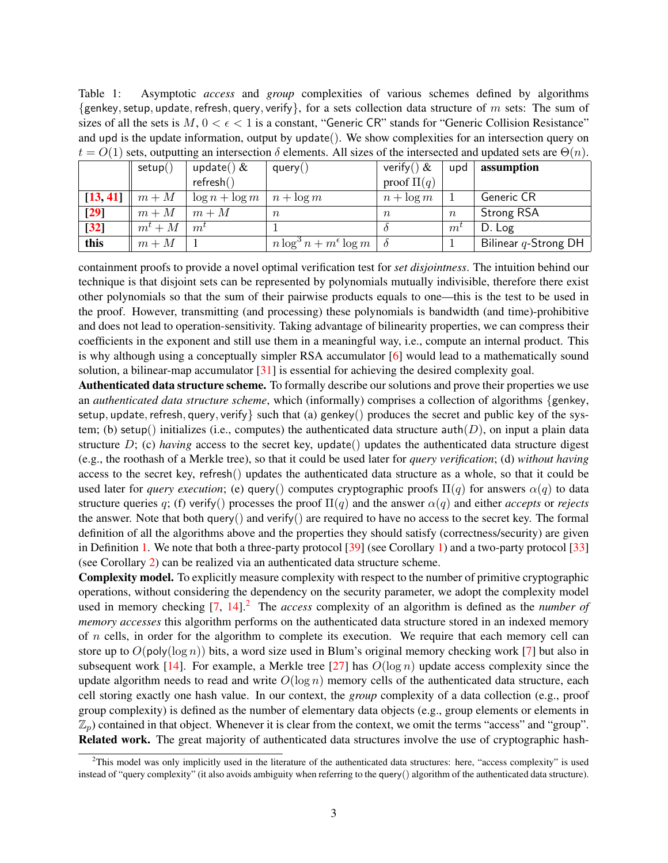<span id="page-2-1"></span>Table 1: Asymptotic *access* and *group* complexities of various schemes defined by algorithms {genkey, setup, update, refresh, query, verify}, for a sets collection data structure of m sets: The sum of sizes of all the sets is  $M, 0 < \epsilon < 1$  is a constant, "Generic CR" stands for "Generic Collision Resistance" and upd is the update information, output by update(). We show complexities for an intersection query on  $t = O(1)$  sets, outputting an intersection  $\delta$  elements. All sizes of the intersected and updated sets are  $\Theta(n)$ .

|          | setup() | update() $\&$     | query()                            | verify() $\&$  | upd              | assumption              |
|----------|---------|-------------------|------------------------------------|----------------|------------------|-------------------------|
|          |         | refresh()         |                                    | proof $\Pi(q)$ |                  |                         |
| [13, 41] | $m+M$   | $\log n + \log m$ | $n + \log m$                       | $n + \log m$   |                  | Generic CR              |
| $[29]$   | $m+M$   | $m+M$             | $\,n$                              | $\, n$         | $\boldsymbol{n}$ | <b>Strong RSA</b>       |
| $[32]$   | $m^t+M$ | $m^t$             |                                    |                | $m^{\iota}$      | D. Log                  |
| this     | $m+M$   |                   | $n \log^3 n + m^{\epsilon} \log m$ |                |                  | Bilinear $q$ -Strong DH |

containment proofs to provide a novel optimal verification test for *set disjointness*. The intuition behind our technique is that disjoint sets can be represented by polynomials mutually indivisible, therefore there exist other polynomials so that the sum of their pairwise products equals to one—this is the test to be used in the proof. However, transmitting (and processing) these polynomials is bandwidth (and time)-prohibitive and does not lead to operation-sensitivity. Taking advantage of bilinearity properties, we can compress their coefficients in the exponent and still use them in a meaningful way, i.e., compute an internal product. This is why although using a conceptually simpler RSA accumulator [\[6\]](#page-13-5) would lead to a mathematically sound solution, a bilinear-map accumulator [\[31\]](#page-14-5) is essential for achieving the desired complexity goal.

Authenticated data structure scheme. To formally describe our solutions and prove their properties we use an *authenticated data structure scheme*, which (informally) comprises a collection of algorithms {genkey, setup, update, refresh, query, verify such that (a) genkey() produces the secret and public key of the system; (b) setup() initializes (i.e., computes) the authenticated data structure auth(D), on input a plain data structure  $D$ ; (c) *having* access to the secret key, update() updates the authenticated data structure digest (e.g., the roothash of a Merkle tree), so that it could be used later for *query verification*; (d) *without having* access to the secret key, refresh() updates the authenticated data structure as a whole, so that it could be used later for *query execution*; (e) query() computes cryptographic proofs  $\Pi(q)$  for answers  $\alpha(q)$  to data structure queries q; (f) verify() processes the proof  $\Pi(q)$  and the answer  $\alpha(q)$  and either *accepts* or *rejects* the answer. Note that both query() and verify() are required to have no access to the secret key. The formal definition of all the algorithms above and the properties they should satisfy (correctness/security) are given in Definition [1.](#page-4-0) We note that both a three-party protocol [\[39\]](#page-15-0) (see Corollary [1\)](#page-10-0) and a two-party protocol [\[33\]](#page-14-0) (see Corollary [2\)](#page-11-0) can be realized via an authenticated data structure scheme.

Complexity model. To explicitly measure complexity with respect to the number of primitive cryptographic operations, without considering the dependency on the security parameter, we adopt the complexity model used in memory checking [\[7,](#page-13-3) [14\]](#page-13-6).[2](#page-2-0) The *access* complexity of an algorithm is defined as the *number of memory accesses* this algorithm performs on the authenticated data structure stored in an indexed memory of  $n$  cells, in order for the algorithm to complete its execution. We require that each memory cell can store up to  $O(poly(\log n))$  bits, a word size used in Blum's original memory checking work [\[7\]](#page-13-3) but also in subsequent work [\[14\]](#page-13-6). For example, a Merkle tree [\[27\]](#page-14-6) has  $O(\log n)$  update access complexity since the update algorithm needs to read and write  $O(\log n)$  memory cells of the authenticated data structure, each cell storing exactly one hash value. In our context, the *group* complexity of a data collection (e.g., proof group complexity) is defined as the number of elementary data objects (e.g., group elements or elements in  $\mathbb{Z}_p$ ) contained in that object. Whenever it is clear from the context, we omit the terms "access" and "group". Related work. The great majority of authenticated data structures involve the use of cryptographic hash-

<span id="page-2-0"></span><sup>&</sup>lt;sup>2</sup>This model was only implicitly used in the literature of the authenticated data structures: here, "access complexity" is used instead of "query complexity" (it also avoids ambiguity when referring to the query() algorithm of the authenticated data structure).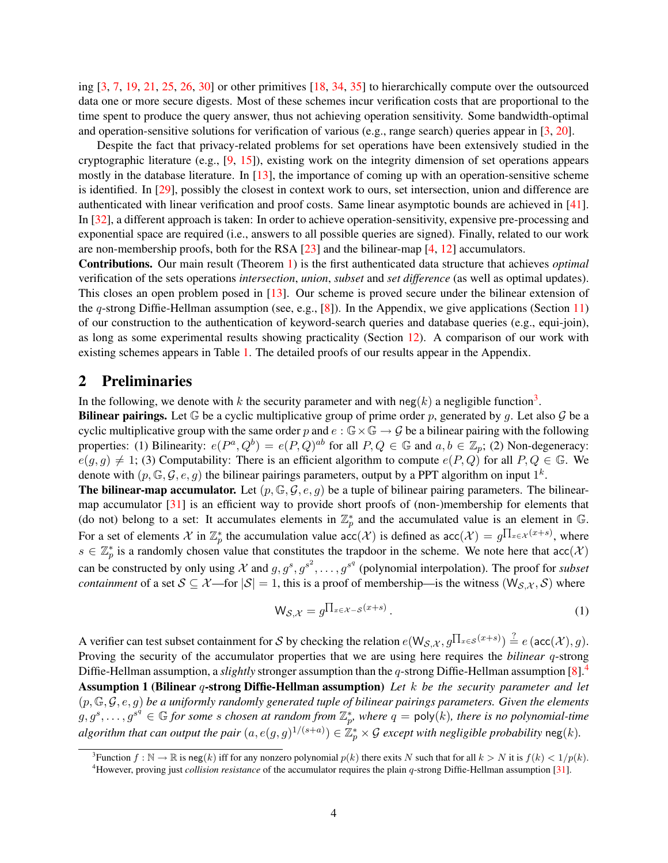ing [\[3,](#page-13-7) [7,](#page-13-3) [19,](#page-14-7) [21,](#page-14-8) [25,](#page-14-9) [26,](#page-14-10) [30\]](#page-14-11) or other primitives [\[18,](#page-14-12) [34,](#page-14-13) [35\]](#page-15-2) to hierarchically compute over the outsourced data one or more secure digests. Most of these schemes incur verification costs that are proportional to the time spent to produce the query answer, thus not achieving operation sensitivity. Some bandwidth-optimal and operation-sensitive solutions for verification of various (e.g., range search) queries appear in [\[3,](#page-13-7) [20\]](#page-14-2).

Despite the fact that privacy-related problems for set operations have been extensively studied in the cryptographic literature (e.g.,  $[9, 15]$  $[9, 15]$  $[9, 15]$ ), existing work on the integrity dimension of set operations appears mostly in the database literature. In  $[13]$ , the importance of coming up with an operation-sensitive scheme is identified. In [\[29\]](#page-14-3), possibly the closest in context work to ours, set intersection, union and difference are authenticated with linear verification and proof costs. Same linear asymptotic bounds are achieved in [\[41\]](#page-15-3). In [\[32\]](#page-14-4), a different approach is taken: In order to achieve operation-sensitivity, expensive pre-processing and exponential space are required (i.e., answers to all possible queries are signed). Finally, related to our work are non-membership proofs, both for the RSA  $[23]$  and the bilinear-map  $[4, 12]$  $[4, 12]$  $[4, 12]$  accumulators.

Contributions. Our main result (Theorem [1\)](#page-9-0) is the first authenticated data structure that achieves *optimal* verification of the sets operations *intersection*, *union*, *subset* and *set difference* (as well as optimal updates). This closes an open problem posed in [\[13\]](#page-13-4). Our scheme is proved secure under the bilinear extension of the q-strong Diffie-Hellman assumption (see, e.g.,  $[8]$ ). In the Appendix, we give applications (Section [11\)](#page-27-0) of our construction to the authentication of keyword-search queries and database queries (e.g., equi-join), as long as some experimental results showing practicality (Section [12\)](#page-28-0). A comparison of our work with existing schemes appears in Table [1.](#page-2-1) The detailed proofs of our results appear in the Appendix.

# <span id="page-3-2"></span>2 Preliminaries

In the following, we denote with k the security parameter and with neg(k) a negligible function<sup>[3](#page-3-0)</sup>.

**Bilinear pairings.** Let  $\mathbb{G}$  be a cyclic multiplicative group of prime order p, generated by q. Let also  $\mathcal{G}$  be a cyclic multiplicative group with the same order p and  $e : \mathbb{G} \times \mathbb{G} \to \mathcal{G}$  be a bilinear pairing with the following properties: (1) Bilinearity:  $e(P^a, Q^b) = e(P, Q)^{ab}$  for all  $P, Q \in \mathbb{G}$  and  $a, b \in \mathbb{Z}_p$ ; (2) Non-degeneracy:  $e(g, g) \neq 1$ ; (3) Computability: There is an efficient algorithm to compute  $e(P, Q)$  for all  $P, Q \in \mathbb{G}$ . We denote with  $(p, \mathbb{G}, \mathcal{G}, e, g)$  the bilinear pairings parameters, output by a PPT algorithm on input  $1^k$ .

**The bilinear-map accumulator.** Let  $(p, \mathbb{G}, \mathcal{G}, e, q)$  be a tuple of bilinear pairing parameters. The bilinearmap accumulator [\[31\]](#page-14-5) is an efficient way to provide short proofs of (non-)membership for elements that (do not) belong to a set: It accumulates elements in  $\mathbb{Z}_p^*$  and the accumulated value is an element in  $\mathbb{G}$ . For a set of elements X in  $\mathbb{Z}_p^*$  the accumulation value  $\text{acc}(\mathcal{X})$  is defined as  $\text{acc}(\mathcal{X}) = g^{\prod_{x \in \mathcal{X}}(x+s)}$ , where  $s \in \mathbb{Z}_p^*$  is a randomly chosen value that constitutes the trapdoor in the scheme. We note here that  $\operatorname{acc}(\mathcal{X})$ can be constructed by only using X and  $g, g^s, g^{s^2}, \ldots, g^{s^q}$  (polynomial interpolation). The proof for *subset containment* of a set  $S \subseteq \mathcal{X}$ —for  $|S| = 1$ , this is a proof of membership—is the witness  $(W_{S,\mathcal{X}}, S)$  where

<span id="page-3-4"></span><span id="page-3-3"></span>
$$
\mathsf{W}_{\mathcal{S},\mathcal{X}} = g^{\prod_{x \in \mathcal{X} - \mathcal{S}} (x+s)}.
$$
\n<sup>(1)</sup>

A verifier can test subset containment for S by checking the relation  $e(W_{\mathcal{S},\mathcal{X}}, g^{\prod_{x\in\mathcal{S}}(x+s)}) \stackrel{?}{=} e$  (acc(X), g). Proving the security of the accumulator properties that we are using here requires the *bilinear* q-strong Diffie-Hellman assumption, a *slightly* stronger assumption than the q-strong Diffie-Hellman assumption [\[8\]](#page-13-12).<sup>[4](#page-3-1)</sup> Assumption 1 (Bilinear q-strong Diffie-Hellman assumption) *Let* k *be the security parameter and let* (p, G, G, e, g) *be a uniformly randomly generated tuple of bilinear pairings parameters. Given the elements*  $g, g^s, \ldots, g^{s^q} \in \mathbb{G}$  for some s chosen at random from  $\mathbb{Z}_p^*$ , where  $q = \text{poly}(k)$ , there is no polynomial-time  $algorithm$  that can output the pair  $(a, e(g, g)^{1/(s+a)}) \in \mathbb{Z}_p^* \times \mathcal{G}$  except with negligible probability  $\mathsf{neg}(k).$ 

<span id="page-3-0"></span><sup>&</sup>lt;sup>3</sup> Function  $f : \mathbb{N} \to \mathbb{R}$  is neg(k) iff for any nonzero polynomial  $p(k)$  there exits N such that for all  $k > N$  it is  $f(k) < 1/p(k)$ .

<span id="page-3-1"></span><sup>4</sup>However, proving just *collision resistance* of the accumulator requires the plain q-strong Diffie-Hellman assumption [\[31\]](#page-14-5).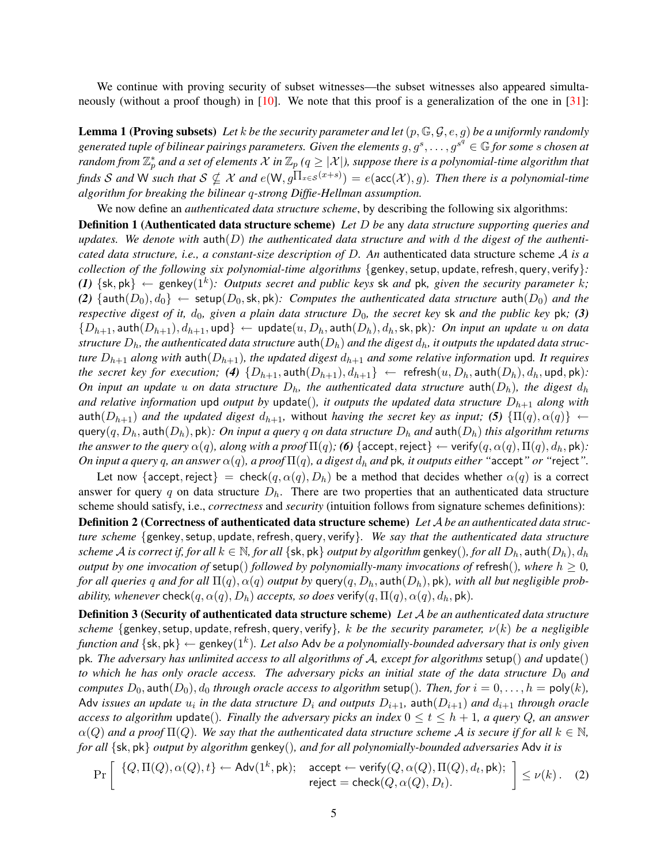We continue with proving security of subset witnesses—the subset witnesses also appeared simultaneously (without a proof though) in [\[10\]](#page-13-13). We note that this proof is a generalization of the one in [\[31\]](#page-14-5):

<span id="page-4-3"></span>**Lemma 1 (Proving subsets)** Let k be the security parameter and let  $(p, \mathbb{G}, \mathcal{G}, e, g)$  be a uniformly randomly generated tuple of bilinear pairings parameters. Given the elements  $g, g^s, \ldots, g^{s^q} \in \mathbb{G}$  for some  $s$  chosen at random from  $\mathbb{Z}_p^*$  and a set of elements  $\mathcal X$  in  $\mathbb{Z}_p$  ( $q\geq |\mathcal X|$ ), suppose there is a polynomial-time algorithm that finds S and W such that  $S \nsubseteq \mathcal{X}$  and  $e(W, g^{\prod_{x \in S}(x+s)}) = e(\mathsf{acc}(\mathcal{X}), g)$ . Then there is a polynomial-time *algorithm for breaking the bilinear* q*-strong Diffie-Hellman assumption.*

<span id="page-4-0"></span>We now define an *authenticated data structure scheme*, by describing the following six algorithms:

Definition 1 (Authenticated data structure scheme) *Let* D *be* any *data structure supporting queries and* updates. We denote with  $\text{auth}(D)$  the authenticated data structure and with d the digest of the authenti*cated data structure, i.e., a constant-size description of* D*. An* authenticated data structure scheme A *is a collection of the following six polynomial-time algorithms* {genkey,setup, update,refresh, query, verify}*:*  $(1)$   $\{sk, pk\}$   $\leftarrow$  genkey $(1^k)$ : Outputs secret and public keys sk and pk, given the security parameter k;  $(2)$  {auth $(D_0), d_0$ }  $\leftarrow$  setup $(D_0, \text{sk}, \text{pk})$ *: Computes the authenticated data structure* auth $(D_0)$  *and the respective digest of it,*  $d_0$ *, given a plain data structure*  $D_0$ *, the secret key* sk *and the public key* pk; (3)  ${D_{h+1}, \text{auth}(D_{h+1}), d_{h+1}, \text{upd}} \leftarrow \text{update}(u, D_h, \text{auth}(D_h), d_h, \text{sk}, \text{pk})$ *: On input an update u on data structure*  $D_h$ , the authenticated data structure auth $(D_h)$  and the digest  $d_h$ , it outputs the updated data struc*ture*  $D_{h+1}$  *along with* auth $(D_{h+1})$ *, the updated digest*  $d_{h+1}$  *and some relative information* upd. It requires *the secret key for execution;* (4)  $\{D_{h+1}, \text{auth}(D_{h+1}), d_{h+1}\}$  ← refresh $(u, D_h, \text{auth}(D_h), d_h, \text{upd}, \text{pk})$ : *On input an update u on data structure*  $D_h$ , the authenticated data structure auth $(D_h)$ , the digest  $d_h$ *and relative information* upd *output by* update()*, it outputs the updated data structure*  $D_{h+1}$  *along with* auth( $D_{h+1}$ ) *and the updated digest*  $d_{h+1}$ , without *having the secret key as input*; **(5)**  $\{\Pi(q), \alpha(q)\}$  ← query(q,  $D_h$ , auth( $D_h$ ), pk)*:* On input a query q on data structure  $D_h$  and auth( $D_h$ ) this algorithm returns *the answer to the query*  $\alpha(q)$ , along with a proof  $\Pi(q)$ ; (6) {accept, reject}  $\leftarrow$  verify $(q, \alpha(q), \Pi(q), d_h, \text{pk})$ : *On input a query q, an answer*  $\alpha(q)$ *, a proof*  $\Pi(q)$ *, a digest d<sub>h</sub> and* pk*, it outputs either "accept" or "reject".* 

Let now {accept, reject} = check $(q, \alpha(q), D_h)$  be a method that decides whether  $\alpha(q)$  is a correct answer for query q on data structure  $D<sub>h</sub>$ . There are two properties that an authenticated data structure scheme should satisfy, i.e., *correctness* and *security* (intuition follows from signature schemes definitions):

<span id="page-4-1"></span>Definition 2 (Correctness of authenticated data structure scheme) *Let* A *be an authenticated data structure scheme* {genkey, setup, update, refresh, query, verify}. We say that the authenticated data structure *scheme* A *is correct if, for all*  $k \in \mathbb{N}$ *, for all* {sk, pk} *output by algorithm* genkey()*, for all*  $D_h$ , auth( $D_h$ ),  $d_h$ *output by one invocation of* setup() *followed by polynomially-many invocations of* refresh()*, where*  $h \geq 0$ *, for all queries q and for all*  $\Pi(q)$ ,  $\alpha(q)$  *output by* query $(q, D_h)$ , auth $(D_h)$ , pk)*, with all but negligible probability, whenever* check $(q, \alpha(q), D_h)$  *accepts, so does* verify $(q, \Pi(q), \alpha(q), d_h, \text{pk})$ .

<span id="page-4-2"></span>Definition 3 (Security of authenticated data structure scheme) *Let* A *be an authenticated data structure scheme* {genkey, setup, update, refresh, query, verify}, k *be the security parameter,*  $\nu(k)$  *be a negligible*  $f$ unction and  $\{sk, pk\} \leftarrow$  genkey $(1^k)$ . Let also Adv *be a polynomially-bounded adversary that is only given* pk*. The adversary has unlimited access to all algorithms of* A*, except for algorithms* setup() *and* update() *to which he has only oracle access. The adversary picks an initial state of the data structure*  $D_0$  *and computes*  $D_0$ , auth $(D_0)$ ,  $d_0$  *through oracle access to algorithm* setup(). Then, for  $i = 0, \ldots, h = \text{poly}(k)$ , Adv *issues an update*  $u_i$  *in the data structure*  $D_i$  *and outputs*  $D_{i+1}$ ,  $\text{auth}(D_{i+1})$  *and*  $d_{i+1}$  *through oracle access to algorithm* update(*). Finally the adversary picks an index*  $0 \le t \le h + 1$ *, a query Q, an answer*  $\alpha(Q)$  and a proof  $\Pi(Q)$ . We say that the authenticated data structure scheme A is secure if for all  $k \in \mathbb{N}$ , *for all* {sk, pk} *output by algorithm* genkey()*, and for all polynomially-bounded adversaries* Adv *it is*

<span id="page-4-4"></span>
$$
\Pr\left[\begin{array}{cc} \{Q,\Pi(Q),\alpha(Q),t\}\leftarrow \mathsf{Adv}(1^k,\mathsf{pk}); & \mathsf{accept} \leftarrow \mathsf{verify}(Q,\alpha(Q),\Pi(Q),d_t,\mathsf{pk}); \\ \mathsf{reject}=\mathsf{check}(Q,\alpha(Q),D_t).\end{array}\right] \leq \nu(k)\,. \quad (2)
$$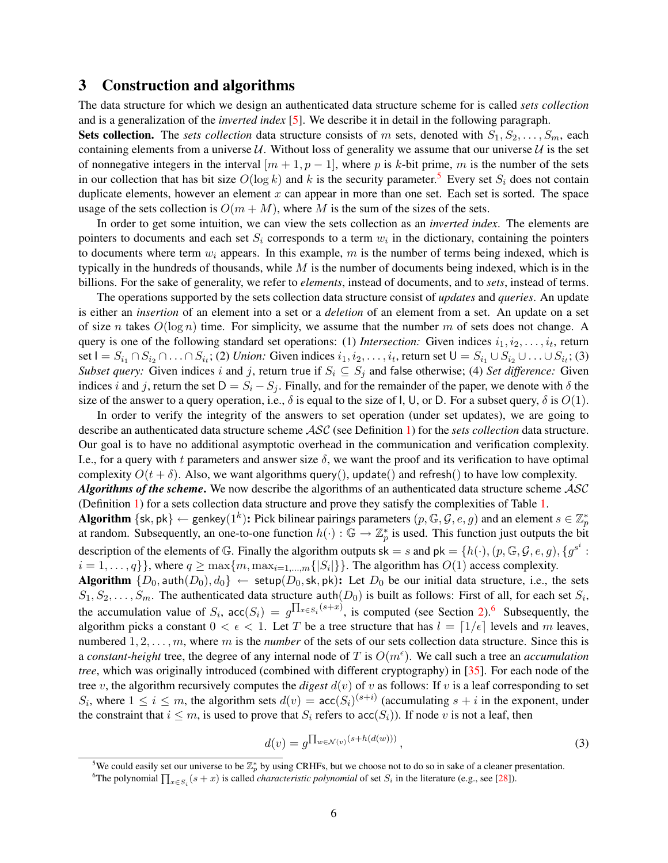# <span id="page-5-3"></span>3 Construction and algorithms

The data structure for which we design an authenticated data structure scheme for is called *sets collection* and is a generalization of the *inverted index* [\[5\]](#page-13-14). We describe it in detail in the following paragraph.

**Sets collection.** The *sets collection* data structure consists of m sets, denoted with  $S_1, S_2, \ldots, S_m$ , each containing elements from a universe  $U$ . Without loss of generality we assume that our universe  $U$  is the set of nonnegative integers in the interval  $[m + 1, p - 1]$ , where p is k-bit prime, m is the number of the sets in our collection that has bit size  $O(\log k)$  and k is the security parameter.<sup>[5](#page-5-0)</sup> Every set  $S_i$  does not contain duplicate elements, however an element  $x$  can appear in more than one set. Each set is sorted. The space usage of the sets collection is  $O(m + M)$ , where M is the sum of the sizes of the sets.

In order to get some intuition, we can view the sets collection as an *inverted index*. The elements are pointers to documents and each set  $S_i$  corresponds to a term  $w_i$  in the dictionary, containing the pointers to documents where term  $w_i$  appears. In this example, m is the number of terms being indexed, which is typically in the hundreds of thousands, while  $M$  is the number of documents being indexed, which is in the billions. For the sake of generality, we refer to *elements*, instead of documents, and to *sets*, instead of terms.

The operations supported by the sets collection data structure consist of *updates* and *queries*. An update is either an *insertion* of an element into a set or a *deletion* of an element from a set. An update on a set of size n takes  $O(\log n)$  time. For simplicity, we assume that the number m of sets does not change. A query is one of the following standard set operations: (1) *Intersection*: Given indices  $i_1, i_2, \ldots, i_t$ , return set  $I = S_{i_1} \cap S_{i_2} \cap \ldots \cap S_{i_t}$ ; (2) *Union*: Given indices  $i_1, i_2, \ldots, i_t$ , return set  $U = S_{i_1} \cup S_{i_2} \cup \ldots \cup S_{i_t}$ ; (3) *Subset query:* Given indices i and j, return true if  $S_i \subseteq S_j$  and false otherwise; (4) *Set difference:* Given indices i and j, return the set  $D = S_i - S_j$ . Finally, and for the remainder of the paper, we denote with  $\delta$  the size of the answer to a query operation, i.e.,  $\delta$  is equal to the size of I, U, or D. For a subset query,  $\delta$  is  $O(1)$ .

In order to verify the integrity of the answers to set operation (under set updates), we are going to describe an authenticated data structure scheme ASC (see Definition [1\)](#page-4-0) for the *sets collection* data structure. Our goal is to have no additional asymptotic overhead in the communication and verification complexity. I.e., for a query with t parameters and answer size  $\delta$ , we want the proof and its verification to have optimal complexity  $O(t + \delta)$ . Also, we want algorithms query(), update() and refresh() to have low complexity. *Algorithms of the scheme*. We now describe the algorithms of an authenticated data structure scheme ASC (Definition [1\)](#page-4-0) for a sets collection data structure and prove they satisfy the complexities of Table [1.](#page-2-1) Algorithm  $\{sk, pk\} \leftarrow$  genkey $(1^k)$ : Pick bilinear pairings parameters  $(p, \mathbb{G}, G, e, g)$  and an element  $s \in \mathbb{Z}_p^*$ at random. Subsequently, an one-to-one function  $h(\cdot):\mathbb{G}\to\mathbb{Z}_p^*$  is used. This function just outputs the bit description of the elements of G. Finally the algorithm outputs sk = s and pk = { $h(\cdot)$ , (p, G, G, e, g), { $g^{s^i}$ :  $i = 1, \ldots, q$ }, where  $q \ge \max\{m, \max_{i=1,\ldots,m} \{|S_i|\}\}\)$ . The algorithm has  $O(1)$  access complexity. Algorithm  $\{D_0, \text{auth}(D_0), d_0\}$   $\leftarrow$  setup $(D_0, \text{sk}, \text{pk})$ : Let  $D_0$  be our initial data structure, i.e., the sets  $S_1, S_2, \ldots, S_m$ . The authenticated data structure auth $(D_0)$  is built as follows: First of all, for each set  $S_i$ , the accumulation value of  $S_i$ ,  $\text{acc}(S_i) = g^{\prod_{x \in S_i}(s+x)}$ , is computed (see Section [2\)](#page-3-2).<sup>[6](#page-5-1)</sup> Subsequently, the algorithm picks a constant  $0 < \epsilon < 1$ . Let T be a tree structure that has  $l = \lfloor 1/\epsilon \rfloor$  levels and m leaves, numbered 1, 2, ..., m, where m is the *number* of the sets of our sets collection data structure. Since this is a *constant-height* tree, the degree of any internal node of T is  $O(m^{\epsilon})$ . We call such a tree an *accumulation tree*, which was originally introduced (combined with different cryptography) in [\[35\]](#page-15-2). For each node of the tree v, the algorithm recursively computes the *digest*  $d(v)$  of v as follows: If v is a leaf corresponding to set  $S_i$ , where  $1 \le i \le m$ , the algorithm sets  $d(v) = \text{acc}(S_i)^{(s+i)}$  (accumulating  $s + i$  in the exponent, under the constraint that  $i \leq m$ , is used to prove that  $S_i$  refers to  $\operatorname{acc}(S_i)$ ). If node v is not a leaf, then

<span id="page-5-2"></span>
$$
d(v) = g^{\prod_{w \in \mathcal{N}(v)} (s + h(d(w)))}, \tag{3}
$$

<span id="page-5-0"></span><sup>&</sup>lt;sup>5</sup>We could easily set our universe to be  $\mathbb{Z}_p^*$  by using CRHFs, but we choose not to do so in sake of a cleaner presentation.

<span id="page-5-1"></span><sup>&</sup>lt;sup>6</sup>The polynomial  $\prod_{x \in S_i} (s + x)$  is called *characteristic polynomial* of set  $S_i$  in the literature (e.g., see [\[28\]](#page-14-15)).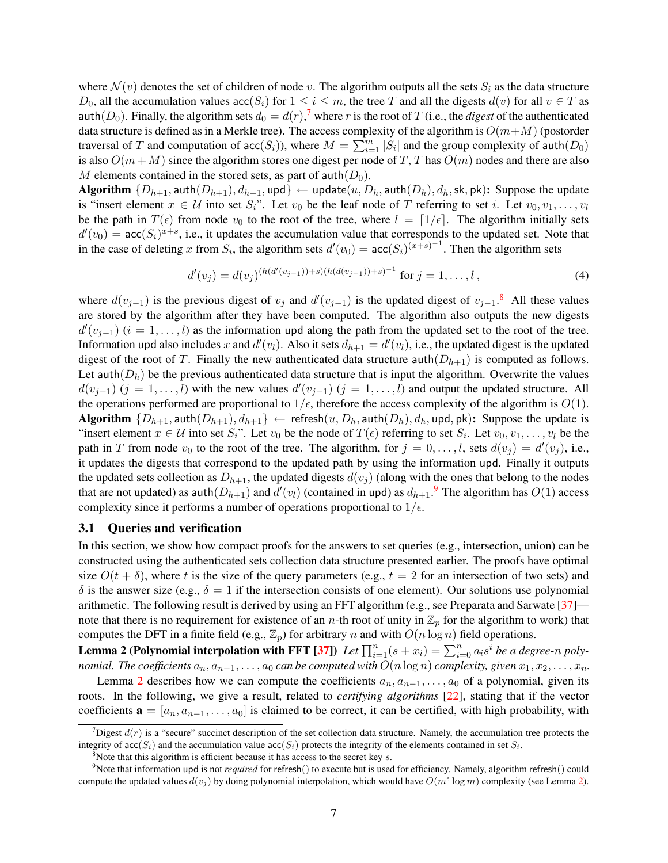where  $\mathcal{N}(v)$  denotes the set of children of node v. The algorithm outputs all the sets  $S_i$  as the data structure  $D_0$ , all the accumulation values  $\operatorname{acc}(S_i)$  for  $1 \leq i \leq m$ , the tree T and all the digests  $d(v)$  for all  $v \in T$  as auth $(D_0)$ . Finally, the algorithm sets  $d_0 = d(r)$ ,<sup>[7](#page-6-0)</sup> where r is the root of T (i.e., the *digest* of the authenticated data structure is defined as in a Merkle tree). The access complexity of the algorithm is  $O(m+M)$  (postorder traversal of T and computation of  $\textsf{acc}(S_i)$ ), where  $M = \sum_{i=1}^{m} |S_i|$  and the group complexity of  $\textsf{auth}(D_0)$ is also  $O(m+M)$  since the algorithm stores one digest per node of T, T has  $O(m)$  nodes and there are also M elements contained in the stored sets, as part of  $\text{auth}(D_0)$ .

Algorithm  $\{D_{h+1}, \text{auth}(D_{h+1}), d_{h+1}, \text{upd}\}$   $\leftarrow$  update $(u, D_h, \text{auth}(D_h), d_h, \text{sk}, \text{pk})$ : Suppose the update is "insert element  $x \in \mathcal{U}$  into set  $S_i$ ". Let  $v_0$  be the leaf node of T referring to set i. Let  $v_0, v_1, \ldots, v_l$ be the path in  $T(\epsilon)$  from node  $v_0$  to the root of the tree, where  $l = \lfloor 1/\epsilon \rfloor$ . The algorithm initially sets  $d'(v_0) = \text{acc}(S_i)^{x+s}$ , i.e., it updates the accumulation value that corresponds to the updated set. Note that in the case of deleting x from  $S_i$ , the algorithm sets  $d'(v_0) = \text{acc}(S_i)^{(x+1)/2}$ . Then the algorithm sets

<span id="page-6-4"></span>
$$
d'(v_j) = d(v_j)^{(h(d'(v_{j-1})) + s)(h(d(v_{j-1})) + s)^{-1}} \text{ for } j = 1, ..., l,
$$
\n(4)

where  $d(v_{j-1})$  is the previous digest of  $v_j$  and  $d'(v_{j-1})$  is the updated digest of  $v_{j-1}$ .<sup>[8](#page-6-1)</sup> All these values are stored by the algorithm after they have been computed. The algorithm also outputs the new digests  $d'(v_{j-1})$   $(i = 1, \ldots, l)$  as the information upd along the path from the updated set to the root of the tree. Information upd also includes x and  $d'(v_l)$ . Also it sets  $d_{h+1} = d'(v_l)$ , i.e., the updated digest is the updated digest of the root of T. Finally the new authenticated data structure  $\text{auth}(D_{h+1})$  is computed as follows. Let auth $(D_h)$  be the previous authenticated data structure that is input the algorithm. Overwrite the values  $d(v_{j-1})$   $(j = 1, \ldots, l)$  with the new values  $d'(v_{j-1})$   $(j = 1, \ldots, l)$  and output the updated structure. All the operations performed are proportional to  $1/\epsilon$ , therefore the access complexity of the algorithm is  $O(1)$ . Algorithm  $\{D_{h+1}, \text{auth}(D_{h+1}), d_{h+1}\}$   $\leftarrow$  refresh $(u, D_h, \text{auth}(D_h), d_h, \text{upd}, \text{pk})$ : Suppose the update is "insert element  $x \in \mathcal{U}$  into set  $S_i$ ". Let  $v_0$  be the node of  $T(\epsilon)$  referring to set  $S_i$ . Let  $v_0, v_1, \ldots, v_l$  be the path in T from node  $v_0$  to the root of the tree. The algorithm, for  $j = 0, \ldots, l$ , sets  $d(v_j) = d'(v_j)$ , i.e., it updates the digests that correspond to the updated path by using the information upd. Finally it outputs the updated sets collection as  $D_{h+1}$ , the updated digests  $d(v_i)$  (along with the ones that belong to the nodes that are not updated) as auth $(D_{h+1})$  and  $d'(v_l)$  (contained in upd) as  $d_{h+1}$ .<sup>[9](#page-6-2)</sup> The algorithm has  $O(1)$  access complexity since it performs a number of operations proportional to  $1/\epsilon$ .

#### 3.1 Queries and verification

In this section, we show how compact proofs for the answers to set queries (e.g., intersection, union) can be constructed using the authenticated sets collection data structure presented earlier. The proofs have optimal size  $O(t + \delta)$ , where t is the size of the query parameters (e.g.,  $t = 2$  for an intersection of two sets) and  $\delta$  is the answer size (e.g.,  $\delta = 1$  if the intersection consists of one element). Our solutions use polynomial arithmetic. The following result is derived by using an FFT algorithm (e.g., see Preparata and Sarwate [\[37\]](#page-15-4) note that there is no requirement for existence of an *n*-th root of unity in  $\mathbb{Z}_p$  for the algorithm to work) that computes the DFT in a finite field (e.g.,  $\mathbb{Z}_p$ ) for arbitrary n and with  $O(n \log n)$  field operations.

<span id="page-6-3"></span>**Lemma 2 (Polynomial interpolation with FFT [\[37\]](#page-15-4))** Let  $\prod_{i=1}^{n}(s + x_i) = \sum_{i=0}^{n}a_is^i$  be a degree-n poly*nomial. The coefficients*  $a_n, a_{n-1}, \ldots, a_0$  *can be computed with*  $O(n \log n)$  *complexity, given*  $x_1, x_2, \ldots, x_n$ *.* 

Lemma [2](#page-6-3) describes how we can compute the coefficients  $a_n, a_{n-1}, \ldots, a_0$  of a polynomial, given its roots. In the following, we give a result, related to *certifying algorithms* [\[22\]](#page-14-1), stating that if the vector coefficients  $\mathbf{a} = [a_n, a_{n-1}, \dots, a_0]$  is claimed to be correct, it can be certified, with high probability, with

<span id="page-6-0"></span><sup>&</sup>lt;sup>7</sup>Digest  $d(r)$  is a "secure" succinct description of the set collection data structure. Namely, the accumulation tree protects the integrity of  $\operatorname{acc}(S_i)$  and the accumulation value  $\operatorname{acc}(S_i)$  protects the integrity of the elements contained in set  $S_i$ .

<span id="page-6-2"></span><span id="page-6-1"></span> $8$ Note that this algorithm is efficient because it has access to the secret key s.

<sup>9</sup>Note that information upd is not *required* for refresh() to execute but is used for efficiency. Namely, algorithm refresh() could compute the updated values  $d(v_j)$  by doing polynomial interpolation, which would have  $O(m^{\epsilon} \log m)$  complexity (see Lemma [2\)](#page-6-3).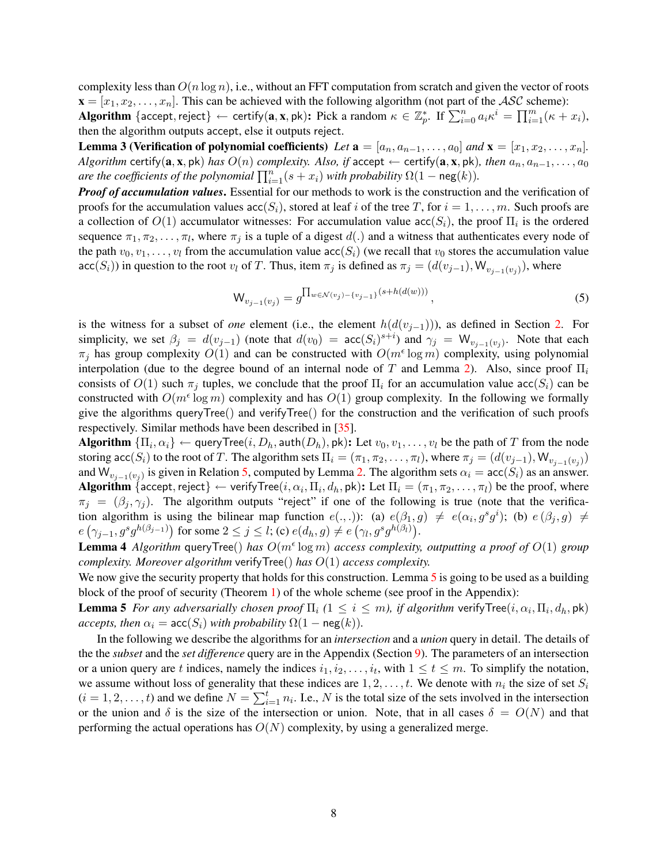complexity less than  $O(n \log n)$ , i.e., without an FFT computation from scratch and given the vector of roots  $\mathbf{x} = [x_1, x_2, \dots, x_n]$ . This can be achieved with the following algorithm (not part of the ASC scheme):

 $\textbf{Algorithm}\; \{\textsf{accept}, \textsf{reject}\} \leftarrow \textsf{certify}(\mathbf{a}, \mathbf{x}, \textsf{pk}) \textbf{: Pick a random } \kappa \in \mathbb{Z}_p^*. \; \text{If} \; \sum_{i=0}^n a_i \kappa^i = \prod_{i=1}^m (\kappa + x_i),$ then the algorithm outputs accept, else it outputs reject.

**Lemma 3 (Verification of polynomial coefficients)** Let  $\mathbf{a} = [a_n, a_{n-1}, \ldots, a_0]$  and  $\mathbf{x} = [x_1, x_2, \ldots, x_n]$ . *Algorithm* certify( $\mathbf{a}, \mathbf{x}, \mathbf{pk}$ ) *has*  $O(n)$  *complexity. Also, if* accept  $\leftarrow$  certify( $\mathbf{a}, \mathbf{x}, \mathbf{pk}$ )*, then*  $a_n, a_{n-1}, \ldots, a_0$ *are the coefficients of the polynomial*  $\prod_{i=1}^{n} (s + x_i)$  *with probability*  $\Omega(1 - \text{neg}(k))$ *.* 

*Proof of accumulation values*. Essential for our methods to work is the construction and the verification of proofs for the accumulation values  $\operatorname{acc}(S_i)$ , stored at leaf i of the tree T, for  $i = 1, \ldots, m$ . Such proofs are a collection of  $O(1)$  accumulator witnesses: For accumulation value  $\text{acc}(S_i)$ , the proof  $\Pi_i$  is the ordered sequence  $\pi_1, \pi_2, \ldots, \pi_l$ , where  $\pi_j$  is a tuple of a digest  $d(.)$  and a witness that authenticates every node of the path  $v_0, v_1, \ldots, v_l$  from the accumulation value  $\operatorname{acc}(S_i)$  (we recall that  $v_0$  stores the accumulation value acc(S<sub>i</sub>)) in question to the root  $v_l$  of T. Thus, item  $\pi_j$  is defined as  $\pi_j = (d(v_{j-1}), W_{v_{j-1}(v_j)})$ , where

<span id="page-7-3"></span><span id="page-7-2"></span><span id="page-7-1"></span><span id="page-7-0"></span>
$$
\mathsf{W}_{v_{j-1}(v_j)} = g^{\prod_{w \in \mathcal{N}(v_j) - \{v_{j-1}\}} (s + h(d(w)))},\tag{5}
$$

is the witness for a subset of *one* element (i.e., the element  $h(d(v_{i-1})))$ , as defined in Section [2.](#page-3-2) For simplicity, we set  $\beta_j = d(v_{j-1})$  (note that  $d(v_0) = \text{acc}(S_i)^{s+i}$ ) and  $\gamma_j = W_{v_{j-1}(v_j)}$ . Note that each  $\pi_j$  has group complexity  $O(1)$  and can be constructed with  $O(m^{\epsilon} \log m)$  complexity, using polynomial interpolation (due to the degree bound of an internal node of T and Lemma [2\)](#page-6-3). Also, since proof  $\Pi_i$ consists of  $O(1)$  such  $\pi_i$  tuples, we conclude that the proof  $\Pi_i$  for an accumulation value acc( $S_i$ ) can be constructed with  $O(m^{\epsilon} \log m)$  complexity and has  $O(1)$  group complexity. In the following we formally give the algorithms queryTree() and verifyTree() for the construction and the verification of such proofs respectively. Similar methods have been described in [\[35\]](#page-15-2).

Algorithm  $\{\Pi_i, \alpha_i\} \leftarrow$  queryTree $(i, D_h)$ , auth $(D_h)$ , pk): Let  $v_0, v_1, \ldots, v_l$  be the path of  $T$  from the node storing acc( $S_i$ ) to the root of T. The algorithm sets  $\Pi_i = (\pi_1, \pi_2, \dots, \pi_l)$ , where  $\pi_j = (d(v_{j-1}), W_{v_{j-1}(v_j)})$ and  $W_{v_{j-1}(v_j)}$  is given in Relation [5,](#page-7-0) computed by Lemma [2.](#page-6-3) The algorithm sets  $\alpha_i = \text{acc}(S_i)$  as an answer.  ${\bf Algorithm\ }\{ \textsf{accept}, \textsf{reject} \} \leftarrow \textsf{verifyTree}(i, \alpha_i, \Pi_i, d_h, \textsf{pk}) {\bf : } \textsf{Let } \Pi_i = (\pi_1, \pi_2, \ldots, \pi_l) \text{ be the proof, where }$  $\pi_j = (\beta_j, \gamma_j)$ . The algorithm outputs "reject" if one of the following is true (note that the verification algorithm is using the bilinear map function  $e(., .)$ : (a)  $e(\beta_1, g) \neq e(\alpha_i, g^s g^i)$ ; (b)  $e(\beta_j, g) \neq$  $e(\gamma_{j-1}, g^s g^{h(\beta_{j-1})})$  for some  $2 \leq j \leq l$ ; (c)  $e(d_h, g) \neq e(\gamma_l, g^s g^{h(\beta_l)})$ .

**Lemma 4** *Algorithm* queryTree() *has*  $O(m^{\epsilon} \log m)$  *access complexity, outputting a proof of*  $O(1)$  *group complexity. Moreover algorithm* verifyTree() *has* O(1) *access complexity.*

We now give the security property that holds for this construction. Lemma [5](#page-7-1) is going to be used as a building block of the proof of security (Theorem [1\)](#page-9-0) of the whole scheme (see proof in the Appendix):

Lemma 5 *For any adversarially chosen proof*  $\Pi_i$  ( $1 \leq i \leq m$ ), if algorithm verifyTree $(i, \alpha_i, \Pi_i, d_h, \mathsf{pk})$ *accepts, then*  $\alpha_i = \text{acc}(S_i)$  *with probability*  $\Omega(1 - \text{neg}(k))$ *.* 

In the following we describe the algorithms for an *intersection* and a *union* query in detail. The details of the the *subset* and the *set difference* query are in the Appendix (Section [9\)](#page-18-0). The parameters of an intersection or a union query are t indices, namely the indices  $i_1, i_2, \ldots, i_t$ , with  $1 \le t \le m$ . To simplify the notation, we assume without loss of generality that these indices are  $1, 2, \ldots, t$ . We denote with  $n_i$  the size of set  $S_i$  $(i = 1, 2, \ldots, t)$  and we define  $N = \sum_{i=1}^{t} n_i$ . I.e., N is the total size of the sets involved in the intersection or the union and  $\delta$  is the size of the intersection or union. Note, that in all cases  $\delta = O(N)$  and that performing the actual operations has  $O(N)$  complexity, by using a generalized merge.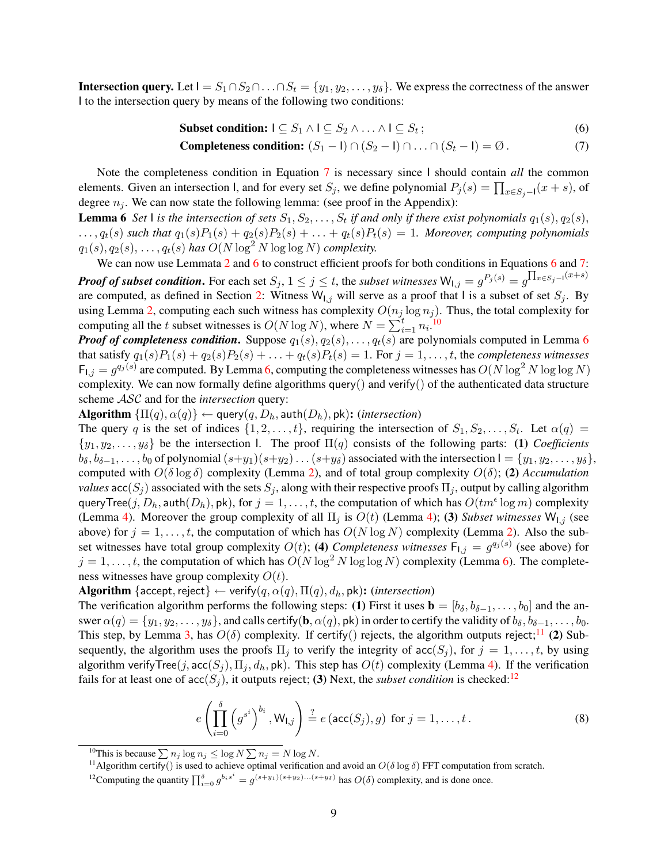**Intersection query.** Let  $I = S_1 \cap S_2 \cap \ldots \cap S_t = \{y_1, y_2, \ldots, y_\delta\}$ . We express the correctness of the answer I to the intersection query by means of the following two conditions:

<span id="page-8-0"></span>Subset condition: 
$$
1 \subseteq S_1 \land 1 \subseteq S_2 \land ... \land 1 \subseteq S_t
$$
 ; (6)

<span id="page-8-1"></span>**Completeness condition:** 
$$
(S_1 - I) \cap (S_2 - I) \cap ... \cap (S_t - I) = \emptyset
$$
. (7)

Note the completeness condition in Equation [7](#page-8-0) is necessary since I should contain *all* the common elements. Given an intersection I, and for every set  $S_j$ , we define polynomial  $P_j(s) = \prod_{x \in S_j - 1}(x + s)$ , of degree  $n_i$ . We can now state the following lemma: (see proof in the Appendix):

**Lemma 6** Set *L* is the intersection of sets  $S_1, S_2, \ldots, S_t$  if and only if there exist polynomials  $q_1(s), q_2(s)$ ,  $\ldots$ ,  $q_t(s)$  *such that*  $q_1(s)P_1(s) + q_2(s)P_2(s) + \ldots + q_t(s)P_t(s) = 1$ *. Moreover, computing polynomials*  $q_1(s), q_2(s), \ldots, q_t(s)$  has  $O(N \log^2 N \log \log N)$  complexity.

We can now use Lemmata [2](#page-6-3) and [6](#page-8-0) to construct efficient proofs for both conditions in Equations 6 and [7:](#page-8-0) *Proof of subset condition*. For each set  $S_j, 1 \le j \le t$ , the *subset witnesses*  $\mathsf{W}_{1,j} = g^{P_j(s)} = g^{\prod_{x \in S_j - 1}(x+s)}$ are computed, as defined in Section [2:](#page-3-2) Witness  $W_{1,j}$  will serve as a proof that I is a subset of set  $S_j$ . By using Lemma [2,](#page-6-3) computing each such witness has complexity  $O(n_j \log n_j)$ . Thus, the total complexity for computing all the t subset witnesses is  $O(N \log N)$ , where  $N = \sum_{i=1}^{t} n_i$ .<sup>[[10](#page-8-2)</sup>]

*Proof of completeness condition.* Suppose  $q_1(s), q_2(s), \ldots, q_t(s)$  are polynomials computed in Lemma [6](#page-8-1) that satisfy  $q_1(s)P_1(s) + q_2(s)P_2(s) + \ldots + q_t(s)P_t(s) = 1$ . For  $j = 1, \ldots, t$ , the *completeness witnesses*  $F_{1,j} = g^{q_j(s)}$  are computed. By Lemma [6,](#page-8-1) computing the completeness witnesses has  $O(N \log^2 N \log \log N)$ complexity. We can now formally define algorithms query() and verify() of the authenticated data structure scheme ASC and for the *intersection* query:

Algorithm  $\{\Pi(q), \alpha(q)\} \leftarrow$  query $(q, D_h, \text{auth}(D_h), \text{pk})$ : (*intersection*)

The query q is the set of indices  $\{1, 2, \ldots, t\}$ , requiring the intersection of  $S_1, S_2, \ldots, S_t$ . Let  $\alpha(q)$  =  $\{y_1, y_2, \ldots, y_\delta\}$  be the intersection I. The proof  $\Pi(q)$  consists of the following parts: (1) *Coefficients*  $b_{\delta}, b_{\delta-1}, \ldots, b_0$  of polynomial  $(s+y_1)(s+y_2)\ldots(s+y_\delta)$  associated with the intersection  $I = \{y_1, y_2, \ldots, y_\delta\}$ , computed with O(δ log δ) complexity (Lemma [2\)](#page-6-3), and of total group complexity O(δ); (2) *Accumulation values*  $\text{acc}(S_i)$  associated with the sets  $S_i$ , along with their respective proofs  $\Pi_i$ , output by calling algorithm queryTree $(j, D_h, \mathsf{auth}(D_h), \mathsf{pk})$ , for  $j = 1, \ldots, t$ , the computation of which has  $O(tm^{\epsilon} \log m)$  complexity (Lemma [4\)](#page-7-2). Moreover the group complexity of all  $\Pi_j$  is  $O(t)$  (Lemma 4); (3) *Subset witnesses*  $W_{1,j}$  (see above) for  $j = 1, ..., t$ , the computation of which has  $O(N \log N)$  complexity (Lemma [2\)](#page-6-3). Also the subset witnesses have total group complexity  $O(t)$ ; (4) *Completeness witnesses*  $F_{1,j} = g^{q_j(s)}$  (see above) for  $j = 1, \ldots, t$ , the computation of which has  $O(N \log^2 N \log \log N)$  complexity (Lemma [6\)](#page-8-1). The completeness witnesses have group complexity  $O(t)$ .

Algorithm {accept, reject}  $\leftarrow$  verify $(q, \alpha(q), \Pi(q), d_h, \text{pk})$ : (*intersection*)

The verification algorithm performs the following steps: (1) First it uses  $\mathbf{b} = [b_{\delta}, b_{\delta-1}, \dots, b_0]$  and the answer  $\alpha(q) = \{y_1, y_2, \dots, y_\delta\}$ , and calls certify(**b**,  $\alpha(q)$ , **pk**) in order to certify the validity of  $b_\delta, b_{\delta-1}, \dots, b_0$ . This step, by Lemma [3,](#page-7-3) has  $O(\delta)$  complexity. If certify() rejects, the algorithm outputs reject;<sup>[11](#page-8-3)</sup> (2) Subsequently, the algorithm uses the proofs  $\Pi_i$  to verify the integrity of  $\operatorname{acc}(S_i)$ , for  $j = 1, \ldots, t$ , by using algorithm verifyTree(j,  $\mathrm{acc}(S_i)$ ,  $\Pi_i$ ,  $d_h$ , pk). This step has  $O(t)$  complexity (Lemma [4\)](#page-7-2). If the verification fails for at least one of  $acc(S_i)$ , it outputs reject; (3) Next, the *subset condition* is checked:<sup>[12](#page-8-4)</sup>

$$
e\left(\prod_{i=0}^{\delta}\left(g^{s^i}\right)^{b_i}, \mathsf{W}_{\mathsf{I},j}\right) \stackrel{?}{=} e\left(\mathsf{acc}(S_j), g\right) \text{ for } j = 1, \dots, t.
$$
\n
$$
(8)
$$

<span id="page-8-2"></span><sup>&</sup>lt;sup>10</sup>This is because  $\sum n_j \log n_j \leq \log N \sum n_j = N \log N$ .

<span id="page-8-3"></span><sup>&</sup>lt;sup>11</sup> Algorithm certify() is used to achieve optimal verification and avoid an  $O(\delta \log \delta)$  FFT computation from scratch.

<span id="page-8-4"></span><sup>&</sup>lt;sup>12</sup>Computing the quantity  $\prod_{i=0}^{\delta} g^{b_i s^i} = g^{(s+y_1)(s+y_2)\dots(s+y_\delta)}$  has  $O(\delta)$  complexity, and is done once.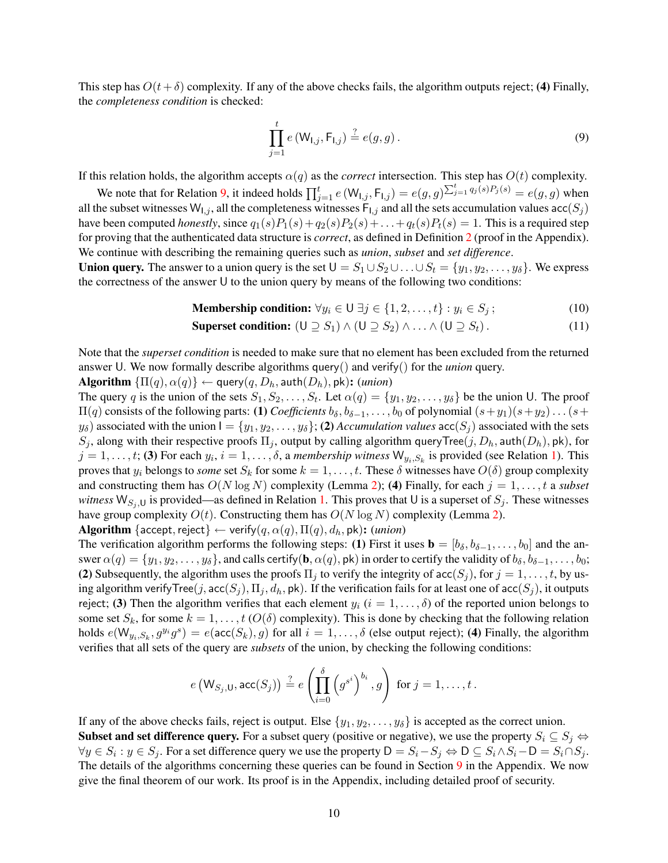This step has  $O(t+\delta)$  complexity. If any of the above checks fails, the algorithm outputs reject; (4) Finally, the *completeness condition* is checked:

<span id="page-9-1"></span>
$$
\prod_{j=1}^{t} e(\mathsf{W}_{\mathsf{I},j}, \mathsf{F}_{\mathsf{I},j}) \stackrel{?}{=} e(g, g).
$$
\n(9)

If this relation holds, the algorithm accepts  $\alpha(q)$  as the *correct* intersection. This step has  $O(t)$  complexity.

We note that for Relation [9,](#page-9-1) it indeed holds  $\prod_{j=1}^{t} e(W_{1,j}, F_{1,j}) = e(g, g)^{\sum_{j=1}^{t} q_j(s)P_j(s)} = e(g, g)$  when all the subset witnesses  $W_{1,j}$ , all the completeness witnesses  $F_{1,j}$  and all the sets accumulation values acc( $S_j$ ) have been computed *honestly*, since  $q_1(s)P_1(s) + q_2(s)P_2(s) + \ldots + q_t(s)P_t(s) = 1$ . This is a required step for proving that the authenticated data structure is *correct*, as defined in Definition [2](#page-4-1) (proof in the Appendix). We continue with describing the remaining queries such as *union*, *subset* and *set difference*.

**Union query.** The answer to a union query is the set  $U = S_1 \cup S_2 \cup \ldots \cup S_t = \{y_1, y_2, \ldots, y_\delta\}$ . We express the correctness of the answer U to the union query by means of the following two conditions:

**Membership condition:** 
$$
\forall y_i \in \mathsf{U} \,\exists j \in \{1, 2, \ldots, t\} : y_i \in S_j;
$$
 (10)

Superset condition: 
$$
(U \supseteq S_1) \land (U \supseteq S_2) \land \ldots \land (U \supseteq S_t)
$$
. (11)

Note that the *superset condition* is needed to make sure that no element has been excluded from the returned answer U. We now formally describe algorithms query() and verify() for the *union* query.

**Algorithm** 
$$
\{\Pi(q), \alpha(q)\} \leftarrow \text{query}(q, D_h, \text{auth}(D_h), \text{pk})
$$
: *(union)*

The query q is the union of the sets  $S_1, S_2, \ldots, S_t$ . Let  $\alpha(q) = \{y_1, y_2, \ldots, y_\delta\}$  be the union U. The proof  $\Pi(q)$  consists of the following parts: (1) *Coefficients*  $b_{\delta}, b_{\delta-1}, \ldots, b_0$  of polynomial  $(s+y_1)(s+y_2) \ldots (s+b)$  $y_\delta$ ) associated with the union  $I = \{y_1, y_2, \ldots, y_\delta\}$ ; (2) *Accumulation values*  $\text{acc}(S_i)$  associated with the sets  $S_j$ , along with their respective proofs  $\Pi_j$ , output by calling algorithm queryTree $(j, D_h)$ , auth $(D_h)$ , pk), for  $j = 1, \ldots, t$ ; (3) For each  $y_i$ ,  $i = 1, \ldots, \delta$ , a *membership witness*  $W_{y_i, S_k}$  is provided (see Relation [1\)](#page-3-3). This proves that  $y_i$  belongs to *some* set  $S_k$  for some  $k = 1, \ldots, t$ . These  $\delta$  witnesses have  $O(\delta)$  group complexity and constructing them has  $O(N \log N)$  complexity (Lemma [2\)](#page-6-3); (4) Finally, for each  $j = 1, ..., t$  a *subset witness*  $W_{S_i, U}$  is provided—as defined in Relation [1.](#page-3-3) This proves that U is a superset of  $S_j$ . These witnesses have group complexity  $O(t)$ . Constructing them has  $O(N \log N)$  complexity (Lemma [2\)](#page-6-3).

Algorithm {accept, reject}  $\leftarrow$  verify $(q, \alpha(q), \Pi(q), d_h, \text{pk})$ : (*union*)

The verification algorithm performs the following steps: (1) First it uses  $\mathbf{b} = [b_{\delta}, b_{\delta-1}, \ldots, b_0]$  and the answer  $\alpha(q) = \{y_1, y_2, \dots, y_\delta\}$ , and calls certify(**b**,  $\alpha(q)$ , pk) in order to certify the validity of  $b_\delta, b_{\delta-1}, \dots, b_0$ ; (2) Subsequently, the algorithm uses the proofs  $\Pi_j$  to verify the integrity of  $\operatorname{acc}(S_j)$ , for  $j = 1, \ldots, t$ , by using algorithm verify Tree(j,  $\text{acc}(S_i)$ ,  $\Pi_i$ ,  $d_h$ ,  $pk$ ). If the verification fails for at least one of  $\text{acc}(S_i)$ , it outputs reject; (3) Then the algorithm verifies that each element  $y_i$  ( $i = 1, \ldots, \delta$ ) of the reported union belongs to some set  $S_k$ , for some  $k = 1, \ldots, t$  ( $O(\delta)$  complexity). This is done by checking that the following relation holds  $e(W_{y_i,S_k}, g^{y_i}g^s) = e(\text{acc}(S_k), g)$  for all  $i = 1,\ldots,\delta$  (else output reject); (4) Finally, the algorithm verifies that all sets of the query are *subsets* of the union, by checking the following conditions:

<span id="page-9-0"></span>
$$
e\left(\mathsf{W}_{S_j,\mathsf{U}},\mathsf{acc}(S_j)\right) \stackrel{?}{=} e\left(\prod_{i=0}^{\delta}\left(g^{s^i}\right)^{b_i},g\right) \text{ for } j=1,\ldots,t\,.
$$

If any of the above checks fails, reject is output. Else  $\{y_1, y_2, \ldots, y_\delta\}$  is accepted as the correct union. Subset and set difference query. For a subset query (positive or negative), we use the property  $S_i \subseteq S_j \Leftrightarrow$  $\forall y \in S_i : y \in S_j$ . For a set difference query we use the property  $D = S_i - S_j \Leftrightarrow D \subseteq S_i \wedge S_i - D = S_i \cap S_j$ . The details of the algorithms concerning these queries can be found in Section [9](#page-18-0) in the Appendix. We now give the final theorem of our work. Its proof is in the Appendix, including detailed proof of security.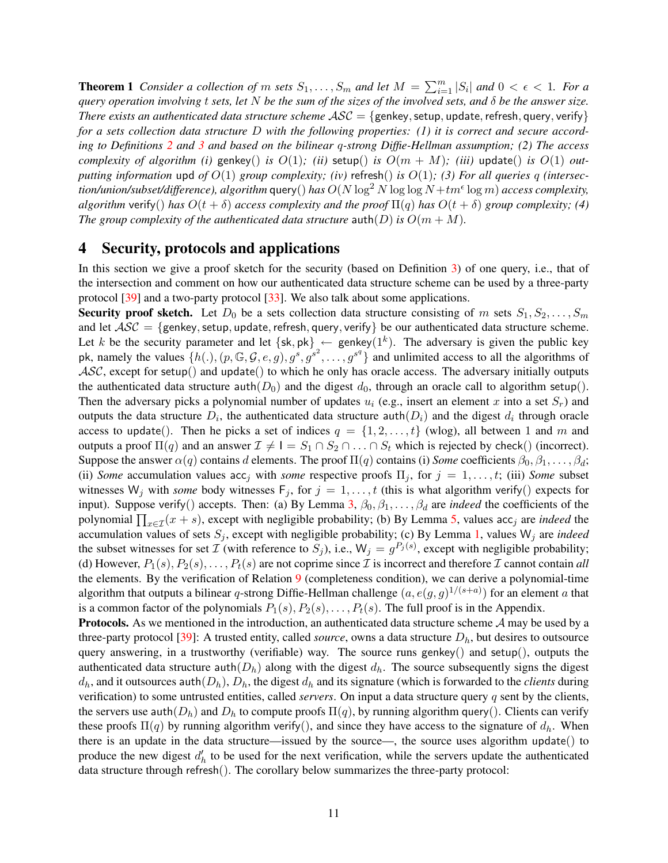**Theorem 1** *Consider a collection of m sets*  $S_1, \ldots, S_m$  *and let*  $M = \sum_{i=1}^m |S_i|$  *and*  $0 < \epsilon < 1$ *. For a query operation involving* t *sets, let* N *be the sum of the sizes of the involved sets, and* δ *be the answer size. There exists an authenticated data structure scheme*  $\mathcal{A}\mathcal{S}\mathcal{C} = \{\text{genkey}, \text{setup}, \text{update}, \text{refresh}, \text{query}, \text{verify}\}\$ *for a sets collection data structure* D *with the following properties: (1) it is correct and secure according to Definitions [2](#page-4-1) and [3](#page-4-2) and based on the bilinear* q*-strong Diffie-Hellman assumption; (2) The access complexity of algorithm (i)* genkey() *is*  $O(1)$ ; *(ii)* setup() *is*  $O(m + M)$ ; *(iii)* update() *is*  $O(1)$  *outputting information* upd *of* O(1) *group complexity; (iv)* refresh() *is* O(1)*; (3) For all queries* q *(intersection/union/subset/difference), algorithm* query() *has* O(N log<sup>2</sup> N log log N +tm log m) *access complexity, algorithm* verify() has  $O(t + \delta)$  *access complexity and the proof*  $\Pi(q)$  has  $O(t + \delta)$  *group complexity; (4) The group complexity of the authenticated data structure*  $\text{auth}(D)$  *is*  $O(m + M)$ *.* 

# 4 Security, protocols and applications

In this section we give a proof sketch for the security (based on Definition [3\)](#page-4-2) of one query, i.e., that of the intersection and comment on how our authenticated data structure scheme can be used by a three-party protocol [\[39\]](#page-15-0) and a two-party protocol [\[33\]](#page-14-0). We also talk about some applications.

Security proof sketch. Let  $D_0$  be a sets collection data structure consisting of m sets  $S_1, S_2, \ldots, S_m$ and let  $\mathcal{A}\mathcal{S}\mathcal{C} = \{\text{genkey}, \text{setup}, \text{update}, \text{refresh}, \text{query}, \text{verify}\}\$  be our authenticated data structure scheme. Let k be the security parameter and let  $\{sk, pk\} \leftarrow$  genkey $(1^k)$ . The adversary is given the public key pk, namely the values  $\{h(.), (p, \mathbb{G}, \mathcal{G}, e, g), g^s, g^{s^2}, \ldots, g^{s^q}\}\$  and unlimited access to all the algorithms of  $\mathcal{A}\mathcal{S}\mathcal{C}$ , except for setup() and update() to which he only has oracle access. The adversary initially outputs the authenticated data structure auth $(D_0)$  and the digest  $d_0$ , through an oracle call to algorithm setup(). Then the adversary picks a polynomial number of updates  $u_i$  (e.g., insert an element x into a set  $S_r$ ) and outputs the data structure  $D_i$ , the authenticated data structure auth $(D_i)$  and the digest  $d_i$  through oracle access to update(). Then he picks a set of indices  $q = \{1, 2, ..., t\}$  (wlog), all between 1 and m and outputs a proof  $\Pi(q)$  and an answer  $\mathcal{I} \neq I = S_1 \cap S_2 \cap \ldots \cap S_t$  which is rejected by check() (incorrect). Suppose the answer  $\alpha(q)$  contains d elements. The proof  $\Pi(q)$  contains (i) *Some* coefficients  $\beta_0, \beta_1, \ldots, \beta_d$ ; (ii) *Some* accumulation values  $\text{acc}_j$  with *some* respective proofs  $\Pi_j$ , for  $j = 1, \ldots, t$ ; (iii) *Some* subset witnesses  $W_j$  with *some* body witnesses  $F_j$ , for  $j = 1, \ldots, t$  (this is what algorithm verify() expects for input). Suppose verify() accepts. Then: (a) By Lemma [3,](#page-7-3)  $\beta_0, \beta_1, \ldots, \beta_d$  are *indeed* the coefficients of the polynomial  $\prod_{x \in \mathcal{I}} (x + s)$ , except with negligible probability; (b) By Lemma [5,](#page-7-1) values acc<sub>j</sub> are *indeed* the accumulation values of sets  $S_j$ , except with negligible probability; (c) By Lemma [1,](#page-4-3) values  $W_j$  are *indeed* the subset witnesses for set  $\mathcal I$  (with reference to  $S_j$ ), i.e.,  $\mathsf W_j = g^{P_j(s)}$ , except with negligible probability; (d) However,  $P_1(s), P_2(s), \ldots, P_t(s)$  are not coprime since  $\mathcal I$  is incorrect and therefore  $\mathcal I$  cannot contain *all* the elements. By the verification of Relation [9](#page-9-1) (completeness condition), we can derive a polynomial-time algorithm that outputs a bilinear q-strong Diffie-Hellman challenge  $(a, e(g, g)^{1/(s+a)})$  for an element a that is a common factor of the polynomials  $P_1(s), P_2(s), \ldots, P_t(s)$ . The full proof is in the Appendix.

<span id="page-10-0"></span>**Protocols.** As we mentioned in the introduction, an authenticated data structure scheme  $A$  may be used by a three-party protocol [\[39\]](#page-15-0): A trusted entity, called *source*, owns a data structure  $D_h$ , but desires to outsource query answering, in a trustworthy (verifiable) way. The source runs genkey() and setup(), outputs the authenticated data structure auth $(D_h)$  along with the digest  $d_h$ . The source subsequently signs the digest  $d_h$ , and it outsources auth $(D_h)$ ,  $D_h$ , the digest  $d_h$  and its signature (which is forwarded to the *clients* during verification) to some untrusted entities, called *servers*. On input a data structure query q sent by the clients, the servers use auth $(D_h)$  and  $D_h$  to compute proofs  $\Pi(q)$ , by running algorithm query(). Clients can verify these proofs  $\Pi(q)$  by running algorithm verify(), and since they have access to the signature of  $d_h$ . When there is an update in the data structure—issued by the source—, the source uses algorithm update() to produce the new digest  $d'_h$  to be used for the next verification, while the servers update the authenticated data structure through refresh(). The corollary below summarizes the three-party protocol: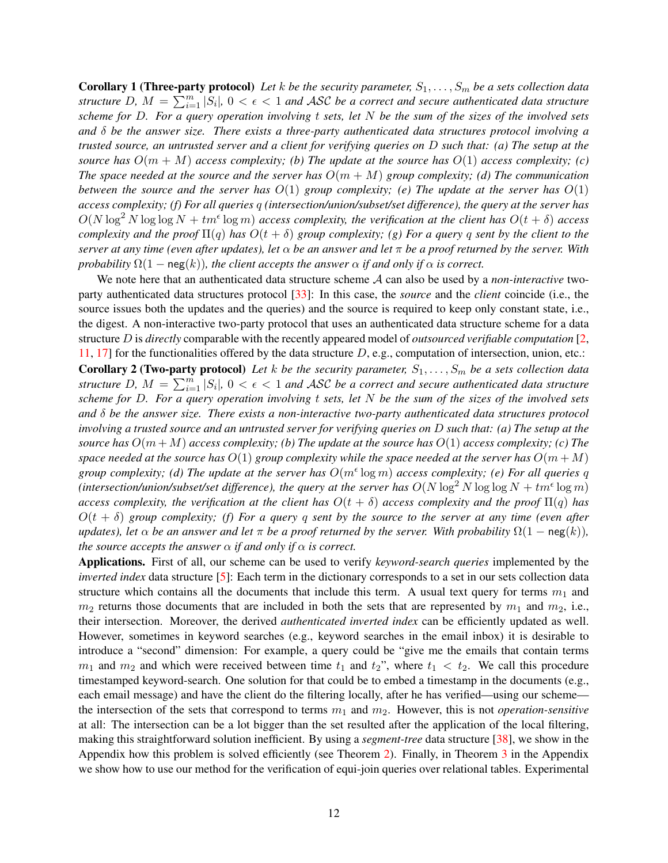**Corollary 1 (Three-party protocol)** Let k be the security parameter,  $S_1, \ldots, S_m$  be a sets collection data *structure* D,  $M = \sum_{i=1}^{m} |S_i|$ ,  $0 < \epsilon < 1$  and ASC be a correct and secure authenticated data structure *scheme for* D*. For a query operation involving* t *sets, let* N *be the sum of the sizes of the involved sets and* δ *be the answer size. There exists a three-party authenticated data structures protocol involving a trusted source, an untrusted server and a client for verifying queries on* D *such that: (a) The setup at the source has*  $O(m + M)$  *access complexity; (b) The update at the source has*  $O(1)$  *access complexity; (c) The space needed at the source and the server has* O(m + M) *group complexity; (d) The communication between the source and the server has* O(1) *group complexity; (e) The update at the server has* O(1) *access complexity; (f) For all queries* q *(intersection/union/subset/set difference), the query at the server has*  $O(N \log^2 N \log \log N + t m^{\epsilon} \log m)$  *access complexity, the verification at the client has*  $O(t + \delta)$  *access complexity and the proof*  $\Pi(q)$  *has*  $O(t + \delta)$  *group complexity; (g) For a query q sent by the client to the server at any time (even after updates), let* α *be an answer and let* π *be a proof returned by the server. With probability*  $\Omega(1 - \text{neg}(k))$ *, the client accepts the answer*  $\alpha$  *if and only if*  $\alpha$  *is correct.* 

We note here that an authenticated data structure scheme A can also be used by a *non-interactive* twoparty authenticated data structures protocol [\[33\]](#page-14-0): In this case, the *source* and the *client* coincide (i.e., the source issues both the updates and the queries) and the source is required to keep only constant state, i.e., the digest. A non-interactive two-party protocol that uses an authenticated data structure scheme for a data structure D is *directly* comparable with the recently appeared model of *outsourced verifiable computation* [\[2,](#page-13-0) [11,](#page-13-1) [17\]](#page-13-2) for the functionalities offered by the data structure  $D$ , e.g., computation of intersection, union, etc.:

<span id="page-11-0"></span>**Corollary 2 (Two-party protocol)** Let k be the security parameter,  $S_1, \ldots, S_m$  be a sets collection data *structure* D,  $M = \sum_{i=1}^{m} |S_i|$ ,  $0 < \epsilon < 1$  and ASC be a correct and secure authenticated data structure *scheme for* D*. For a query operation involving* t *sets, let* N *be the sum of the sizes of the involved sets and* δ *be the answer size. There exists a non-interactive two-party authenticated data structures protocol involving a trusted source and an untrusted server for verifying queries on* D *such that: (a) The setup at the source has*  $O(m + M)$  *access complexity; (b) The update at the source has*  $O(1)$  *access complexity; (c) The space needed at the source has*  $O(1)$  *group complexity while the space needed at the server has*  $O(m + M)$ group complexity; (d) The update at the server has  $O(m^{\epsilon} \log m)$  access complexity; (e) For all queries q (intersection/union/subset/set difference), the query at the server has  $O(N \log^2 N \log \log N + t m^{\epsilon} \log m)$ *access complexity, the verification at the client has*  $O(t + \delta)$  *access complexity and the proof*  $\Pi(q)$  *has*  $O(t + \delta)$  group complexity; (f) For a query q sent by the source to the server at any time (even after *updates), let*  $\alpha$  *be an answer and let*  $\pi$  *be a proof returned by the server. With probability*  $\Omega(1 - \text{neg}(k))$ , *the source accepts the answer*  $\alpha$  *if and only if*  $\alpha$  *is correct.* 

Applications. First of all, our scheme can be used to verify *keyword-search queries* implemented by the *inverted index* data structure [\[5\]](#page-13-14): Each term in the dictionary corresponds to a set in our sets collection data structure which contains all the documents that include this term. A usual text query for terms  $m_1$  and  $m_2$  returns those documents that are included in both the sets that are represented by  $m_1$  and  $m_2$ , i.e., their intersection. Moreover, the derived *authenticated inverted index* can be efficiently updated as well. However, sometimes in keyword searches (e.g., keyword searches in the email inbox) it is desirable to introduce a "second" dimension: For example, a query could be "give me the emails that contain terms  $m_1$  and  $m_2$  and which were received between time  $t_1$  and  $t_2$ ", where  $t_1 < t_2$ . We call this procedure timestamped keyword-search. One solution for that could be to embed a timestamp in the documents (e.g., each email message) and have the client do the filtering locally, after he has verified—using our scheme the intersection of the sets that correspond to terms  $m_1$  and  $m_2$ . However, this is not *operation-sensitive* at all: The intersection can be a lot bigger than the set resulted after the application of the local filtering, making this straightforward solution inefficient. By using a *segment-tree* data structure [\[38\]](#page-15-5), we show in the Appendix how this problem is solved efficiently (see Theorem [2\)](#page-27-1). Finally, in Theorem [3](#page-28-1) in the Appendix we show how to use our method for the verification of equi-join queries over relational tables. Experimental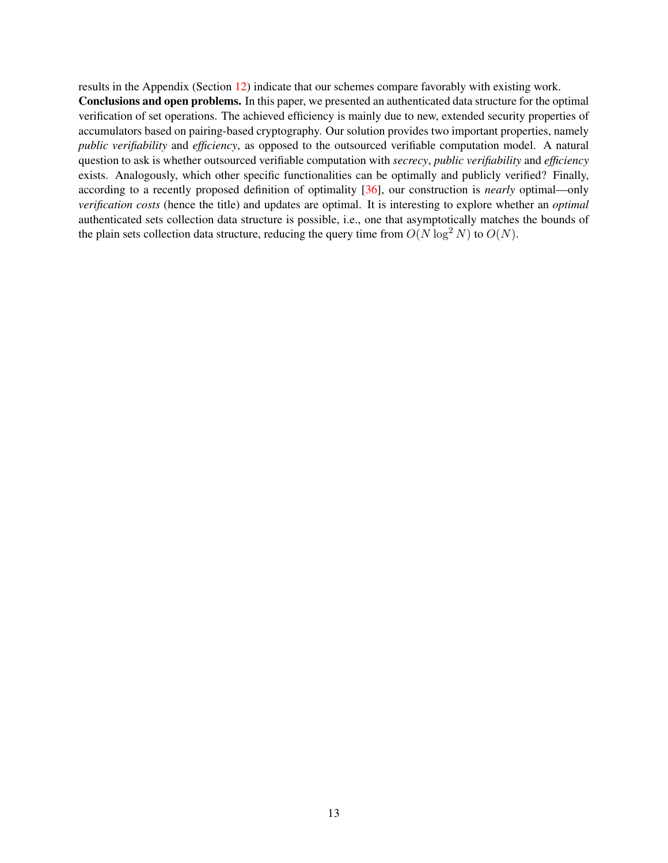results in the Appendix (Section [12\)](#page-28-0) indicate that our schemes compare favorably with existing work. Conclusions and open problems. In this paper, we presented an authenticated data structure for the optimal verification of set operations. The achieved efficiency is mainly due to new, extended security properties of accumulators based on pairing-based cryptography. Our solution provides two important properties, namely *public verifiability* and *efficiency*, as opposed to the outsourced verifiable computation model. A natural question to ask is whether outsourced verifiable computation with *secrecy*, *public verifiability* and *efficiency* exists. Analogously, which other specific functionalities can be optimally and publicly verified? Finally, according to a recently proposed definition of optimality [\[36\]](#page-15-6), our construction is *nearly* optimal—only *verification costs* (hence the title) and updates are optimal. It is interesting to explore whether an *optimal* authenticated sets collection data structure is possible, i.e., one that asymptotically matches the bounds of the plain sets collection data structure, reducing the query time from  $O(N \log^2 N)$  to  $O(N)$ .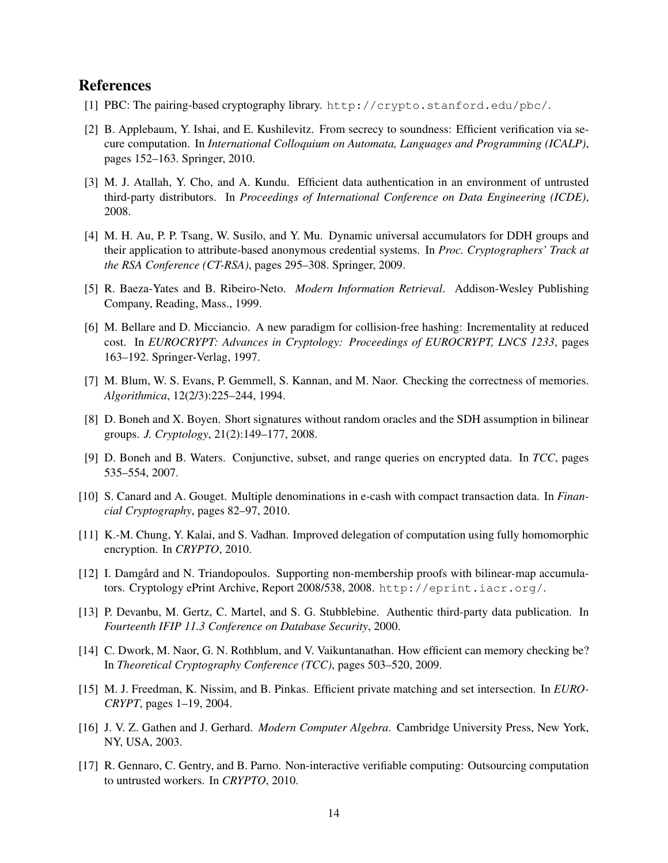# References

- <span id="page-13-16"></span>[1] PBC: The pairing-based cryptography library. http://crypto.stanford.edu/pbc/.
- <span id="page-13-0"></span>[2] B. Applebaum, Y. Ishai, and E. Kushilevitz. From secrecy to soundness: Efficient verification via secure computation. In *International Colloquium on Automata, Languages and Programming (ICALP)*, pages 152–163. Springer, 2010.
- <span id="page-13-7"></span>[3] M. J. Atallah, Y. Cho, and A. Kundu. Efficient data authentication in an environment of untrusted third-party distributors. In *Proceedings of International Conference on Data Engineering (ICDE)*, 2008.
- <span id="page-13-10"></span>[4] M. H. Au, P. P. Tsang, W. Susilo, and Y. Mu. Dynamic universal accumulators for DDH groups and their application to attribute-based anonymous credential systems. In *Proc. Cryptographers' Track at the RSA Conference (CT-RSA)*, pages 295–308. Springer, 2009.
- <span id="page-13-14"></span>[5] R. Baeza-Yates and B. Ribeiro-Neto. *Modern Information Retrieval*. Addison-Wesley Publishing Company, Reading, Mass., 1999.
- <span id="page-13-5"></span>[6] M. Bellare and D. Micciancio. A new paradigm for collision-free hashing: Incrementality at reduced cost. In *EUROCRYPT: Advances in Cryptology: Proceedings of EUROCRYPT, LNCS 1233*, pages 163–192. Springer-Verlag, 1997.
- <span id="page-13-3"></span>[7] M. Blum, W. S. Evans, P. Gemmell, S. Kannan, and M. Naor. Checking the correctness of memories. *Algorithmica*, 12(2/3):225–244, 1994.
- <span id="page-13-12"></span>[8] D. Boneh and X. Boyen. Short signatures without random oracles and the SDH assumption in bilinear groups. *J. Cryptology*, 21(2):149–177, 2008.
- <span id="page-13-8"></span>[9] D. Boneh and B. Waters. Conjunctive, subset, and range queries on encrypted data. In *TCC*, pages 535–554, 2007.
- <span id="page-13-13"></span>[10] S. Canard and A. Gouget. Multiple denominations in e-cash with compact transaction data. In *Financial Cryptography*, pages 82–97, 2010.
- <span id="page-13-1"></span>[11] K.-M. Chung, Y. Kalai, and S. Vadhan. Improved delegation of computation using fully homomorphic encryption. In *CRYPTO*, 2010.
- <span id="page-13-11"></span>[12] I. Damgård and N. Triandopoulos. Supporting non-membership proofs with bilinear-map accumulators. Cryptology ePrint Archive, Report 2008/538, 2008. <http://eprint.iacr.org/>.
- <span id="page-13-4"></span>[13] P. Devanbu, M. Gertz, C. Martel, and S. G. Stubblebine. Authentic third-party data publication. In *Fourteenth IFIP 11.3 Conference on Database Security*, 2000.
- <span id="page-13-6"></span>[14] C. Dwork, M. Naor, G. N. Rothblum, and V. Vaikuntanathan. How efficient can memory checking be? In *Theoretical Cryptography Conference (TCC)*, pages 503–520, 2009.
- <span id="page-13-9"></span>[15] M. J. Freedman, K. Nissim, and B. Pinkas. Efficient private matching and set intersection. In *EURO-CRYPT*, pages 1–19, 2004.
- <span id="page-13-15"></span>[16] J. V. Z. Gathen and J. Gerhard. *Modern Computer Algebra*. Cambridge University Press, New York, NY, USA, 2003.
- <span id="page-13-2"></span>[17] R. Gennaro, C. Gentry, and B. Parno. Non-interactive verifiable computing: Outsourcing computation to untrusted workers. In *CRYPTO*, 2010.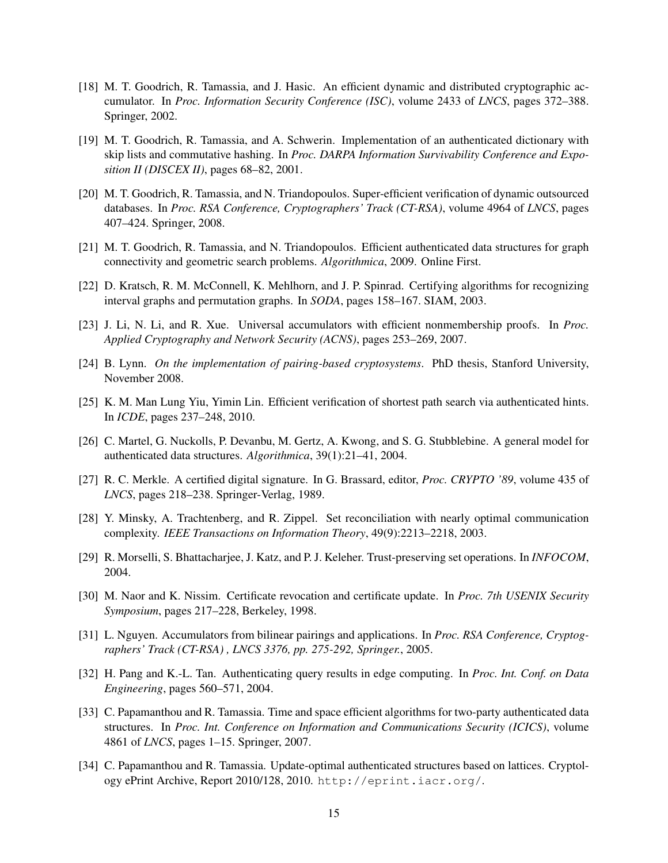- <span id="page-14-12"></span>[18] M. T. Goodrich, R. Tamassia, and J. Hasic. An efficient dynamic and distributed cryptographic accumulator. In *Proc. Information Security Conference (ISC)*, volume 2433 of *LNCS*, pages 372–388. Springer, 2002.
- <span id="page-14-7"></span>[19] M. T. Goodrich, R. Tamassia, and A. Schwerin. Implementation of an authenticated dictionary with skip lists and commutative hashing. In *Proc. DARPA Information Survivability Conference and Exposition II (DISCEX II)*, pages 68–82, 2001.
- <span id="page-14-2"></span>[20] M. T. Goodrich, R. Tamassia, and N. Triandopoulos. Super-efficient verification of dynamic outsourced databases. In *Proc. RSA Conference, Cryptographers' Track (CT-RSA)*, volume 4964 of *LNCS*, pages 407–424. Springer, 2008.
- <span id="page-14-8"></span>[21] M. T. Goodrich, R. Tamassia, and N. Triandopoulos. Efficient authenticated data structures for graph connectivity and geometric search problems. *Algorithmica*, 2009. Online First.
- <span id="page-14-1"></span>[22] D. Kratsch, R. M. McConnell, K. Mehlhorn, and J. P. Spinrad. Certifying algorithms for recognizing interval graphs and permutation graphs. In *SODA*, pages 158–167. SIAM, 2003.
- <span id="page-14-14"></span>[23] J. Li, N. Li, and R. Xue. Universal accumulators with efficient nonmembership proofs. In *Proc. Applied Cryptography and Network Security (ACNS)*, pages 253–269, 2007.
- <span id="page-14-16"></span>[24] B. Lynn. *On the implementation of pairing-based cryptosystems*. PhD thesis, Stanford University, November 2008.
- <span id="page-14-9"></span>[25] K. M. Man Lung Yiu, Yimin Lin. Efficient verification of shortest path search via authenticated hints. In *ICDE*, pages 237–248, 2010.
- <span id="page-14-10"></span>[26] C. Martel, G. Nuckolls, P. Devanbu, M. Gertz, A. Kwong, and S. G. Stubblebine. A general model for authenticated data structures. *Algorithmica*, 39(1):21–41, 2004.
- <span id="page-14-6"></span>[27] R. C. Merkle. A certified digital signature. In G. Brassard, editor, *Proc. CRYPTO '89*, volume 435 of *LNCS*, pages 218–238. Springer-Verlag, 1989.
- <span id="page-14-15"></span>[28] Y. Minsky, A. Trachtenberg, and R. Zippel. Set reconciliation with nearly optimal communication complexity. *IEEE Transactions on Information Theory*, 49(9):2213–2218, 2003.
- <span id="page-14-3"></span>[29] R. Morselli, S. Bhattacharjee, J. Katz, and P. J. Keleher. Trust-preserving set operations. In *INFOCOM*, 2004.
- <span id="page-14-11"></span>[30] M. Naor and K. Nissim. Certificate revocation and certificate update. In *Proc. 7th USENIX Security Symposium*, pages 217–228, Berkeley, 1998.
- <span id="page-14-5"></span>[31] L. Nguyen. Accumulators from bilinear pairings and applications. In *Proc. RSA Conference, Cryptographers' Track (CT-RSA) , LNCS 3376, pp. 275-292, Springer.*, 2005.
- <span id="page-14-4"></span>[32] H. Pang and K.-L. Tan. Authenticating query results in edge computing. In *Proc. Int. Conf. on Data Engineering*, pages 560–571, 2004.
- <span id="page-14-0"></span>[33] C. Papamanthou and R. Tamassia. Time and space efficient algorithms for two-party authenticated data structures. In *Proc. Int. Conference on Information and Communications Security (ICICS)*, volume 4861 of *LNCS*, pages 1–15. Springer, 2007.
- <span id="page-14-13"></span>[34] C. Papamanthou and R. Tamassia. Update-optimal authenticated structures based on lattices. Cryptology ePrint Archive, Report 2010/128, 2010. <http://eprint.iacr.org/>.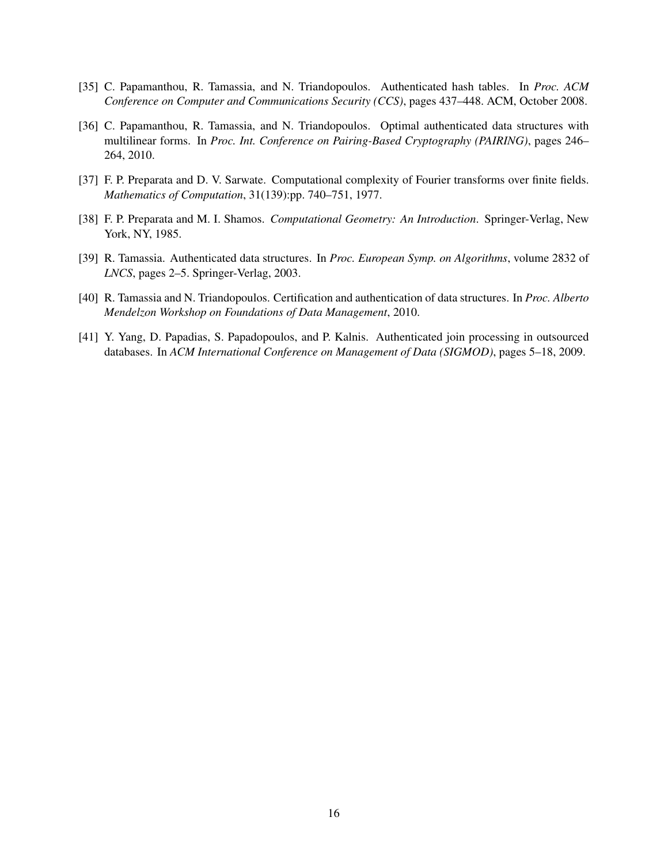- <span id="page-15-2"></span>[35] C. Papamanthou, R. Tamassia, and N. Triandopoulos. Authenticated hash tables. In *Proc. ACM Conference on Computer and Communications Security (CCS)*, pages 437–448. ACM, October 2008.
- <span id="page-15-6"></span>[36] C. Papamanthou, R. Tamassia, and N. Triandopoulos. Optimal authenticated data structures with multilinear forms. In *Proc. Int. Conference on Pairing-Based Cryptography (PAIRING)*, pages 246– 264, 2010.
- <span id="page-15-4"></span>[37] F. P. Preparata and D. V. Sarwate. Computational complexity of Fourier transforms over finite fields. *Mathematics of Computation*, 31(139):pp. 740–751, 1977.
- <span id="page-15-5"></span>[38] F. P. Preparata and M. I. Shamos. *Computational Geometry: An Introduction*. Springer-Verlag, New York, NY, 1985.
- <span id="page-15-0"></span>[39] R. Tamassia. Authenticated data structures. In *Proc. European Symp. on Algorithms*, volume 2832 of *LNCS*, pages 2–5. Springer-Verlag, 2003.
- <span id="page-15-1"></span>[40] R. Tamassia and N. Triandopoulos. Certification and authentication of data structures. In *Proc. Alberto Mendelzon Workshop on Foundations of Data Management*, 2010.
- <span id="page-15-3"></span>[41] Y. Yang, D. Papadias, S. Papadopoulos, and P. Kalnis. Authenticated join processing in outsourced databases. In *ACM International Conference on Management of Data (SIGMOD)*, pages 5–18, 2009.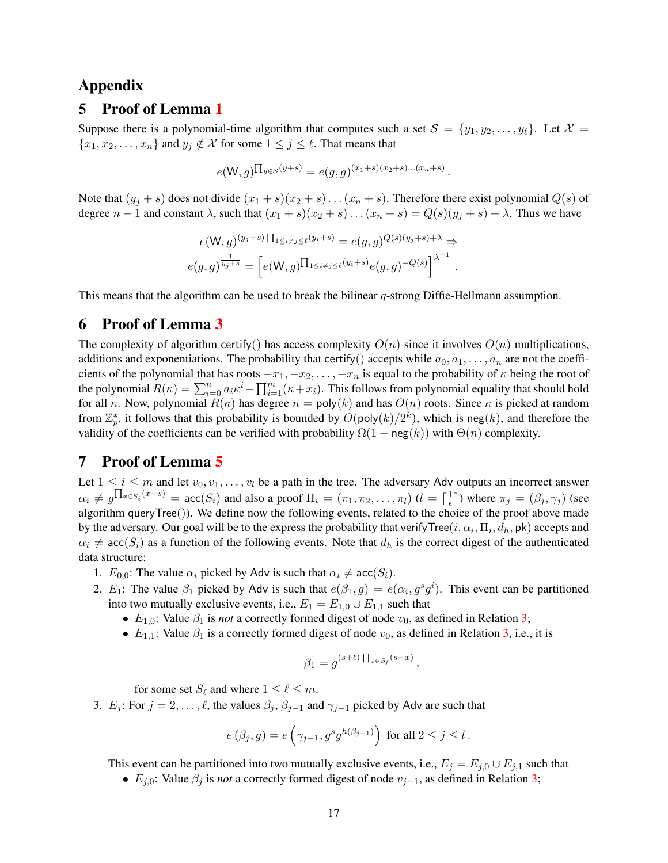# Appendix

# 5 Proof of Lemma [1](#page-4-3)

Suppose there is a polynomial-time algorithm that computes such a set  $S = \{y_1, y_2, \ldots, y_\ell\}$ . Let  $\mathcal{X} =$  ${x_1, x_2, \ldots, x_n}$  and  $y_i \notin \mathcal{X}$  for some  $1 \leq j \leq \ell$ . That means that

$$
e(\mathsf{W}, g)^{\prod_{y \in \mathcal{S}} (y+s)} = e(g, g)^{(x_1+s)(x_2+s)\dots(x_n+s)}.
$$

Note that  $(y_j + s)$  does not divide  $(x_1 + s)(x_2 + s) \dots (x_n + s)$ . Therefore there exist polynomial  $Q(s)$  of degree  $n-1$  and constant  $\lambda$ , such that  $(x_1 + s)(x_2 + s) \dots (x_n + s) = Q(s)(y_i + s) + \lambda$ . Thus we have

$$
e(\mathsf{W}, g)^{(y_j+s)} \Pi_{1 \leq i \neq j \leq \ell} (y_i+s) = e(g, g)^{Q(s)(y_j+s)+\lambda} \Rightarrow
$$
  

$$
e(g, g)^{\frac{1}{y_j+s}} = \left[ e(\mathsf{W}, g) \Pi_{1 \leq i \neq j \leq \ell} (y_i+s) e(g, g)^{-Q(s)} \right]^{\lambda^{-1}}.
$$

This means that the algorithm can be used to break the bilinear q-strong Diffie-Hellmann assumption.

# 6 Proof of Lemma [3](#page-7-3)

The complexity of algorithm certify() has access complexity  $O(n)$  since it involves  $O(n)$  multiplications, additions and exponentiations. The probability that certify() accepts while  $a_0, a_1, \ldots, a_n$  are not the coefficients of the polynomial that has roots  $-x_1, -x_2, \ldots, -x_n$  is equal to the probability of  $\kappa$  being the root of the polynomial  $R(\kappa) = \sum_{i=0}^n a_i \kappa^i - \prod_{i=1}^m (\kappa + x_i)$ . This follows from polynomial equality that should hold for all κ. Now, polynomial  $R(\kappa)$  has degree  $n = poly(k)$  and has  $O(n)$  roots. Since  $\kappa$  is picked at random from  $\mathbb{Z}_p^*$ , it follows that this probability is bounded by  $O(poly(k)/2^k)$ , which is neg(k), and therefore the validity of the coefficients can be verified with probability  $\Omega(1 - \text{neg}(k))$  with  $\Theta(n)$  complexity.

# 7 Proof of Lemma [5](#page-7-1)

Let  $1 \leq i \leq m$  and let  $v_0, v_1, \ldots, v_l$  be a path in the tree. The adversary Adv outputs an incorrect answer  $\alpha_i \neq g^{\prod_{x \in S_i} (x+s)}$  = acc(S<sub>i</sub>) and also a proof  $\Pi_i = (\pi_1, \pi_2, \ldots, \pi_l)$  ( $l = \lceil \frac{1}{\epsilon} \rceil$  $\frac{1}{\epsilon}$ ]) where  $\pi_j = (\beta_j, \gamma_j)$  (see algorithm queryTree()). We define now the following events, related to the choice of the proof above made by the adversary. Our goal will be to the express the probability that verifyTree $(i,\alpha_i,\Pi_i,d_h,$  pk) accepts and  $\alpha_i \neq acc(S_i)$  as a function of the following events. Note that  $d_h$  is the correct digest of the authenticated data structure:

- 1.  $E_{0,0}$ : The value  $\alpha_i$  picked by Adv is such that  $\alpha_i \neq \text{acc}(S_i)$ .
- 2.  $E_1$ : The value  $\beta_1$  picked by Adv is such that  $e(\beta_1, g) = e(\alpha_i, g^s g^i)$ . This event can be partitioned into two mutually exclusive events, i.e.,  $E_1 = E_{1,0} \cup E_{1,1}$  such that
	- $E_{1,0}$ : Value  $\beta_1$  is *not* a correctly formed digest of node  $v_0$ , as defined in Relation [3;](#page-5-2)
	- $E_{1,1}$ : Value  $\beta_1$  is a correctly formed digest of node  $v_0$ , as defined in Relation [3,](#page-5-2) i.e., it is

$$
\beta_1 = g^{(s+\ell)\prod_{x \in S_\ell}(s+x)},
$$

for some set  $S_\ell$  and where  $1 \leq \ell \leq m$ .

3.  $E_j$ : For  $j = 2, \ldots, \ell$ , the values  $\beta_j$ ,  $\beta_{j-1}$  and  $\gamma_{j-1}$  picked by Adv are such that

$$
e(\beta_j, g) = e\left(\gamma_{j-1}, g^s g^{h(\beta_{j-1})}\right) \text{ for all } 2 \le j \le l.
$$

This event can be partitioned into two mutually exclusive events, i.e.,  $E_j = E_{j,0} \cup E_{j,1}$  such that

•  $E_{j,0}$ : Value  $\beta_j$  is *not* a correctly formed digest of node  $v_{j-1}$ , as defined in Relation [3;](#page-5-2)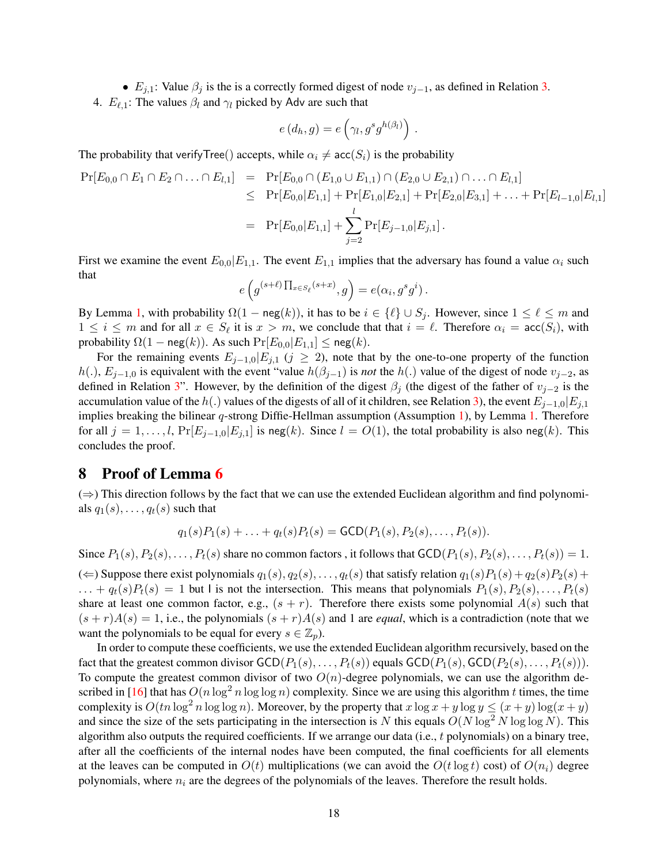•  $E_{j,1}$ : Value  $\beta_j$  is the is a correctly formed digest of node  $v_{j-1}$ , as defined in Relation [3.](#page-5-2)

4.  $E_{\ell,1}$ : The values  $\beta_l$  and  $\gamma_l$  picked by Adv are such that

$$
e(d_h, g) = e\left(\gamma_l, g^s g^{h(\beta_l)}\right)
$$

.

The probability that verifyTree() accepts, while  $\alpha_i \neq acc(S_i)$  is the probability

$$
\begin{array}{rcl}\Pr[E_{0,0} \cap E_1 \cap E_2 \cap \ldots \cap E_{l,1}] & = & \Pr[E_{0,0} \cap (E_{1,0} \cup E_{1,1}) \cap (E_{2,0} \cup E_{2,1}) \cap \ldots \cap E_{l,1}] \\
& \leq & \Pr[E_{0,0}|E_{1,1}] + \Pr[E_{1,0}|E_{2,1}] + \Pr[E_{2,0}|E_{3,1}] + \ldots + \Pr[E_{l-1,0}|E_{l,1}] \\
& = & \Pr[E_{0,0}|E_{1,1}] + \sum_{j=2}^{l} \Pr[E_{j-1,0}|E_{j,1}].\n\end{array}
$$

First we examine the event  $E_{0,0}|E_{1,1}$ . The event  $E_{1,1}$  implies that the adversary has found a value  $\alpha_i$  such that

$$
e\left(g^{(s+\ell)\prod_{x\in S_{\ell}}(s+x)},g\right)=e(\alpha_i,g^sg^i).
$$

By Lemma [1,](#page-4-3) with probability  $\Omega(1 - \text{neg}(k))$ , it has to be  $i \in \{\ell\} \cup S_i$ . However, since  $1 \leq \ell \leq m$  and  $1 \leq i \leq m$  and for all  $x \in S_{\ell}$  it is  $x > m$ , we conclude that that  $i = \ell$ . Therefore  $\alpha_i = \text{acc}(S_i)$ , with probability  $\Omega(1 - \text{neg}(k))$ . As such  $\Pr[E_{0,0}|E_{1,1}] \leq \text{neg}(k)$ .

For the remaining events  $E_{j-1,0}|E_{j,1}$  ( $j \ge 2$ ), note that by the one-to-one property of the function h(.),  $E_{j-1,0}$  is equivalent with the event "value  $h(\beta_{j-1})$  is *not* the h(.) value of the digest of node  $v_{j-2}$ , as defined in Relation [3"](#page-5-2). However, by the definition of the digest  $\beta_j$  (the digest of the father of  $v_{j-2}$  is the accumulation value of the h(.) values of the digests of all of it children, see Relation [3\)](#page-5-2), the event  $E_{i-1,0}|E_{i,1}$ implies breaking the bilinear  $q$ -strong Diffie-Hellman assumption (Assumption [1\)](#page-3-4), by Lemma [1.](#page-4-3) Therefore for all  $j = 1, \ldots, l$ ,  $Pr[E_{j-1,0}|E_{j,1}]$  is neg(k). Since  $l = O(1)$ , the total probability is also neg(k). This concludes the proof.

## 8 Proof of Lemma [6](#page-8-1)

 $(\Rightarrow)$  This direction follows by the fact that we can use the extended Euclidean algorithm and find polynomials  $q_1(s), \ldots, q_t(s)$  such that

$$
q_1(s)P_1(s) + \ldots + q_t(s)P_t(s) = \text{GCD}(P_1(s), P_2(s), \ldots, P_t(s)).
$$

Since  $P_1(s), P_2(s), \ldots, P_t(s)$  share no common factors, it follows that  $GCD(P_1(s), P_2(s), \ldots, P_t(s)) = 1$ .

(←) Suppose there exist polynomials  $q_1(s), q_2(s), \ldots, q_t(s)$  that satisfy relation  $q_1(s)P_1(s) + q_2(s)P_2(s) +$  $\ldots + q_t(s)P_t(s) = 1$  but I is not the intersection. This means that polynomials  $P_1(s), P_2(s), \ldots, P_t(s)$ share at least one common factor, e.g.,  $(s + r)$ . Therefore there exists some polynomial  $A(s)$  such that  $(s + r)A(s) = 1$ , i.e., the polynomials  $(s + r)A(s)$  and 1 are *equal*, which is a contradiction (note that we want the polynomials to be equal for every  $s \in \mathbb{Z}_p$ ).

In order to compute these coefficients, we use the extended Euclidean algorithm recursively, based on the fact that the greatest common divisor  $GCD(P_1(s), \ldots, P_t(s))$  equals  $GCD(P_1(s), GCD(P_2(s), \ldots, P_t(s)))$ . To compute the greatest common divisor of two  $O(n)$ -degree polynomials, we can use the algorithm de-scribed in [\[16\]](#page-13-15) that has  $O(n \log^2 n \log \log n)$  complexity. Since we are using this algorithm t times, the time complexity is  $O(tn\log^2 n \log \log n)$ . Moreover, by the property that  $x \log x + y \log y \le (x+y) \log(x+y)$ and since the size of the sets participating in the intersection is N this equals  $O(N \log^2 N \log \log N)$ . This algorithm also outputs the required coefficients. If we arrange our data (i.e., t polynomials) on a binary tree, after all the coefficients of the internal nodes have been computed, the final coefficients for all elements at the leaves can be computed in  $O(t)$  multiplications (we can avoid the  $O(t \log t)$  cost) of  $O(n_i)$  degree polynomials, where  $n_i$  are the degrees of the polynomials of the leaves. Therefore the result holds.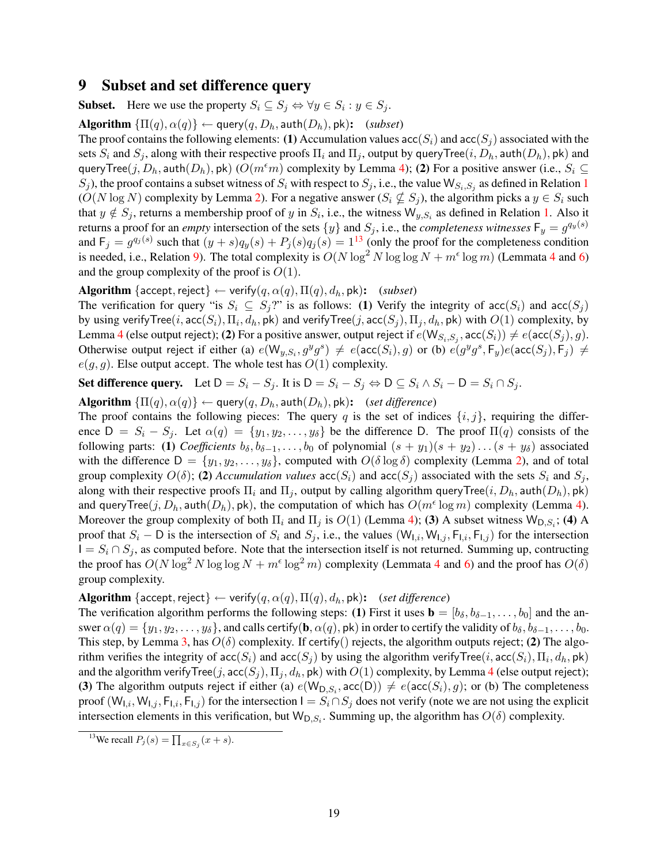# <span id="page-18-0"></span>9 Subset and set difference query

**Subset.** Here we use the property  $S_i \subseteq S_j \Leftrightarrow \forall y \in S_i : y \in S_j$ .

Algorithm  $\{\Pi(q), \alpha(q)\} \leftarrow$  query $(q, D_h, \text{auth}(D_h), \text{pk})$ : (*subset*)

The proof contains the following elements: (1) Accumulation values  $\operatorname{acc}(S_i)$  and  $\operatorname{acc}(S_j)$  associated with the sets  $S_i$  and  $S_j$ , along with their respective proofs  $\Pi_i$  and  $\Pi_j$ , output by query Tree $(i, D_h)$ , auth $(D_h)$ , pk) and queryTree(j, D<sub>h</sub>, auth(D<sub>h</sub>), pk) ( $O(m<sup>\epsilon</sup>m)$  complexity by Lemma [4\)](#page-7-2); (2) For a positive answer (i.e.,  $S_i \subseteq$  $S_j$ ), the proof contains a subset witness of  $S_i$  with respect to  $S_j$ , i.e., the value  $W_{S_i,S_j}$  as defined in Relation [1](#page-3-3)  $(O(N \log N)$  complexity by Lemma [2\)](#page-6-3). For a negative answer  $(S_i \nsubseteq S_j)$ , the algorithm picks a  $y \in S_i$  such that  $y \notin S_j$ , returns a membership proof of y in  $S_i$ , i.e., the witness  $W_{y,S_i}$  as defined in Relation [1.](#page-3-3) Also it returns a proof for an *empty* intersection of the sets  $\{y\}$  and  $S_j$ , i.e., the *completeness witnesses*  $F_y = g^{q_y(s)}$ and  $F_j = g^{q_j(s)}$  such that  $(y + s)q_y(s) + P_j(s)q_j(s) = 1^{13}$  $(y + s)q_y(s) + P_j(s)q_j(s) = 1^{13}$  $(y + s)q_y(s) + P_j(s)q_j(s) = 1^{13}$  (only the proof for the completeness condition is needed, i.e., Relation [9\)](#page-9-1). The total complexity is  $O(N \log^2 N \log \log N + m^{\epsilon} \log m)$  (Lemmata [4](#page-7-2) and [6\)](#page-8-1) and the group complexity of the proof is  $O(1)$ .

Algorithm {accept, reject}  $\leftarrow$  verify $(q, \alpha(q), \Pi(q), d_h, \text{pk})$ : (*subset*)

The verification for query "is  $S_i \subseteq S_i$ ?" is as follows: (1) Verify the integrity of  $\operatorname{acc}(S_i)$  and  $\operatorname{acc}(S_j)$ by using verifyTree $(i, \mathsf{acc}(S_i), \Pi_i, d_h, \mathsf{pk})$  and verifyTree $(j, \mathsf{acc}(S_j), \Pi_j, d_h, \mathsf{pk})$  with  $O(1)$  complexity, by Lemma [4](#page-7-2) (else output reject); (2) For a positive answer, output reject if  $e(\mathsf{W}_{S_i,S_j}, \mathsf{acc}(S_i)) \neq e(\mathsf{acc}(S_j), g).$ Otherwise output reject if either (a)  $e(W_{y,S_i},g^yg^s) \neq e(\mathsf{acc}(S_i),g)$  or (b)  $e(g^yg^s,\mathsf{F}_y)e(\mathsf{acc}(S_j),\mathsf{F}_j) \neq$  $e(g, g)$ . Else output accept. The whole test has  $O(1)$  complexity.

Set difference query. Let  $D = S_i - S_j$ . It is  $D = S_i - S_j \Leftrightarrow D \subseteq S_i \wedge S_i - D = S_i \cap S_j$ .

Algorithm  $\{\Pi(q), \alpha(q)\} \leftarrow$  query $(q, D_h, \text{auth}(D_h), \text{pk})$ : (*set difference*)

The proof contains the following pieces: The query q is the set of indices  $\{i, j\}$ , requiring the difference  $D = S_i - S_j$ . Let  $\alpha(q) = \{y_1, y_2, \dots, y_\delta\}$  be the difference D. The proof  $\Pi(q)$  consists of the following parts: (1) *Coefficients*  $b_{\delta}, b_{\delta-1}, \ldots, b_0$  of polynomial  $(s + y_1)(s + y_2) \ldots (s + y_{\delta})$  associated with the difference  $D = \{y_1, y_2, \ldots, y_\delta\}$ , computed with  $O(\delta \log \delta)$  complexity (Lemma [2\)](#page-6-3), and of total group complexity  $O(\delta)$ ; (2) *Accumulation values*  $\operatorname{acc}(S_i)$  and  $\operatorname{acc}(S_j)$  associated with the sets  $S_i$  and  $S_j$ , along with their respective proofs  $\Pi_i$  and  $\Pi_j$ , output by calling algorithm queryTree(i,  $D_h$ , auth( $D_h$ ), pk) and queryTree $(j, D_h, \textsf{auth}(D_h), \textsf{pk})$ , the computation of which has  $O(m^{\epsilon} \log m)$  complexity (Lemma [4\)](#page-7-2). Moreover the group complexity of both  $\Pi_i$  and  $\Pi_j$  is  $O(1)$  (Lemma [4\)](#page-7-2); (3) A subset witness  $W_{D,S_i}$ ; (4) A proof that  $S_i$  − D is the intersection of  $S_i$  and  $S_j$ , i.e., the values  $(\mathsf{W}_{1,i}, \mathsf{W}_{1,j}, \mathsf{F}_{1,i}, \mathsf{F}_{1,j})$  for the intersection  $I = S_i \cap S_j$ , as computed before. Note that the intersection itself is not returned. Summing up, contructing the proof has  $O(N \log^2 N \log \log N + m^{\epsilon} \log^2 m)$  complexity (Lemmata [4](#page-7-2) and [6\)](#page-8-1) and the proof has  $O(\delta)$ group complexity.

### **Algorithm** {accept, reject}  $\leftarrow$  verify $(q, \alpha(q), \Pi(q), d_h, \text{pk})$ : (*set difference*)

The verification algorithm performs the following steps: (1) First it uses  $\mathbf{b} = [b_{\delta}, b_{\delta-1}, \ldots, b_0]$  and the answer  $\alpha(q) = \{y_1, y_2, \dots, y_\delta\}$ , and calls certify(**b**,  $\alpha(q)$ , **pk**) in order to certify the validity of  $b_\delta, b_{\delta-1}, \dots, b_0$ . This step, by Lemma [3,](#page-7-3) has  $O(\delta)$  complexity. If certify() rejects, the algorithm outputs reject; (2) The algorithm verifies the integrity of  $\mathsf{acc}(S_i)$  and  $\mathsf{acc}(S_j)$  by using the algorithm verifyTree $(i, \mathsf{acc}(S_i), \Pi_i, d_h, \mathsf{pk})$ and the algorithm verify Tree(j,  $acc(S_j)$ ,  $\Pi_j$ ,  $d_h$ ,  $pk$ ) with  $O(1)$  complexity, by Lemma [4](#page-7-2) (else output reject); (3) The algorithm outputs reject if either (a)  $e(W_{D,S_i}, acc(D)) \neq e(acc(S_i), g)$ ; or (b) The completeness proof  $(W_{1,i}, W_{1,j}, F_{1,i}, F_{1,j})$  for the intersection  $I = S_i \cap S_j$  does not verify (note we are not using the explicit intersection elements in this verification, but  $W_{D,S_i}$ . Summing up, the algorithm has  $O(\delta)$  complexity.

<span id="page-18-1"></span><sup>&</sup>lt;sup>13</sup>We recall  $P_j(s) = \prod_{x \in S_j} (x + s)$ .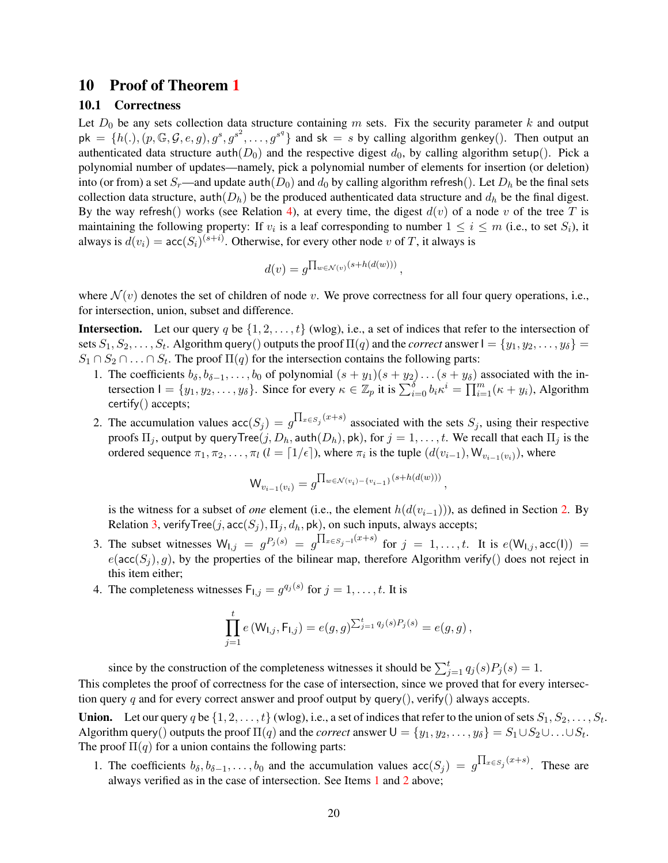# 10 Proof of Theorem [1](#page-9-0)

### 10.1 Correctness

Let  $D_0$  be any sets collection data structure containing m sets. Fix the security parameter k and output  $pk = \{h(.), (p, \mathbb{G}, \mathcal{G}, e, g), g^s, g^{s^2}, \ldots, g^{s^q}\}\$ and sk = s by calling algorithm genkey(). Then output an authenticated data structure auth $(D_0)$  and the respective digest  $d_0$ , by calling algorithm setup(). Pick a polynomial number of updates—namely, pick a polynomial number of elements for insertion (or deletion) into (or from) a set  $S_r$ —and update auth( $D_0$ ) and  $d_0$  by calling algorithm refresh(). Let  $D_h$  be the final sets collection data structure, auth $(D_h)$  be the produced authenticated data structure and  $d_h$  be the final digest. By the way refresh() works (see Relation [4\)](#page-6-4), at every time, the digest  $d(v)$  of a node v of the tree T is maintaining the following property: If  $v_i$  is a leaf corresponding to number  $1 \le i \le m$  (i.e., to set  $S_i$ ), it always is  $d(v_i) = \text{acc}(S_i)^{(s+i)}$ . Otherwise, for every other node v of T, it always is

$$
d(v) = g^{\prod_{w \in \mathcal{N}(v)} (s + h(d(w)))}
$$

,

where  $\mathcal{N}(v)$  denotes the set of children of node v. We prove correctness for all four query operations, i.e., for intersection, union, subset and difference.

**Intersection.** Let our query q be  $\{1, 2, \ldots, t\}$  (wlog), i.e., a set of indices that refer to the intersection of sets  $S_1, S_2, \ldots, S_t$ . Algorithm query() outputs the proof  $\Pi(q)$  and the *correct* answer  $I = \{y_1, y_2, \ldots, y_\delta\}$  $S_1 \cap S_2 \cap \ldots \cap S_t$ . The proof  $\Pi(q)$  for the intersection contains the following parts:

- <span id="page-19-0"></span>1. The coefficients  $b_\delta, b_{\delta-1}, \ldots, b_0$  of polynomial  $(s + y_1)(s + y_2) \ldots (s + y_\delta)$  associated with the intersection  $I = \{y_1, y_2, \dots, y_\delta\}$ . Since for every  $\kappa \in \mathbb{Z}_p$  it is  $\sum_{i=0}^{\delta} b_i \kappa^i = \prod_{i=1}^m (\kappa + y_i)$ , Algorithm certify() accepts;
- <span id="page-19-1"></span>2. The accumulation values  $\operatorname{acc}(S_j) = g^{\prod_{x \in S_j}(x+s)}$  associated with the sets  $S_j$ , using their respective proofs  $\Pi_i$ , output by queryTree $(j, D_h, \text{auth}(D_h), \text{pk})$ , for  $j = 1, \ldots, t$ . We recall that each  $\Pi_i$  is the ordered sequence  $\pi_1, \pi_2, \ldots, \pi_l$  ( $l = \lceil 1/\epsilon \rceil$ ), where  $\pi_i$  is the tuple  $(d(v_{i-1}), W_{v_{i-1}(v_i)})$ , where

$$
W_{v_{i-1}(v_i)} = g^{\prod_{w \in \mathcal{N}(v_i) - \{v_{i-1}\}(s + h(d(w)))}},
$$

is the witness for a subset of *one* element (i.e., the element  $h(d(v_{i-1})))$ , as defined in Section [2.](#page-3-2) By Relation [3,](#page-5-2) verify Tree(j,  $\operatorname{acc}(S_i)$ ,  $\Pi_i$ ,  $d_h$ ,  $\operatorname{pk}$ ), on such inputs, always accepts;

- 3. The subset witnesses  $W_{1,j} = g^{P_j(s)} = g^{\prod_{x \in S_j-1}(x+s)}$  for  $j = 1, \ldots, t$ . It is  $e(W_{1,j}, \text{acc}(I)) =$  $e(\textsf{acc}(S_i), g)$ , by the properties of the bilinear map, therefore Algorithm verify() does not reject in this item either;
- 4. The completeness witnesses  $F_{1,j} = g^{q_j(s)}$  for  $j = 1, ..., t$ . It is

$$
\prod_{j=1}^t e(\mathsf{W}_{\mathsf{I},j},\mathsf{F}_{\mathsf{I},j}) = e(g,g)^{\sum_{j=1}^t q_j(s)P_j(s)} = e(g,g),
$$

since by the construction of the completeness witnesses it should be  $\sum_{j=1}^{t} q_j(s) P_j(s) = 1$ . This completes the proof of correctness for the case of intersection, since we proved that for every intersection query q and for every correct answer and proof output by query(), verify() always accepts.

**Union.** Let our query q be  $\{1, 2, \ldots, t\}$  (wlog), i.e., a set of indices that refer to the union of sets  $S_1, S_2, \ldots, S_t$ . Algorithm query() outputs the proof  $\Pi(q)$  and the *correct* answer  $U = \{y_1, y_2, \dots, y_\delta\} = S_1 \cup S_2 \cup \dots \cup S_t$ . The proof  $\Pi(q)$  for a union contains the following parts:

1. The coefficients  $b_\delta, b_{\delta-1}, \ldots, b_0$  and the accumulation values  $\operatorname{acc}(S_j) = g^{\prod_{x \in S_j}(x+s)}$ . These are always verified as in the case of intersection. See Items [1](#page-19-0) and [2](#page-19-1) above;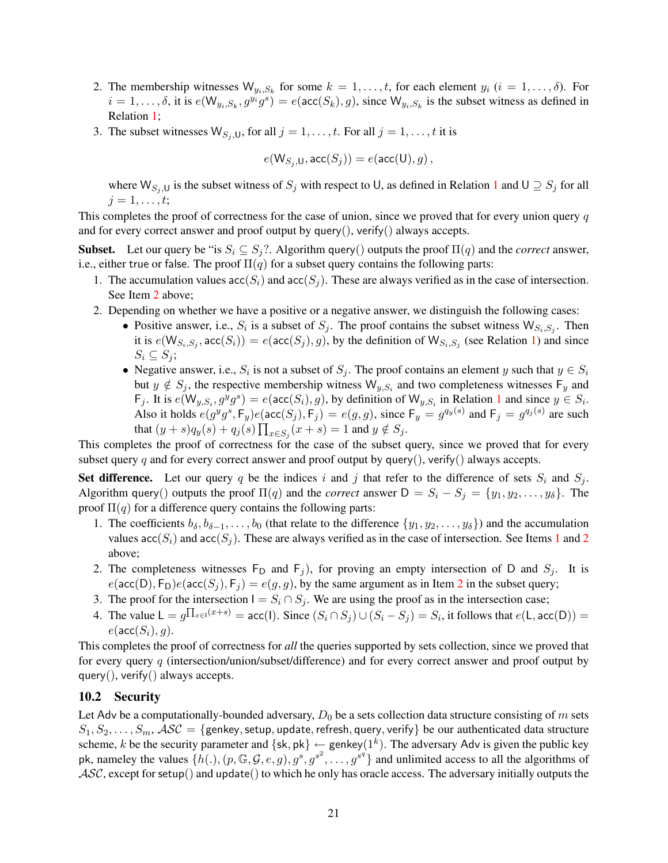- 2. The membership witnesses  $W_{y_i, S_k}$  for some  $k = 1, \ldots, t$ , for each element  $y_i$   $(i = 1, \ldots, \delta)$ . For  $i = 1, \ldots, \delta$ , it is  $e(W_{y_i, S_k}, g^{y_i}g^s) = e(\text{acc}(S_k), g)$ , since  $W_{y_i, S_k}$  is the subset witness as defined in Relation [1;](#page-3-3)
- 3. The subset witnesses  $W_{S_i, U}$ , for all  $j = 1, \ldots, t$ . For all  $j = 1, \ldots, t$  it is

$$
e(\mathsf{W}_{S_j,\mathsf{U}}, \mathsf{acc}(S_j)) = e(\mathsf{acc}(\mathsf{U}), g)\,,
$$

where  $W_{S_i, U}$  is the subset witness of  $S_j$  with respect to U, as defined in Relation [1](#page-3-3) and  $U \supseteq S_j$  for all  $j=1,\ldots,t;$ 

This completes the proof of correctness for the case of union, since we proved that for every union query q and for every correct answer and proof output by query(), verify() always accepts.

**Subset.** Let our query be "is  $S_i \subseteq S_j$ ?. Algorithm query() outputs the proof  $\Pi(q)$  and the *correct* answer, i.e., either true or false. The proof  $\Pi(q)$  for a subset query contains the following parts:

- 1. The accumulation values  $\text{acc}(S_i)$  and  $\text{acc}(S_j)$ . These are always verified as in the case of intersection. See Item [2](#page-19-1) above;
- <span id="page-20-0"></span>2. Depending on whether we have a positive or a negative answer, we distinguish the following cases:
	- Positive answer, i.e.,  $S_i$  is a subset of  $S_j$ . The proof contains the subset witness  $W_{S_i, S_j}$ . Then it is  $e(W_{S_i, S_j}, acc(S_i)) = e(acc(S_j), g)$ , by the definition of  $W_{S_i, S_j}$  (see Relation [1\)](#page-3-3) and since  $S_i \subseteq S_j$ ;
	- Negative answer, i.e.,  $S_i$  is not a subset of  $S_j$ . The proof contains an element y such that  $y \in S_i$ but  $y \notin S_j$ , the respective membership witness  $W_{y,S_i}$  and two completeness witnesses  $F_y$  and  $F_j$ . It is  $e(W_{y,S_i}, g^y g^s) = e(\text{acc}(S_i), g)$ , by definition of  $W_{y,S_i}$  in Relation [1](#page-3-3) and since  $y \in S_i$ . Also it holds  $e(g^yg^s, F_y)e(\text{acc}(S_j), F_j) = e(g, g)$ , since  $F_y = g^{q_y(s)}$  and  $F_j = g^{q_j(s)}$  are such that  $(y + s)q_y(s) + q_j(s) \prod_{x \in S_j} (x + s) = 1$  and  $y \notin S_j$ .

This completes the proof of correctness for the case of the subset query, since we proved that for every subset query q and for every correct answer and proof output by query(), verify() always accepts.

Set difference. Let our query q be the indices i and j that refer to the difference of sets  $S_i$  and  $S_j$ . Algorithm query() outputs the proof  $\Pi(q)$  and the *correct* answer  $D = S_i - S_j = \{y_1, y_2, \ldots, y_\delta\}$ . The proof  $\Pi(q)$  for a difference query contains the following parts:

- 1. The coefficients  $b_\delta, b_{\delta-1}, \ldots, b_0$  (that relate to the difference  $\{y_1, y_2, \ldots, y_\delta\}$ ) and the accumulation values  $\text{acc}(S_i)$  and  $\text{acc}(S_j)$ . These are always verified as in the case of intersection. See Items [1](#page-19-0) and [2](#page-19-1) above;
- 2. The completeness witnesses  $F_D$  and  $F_j$ ), for proving an empty intersection of D and  $S_j$ . It is  $e(\text{acc}(D), F_D)e(\text{acc}(S_i), F_j) = e(g, g)$ , by the same argument as in Item [2](#page-20-0) in the subset query;
- 3. The proof for the intersection  $I = S_i \cap S_j$ . We are using the proof as in the intersection case;
- 4. The value  $\mathsf{L} = g^{\prod_{x \in \mathsf{I}} (x+s)} = \mathsf{acc}(\mathsf{I})$ . Since  $(S_i \cap S_j) \cup (S_i S_j) = S_i$ , it follows that  $e(\mathsf{L}, \mathsf{acc}(\mathsf{D})) =$  $e(\mathsf{acc}(S_i), g)$ .

This completes the proof of correctness for *all* the queries supported by sets collection, since we proved that for every query q (intersection/union/subset/difference) and for every correct answer and proof output by query(), verify() always accepts.

### 10.2 Security

Let Adv be a computationally-bounded adversary,  $D_0$  be a sets collection data structure consisting of m sets  $S_1, S_2, \ldots, S_m$ ,  $\mathcal{A}\mathcal{S}\mathcal{C} = \{\text{genkey}, \text{setup}, \text{update}, \text{refresh}, \text{query}, \text{verify}\}\$  be our authenticated data structure scheme, k be the security parameter and  $\{sk, pk\} \leftarrow$  genkey $(1^k)$ . The adversary Adv is given the public key pk, nameley the values  $\{h(.), (p, \mathbb{G}, \mathcal{G}, e, g), g^s, g^{s^2}, \ldots, g^{s^q}\}\$  and unlimited access to all the algorithms of  $\mathcal{A}\mathcal{S}\mathcal{C}$ , except for setup() and update() to which he only has oracle access. The adversary initially outputs the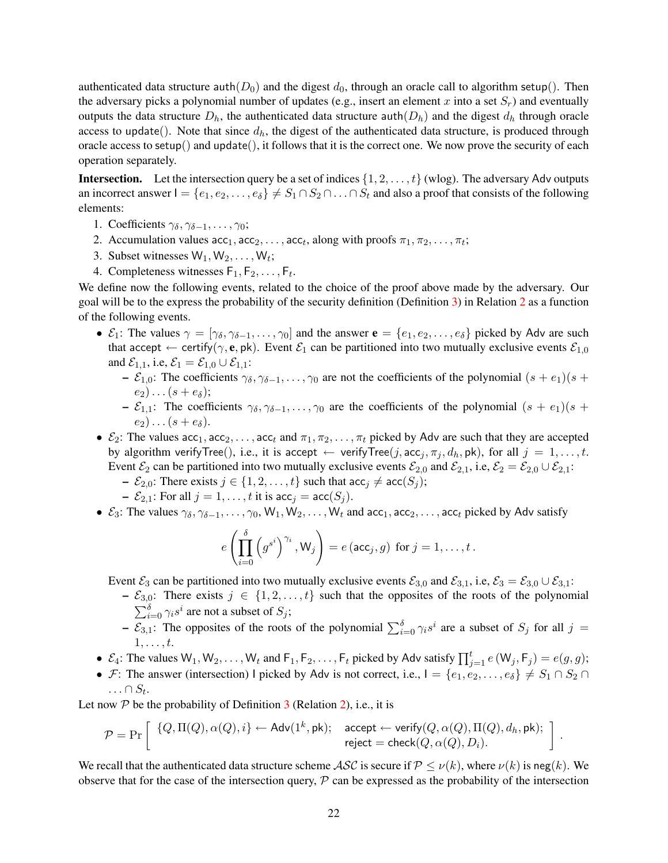authenticated data structure auth( $D_0$ ) and the digest  $d_0$ , through an oracle call to algorithm setup(). Then the adversary picks a polynomial number of updates (e.g., insert an element x into a set  $S_r$ ) and eventually outputs the data structure  $D_h$ , the authenticated data structure auth $(D_h)$  and the digest  $d_h$  through oracle access to update(). Note that since  $d<sub>h</sub>$ , the digest of the authenticated data structure, is produced through oracle access to setup() and update(), it follows that it is the correct one. We now prove the security of each operation separately.

**Intersection.** Let the intersection query be a set of indices  $\{1, 2, \ldots, t\}$  (wlog). The adversary Adv outputs an incorrect answer  $I = \{e_1, e_2, \ldots, e_\delta\} \neq S_1 \cap S_2 \cap \ldots \cap S_t$  and also a proof that consists of the following elements:

- 1. Coefficients  $\gamma_{\delta}, \gamma_{\delta-1}, \ldots, \gamma_0;$
- 2. Accumulation values  $acc_1, acc_2, \ldots, acc_t$ , along with proofs  $\pi_1, \pi_2, \ldots, \pi_t$ ;
- 3. Subset witnesses  $W_1, W_2, \ldots, W_t$ ;
- 4. Completeness witnesses  $F_1, F_2, \ldots, F_t$ .

We define now the following events, related to the choice of the proof above made by the adversary. Our goal will be to the express the probability of the security definition (Definition [3\)](#page-4-2) in Relation [2](#page-4-4) as a function of the following events.

- $\mathcal{E}_1$ : The values  $\gamma = [\gamma_{\delta}, \gamma_{\delta-1}, \dots, \gamma_0]$  and the answer  $\mathbf{e} = \{e_1, e_2, \dots, e_{\delta}\}$  picked by Adv are such that accept  $\leftarrow$  certify( $\gamma$ , e, pk). Event  $\mathcal{E}_1$  can be partitioned into two mutually exclusive events  $\mathcal{E}_{1,0}$ and  $\mathcal{E}_{1,1}$ , i.e,  $\mathcal{E}_1 = \mathcal{E}_{1,0} \cup \mathcal{E}_{1,1}$ :
	- $\mathcal{E}_{1,0}$ : The coefficients  $\gamma_{\delta}, \gamma_{\delta-1}, \ldots, \gamma_0$  are not the coefficients of the polynomial  $(s + e_1)(s +$  $(e_2) \ldots (s + e_\delta);$
	- $\mathcal{E}_{1,1}$ : The coefficients  $\gamma_{\delta}, \gamma_{\delta-1}, \ldots, \gamma_0$  are the coefficients of the polynomial  $(s + e_1)(s +$  $(e_2) \ldots (s + e_\delta).$
- $\mathcal{E}_2$ : The values  $acc_1, acc_2, \ldots, acc_t$  and  $\pi_1, \pi_2, \ldots, \pi_t$  picked by Adv are such that they are accepted by algorithm verifyTree(), i.e., it is accept  $\leftarrow$  verifyTree(j, acc<sub>j</sub>,  $\pi_j$ ,  $d_h$ , pk), for all  $j = 1, ..., t$ . Event  $\mathcal{E}_2$  can be partitioned into two mutually exclusive events  $\mathcal{E}_{2,0}$  and  $\mathcal{E}_{2,1}$ , i.e,  $\mathcal{E}_2 = \mathcal{E}_{2,0} \cup \mathcal{E}_{2,1}$ .
	- $\mathcal{E}_{2,0}$ : There exists  $j \in \{1, 2, \ldots, t\}$  such that  $\mathsf{acc}_j \neq \mathsf{acc}(S_j)$ ;
	- $-\mathcal{E}_{2,1}$ : For all  $j=1,\ldots,t$  it is acc<sub>j</sub> = acc( $S_j$ ).
- $\mathcal{E}_3$ : The values  $\gamma_{\delta}, \gamma_{\delta-1}, \ldots, \gamma_0, W_1, W_2, \ldots, W_t$  and  $acc_1, acc_2, \ldots, acc_t$  picked by Adv satisfy

$$
e\left(\prod_{i=0}^{\delta}\left(g^{s^i}\right)^{\gamma_i}, \mathsf{W}_j\right)=e\left(\mathsf{acc}_j, g\right) \text{ for } j=1,\ldots,t\,.
$$

Event  $\mathcal{E}_3$  can be partitioned into two mutually exclusive events  $\mathcal{E}_{3,0}$  and  $\mathcal{E}_{3,1}$ , i.e,  $\mathcal{E}_3 = \mathcal{E}_{3,0} \cup \mathcal{E}_{3,1}$ .

- $-\mathcal{E}_{3,0}$ : There exists  $j \in \{1, 2, \ldots, t\}$  such that the opposites of the roots of the polynomial  $\sum_{i=0}^{\delta} \gamma_i s^i$  are not a subset of  $S_j$ ;
- $\mathcal{E}_{3,1}$ : The opposites of the roots of the polynomial  $\sum_{i=0}^{\delta} \gamma_i s^i$  are a subset of  $S_j$  for all  $j =$  $1, \ldots, t$ .

.

- $\mathcal{E}_4$ : The values  $W_1, W_2, \ldots, W_t$  and  $F_1, F_2, \ldots, F_t$  picked by Adv satisfy  $\prod_{j=1}^t e(W_j, F_j) = e(g, g)$ ;
- F: The answer (intersection) I picked by Adv is not correct, i.e.,  $I = \{e_1, e_2, \ldots, e_\delta\} \neq S_1 \cap S_2 \cap I$  $\ldots \cap S_t$ .

Let now  $P$  be the probability of Definition [3](#page-4-2) (Relation [2\)](#page-4-4), i.e., it is

$$
\mathcal{P} = \Pr\left[\begin{array}{cc} \{Q,\Pi(Q),\alpha(Q),i\} \leftarrow \mathsf{Adv}(1^k,\mathsf{pk}); & \mathsf{accept} \leftarrow \mathsf{verify}(Q,\alpha(Q),\Pi(Q),d_h,\mathsf{pk}); \\ \mathsf{reject} = \mathsf{check}(Q,\alpha(Q),D_i).\end{array}\right] \right]
$$

We recall that the authenticated data structure scheme  $\mathcal{ASC}$  is secure if  $\mathcal{P} \leq \nu(k)$ , where  $\nu(k)$  is neg(k). We observe that for the case of the intersection query,  $P$  can be expressed as the probability of the intersection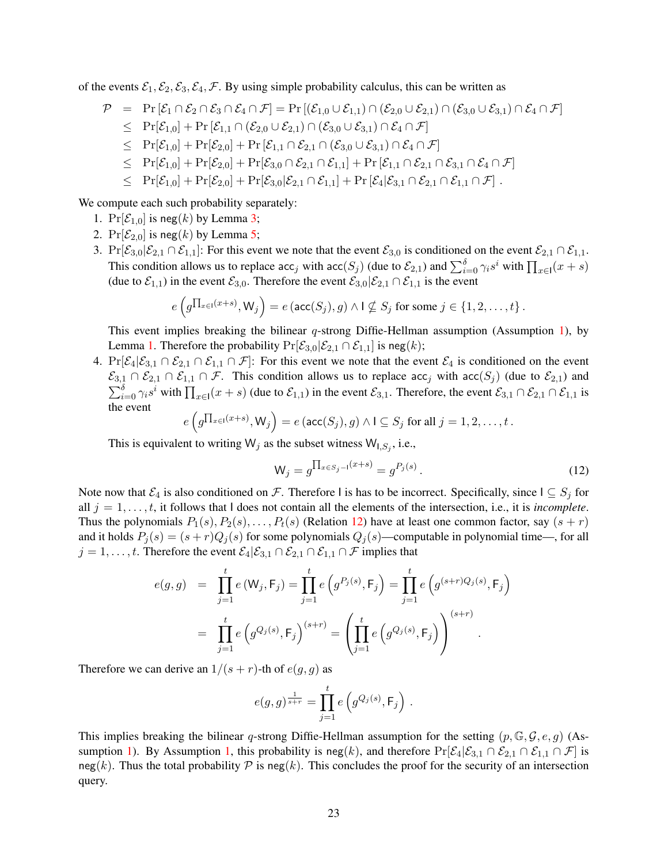of the events  $\mathcal{E}_1, \mathcal{E}_2, \mathcal{E}_3, \mathcal{E}_4, \mathcal{F}$ . By using simple probability calculus, this can be written as

$$
\mathcal{P} = \Pr\left[\mathcal{E}_1 \cap \mathcal{E}_2 \cap \mathcal{E}_3 \cap \mathcal{E}_4 \cap \mathcal{F}\right] = \Pr\left[\left(\mathcal{E}_{1,0} \cup \mathcal{E}_{1,1}\right) \cap \left(\mathcal{E}_{2,0} \cup \mathcal{E}_{2,1}\right) \cap \left(\mathcal{E}_{3,0} \cup \mathcal{E}_{3,1}\right) \cap \mathcal{E}_4 \cap \mathcal{F}\right]
$$

- $\leq$  Pr $[\mathcal{E}_{1,0}]$  + Pr $[\mathcal{E}_{1,1} \cap (\mathcal{E}_{2,0} \cup \mathcal{E}_{2,1}) \cap (\mathcal{E}_{3,0} \cup \mathcal{E}_{3,1}) \cap \mathcal{E}_4 \cap \mathcal{F}]$
- $\leq$  Pr $[\mathcal{E}_{1,0}]$  + Pr $[\mathcal{E}_{2,0}]$  + Pr $[\mathcal{E}_{1,1} \cap \mathcal{E}_{2,1} \cap (\mathcal{E}_{3,0} \cup \mathcal{E}_{3,1}) \cap \mathcal{E}_4 \cap \mathcal{F}]$
- $\leq$  Pr $[\mathcal{E}_{1,0}]$  + Pr $[\mathcal{E}_{2,0}]$  + Pr $[\mathcal{E}_{3,0} \cap \mathcal{E}_{2,1} \cap \mathcal{E}_{1,1}]$  + Pr $[\mathcal{E}_{1,1} \cap \mathcal{E}_{2,1} \cap \mathcal{E}_{3,1} \cap \mathcal{E}_4 \cap \mathcal{F}]$
- $\leq \Pr[\mathcal{E}_{1,0}] + \Pr[\mathcal{E}_{2,0}] + \Pr[\mathcal{E}_{3,0}|\mathcal{E}_{2,1} \cap \mathcal{E}_{1,1}] + \Pr[\mathcal{E}_4|\mathcal{E}_{3,1} \cap \mathcal{E}_{2,1} \cap \mathcal{E}_{1,1} \cap \mathcal{F}].$

We compute each such probability separately:

- 1.  $Pr[\mathcal{E}_{1,0}]$  is neg(k) by Lemma [3;](#page-7-3)
- 2.  $Pr[\mathcal{E}_{2,0}]$  is neg(k) by Lemma [5;](#page-7-1)
- 3. Pr[ $\mathcal{E}_{3,0}|\mathcal{E}_{2,1} \cap \mathcal{E}_{1,1}$ ]: For this event we note that the event  $\mathcal{E}_{3,0}$  is conditioned on the event  $\mathcal{E}_{2,1} \cap \mathcal{E}_{1,1}$ . This condition allows us to replace  $\operatorname{acc}_j$  with  $\operatorname{acc}(S_j)$  (due to  $\mathcal{E}_{2,1}$ ) and  $\sum_{i=0}^{\delta} \gamma_i s^i$  with  $\prod_{x \in I} (x + s)$ (due to  $\mathcal{E}_{1,1}$ ) in the event  $\mathcal{E}_{3,0}$ . Therefore the event  $\mathcal{E}_{3,0}|\mathcal{E}_{2,1} \cap \mathcal{E}_{1,1}$  is the event

$$
e\left(g^{\prod_{x\in I}(x+s)}, \mathsf{W}_j\right)=e\left(\mathsf{acc}(S_j), g\right) \wedge \mathsf{I} \nsubseteq S_j \text{ for some } j\in\{1,2,\ldots,t\}\,.
$$

This event implies breaking the bilinear  $q$ -strong Diffie-Hellman assumption (Assumption [1\)](#page-3-4), by Lemma [1.](#page-4-3) Therefore the probability  $Pr[\mathcal{E}_{3,0}|\mathcal{E}_{2,1} \cap \mathcal{E}_{1,1}]$  is neg(k);

4.  $Pr[\mathcal{E}_4|\mathcal{E}_{3,1} \cap \mathcal{E}_{2,1} \cap \mathcal{E}_{1,1} \cap \mathcal{F}]$ : For this event we note that the event  $\mathcal{E}_4$  is conditioned on the event  $\mathcal{E}_{3,1} \cap \mathcal{E}_{2,1} \cap \mathcal{E}_{1,1} \cap \mathcal{F}$ . This condition allows us to replace acc<sub>j</sub> with acc(S<sub>j</sub>) (due to  $\mathcal{E}_{2,1}$ ) and  $\sum_{i=0}^{\delta} \gamma_i s^i$  with  $\prod_{x \in I} (x+s)$  (due to  $\mathcal{E}_{1,1}$ ) in the event  $\mathcal{E}_{3,1}$ . Therefore, the event  $\mathcal{E}_{3,1} \cap \mathcal{E}_{2,1} \cap \mathcal{E}_{1,1}$  is the event

$$
e\left(g^{\prod_{x\in I}(x+s)}, \mathsf{W}_j\right)=e\left(\mathsf{acc}(S_j), g\right) \wedge \mathsf{I} \subseteq S_j \text{ for all } j=1,2,\ldots,t\,.
$$

This is equivalent to writing  $W_j$  as the subset witness  $W_{1,S_j}$ , i.e.,

<span id="page-22-0"></span>
$$
\mathsf{W}_{j} = g^{\prod_{x \in S_{j}-1}(x+s)} = g^{P_{j}(s)}.
$$
\n(12)

Note now that  $\mathcal{E}_4$  is also conditioned on F. Therefore I is has to be incorrect. Specifically, since  $I \subseteq S_i$  for all  $j = 1, \ldots, t$ , it follows that I does not contain all the elements of the intersection, i.e., it is *incomplete*. Thus the polynomials  $P_1(s), P_2(s), \ldots, P_t(s)$  (Relation [12\)](#page-22-0) have at least one common factor, say  $(s + r)$ and it holds  $P_j(s) = (s + r)Q_j(s)$  for some polynomials  $Q_j(s)$ —computable in polynomial time—, for all  $j = 1, \ldots, t$ . Therefore the event  $\mathcal{E}_4 | \mathcal{E}_{3,1} \cap \mathcal{E}_{2,1} \cap \mathcal{E}_{1,1} \cap \mathcal{F}$  implies that

$$
e(g,g) = \prod_{j=1}^{t} e(W_j, F_j) = \prod_{j=1}^{t} e(g^{P_j(s)}, F_j) = \prod_{j=1}^{t} e(g^{(s+r)Q_j(s)}, F_j)
$$
  
= 
$$
\prod_{j=1}^{t} e(g^{Q_j(s)}, F_j)^{(s+r)} = \left(\prod_{j=1}^{t} e(g^{Q_j(s)}, F_j)\right)^{(s+r)}
$$

Therefore we can derive an  $1/(s + r)$ -th of  $e(g, g)$  as

$$
e(g,g)^{\frac{1}{s+r}} = \prod_{j=1}^t e(g^{Q_j(s)}, \mathsf{F}_j) .
$$

This implies breaking the bilinear q-strong Diffie-Hellman assumption for the setting  $(p, \mathbb{G}, \mathcal{G}, e, g)$  (As-sumption [1\)](#page-3-4). By Assumption [1,](#page-3-4) this probability is neg(k), and therefore  $Pr[\mathcal{E}_4 | \mathcal{E}_{3,1} \cap \mathcal{E}_{2,1} \cap \mathcal{E}_{1,1} \cap \mathcal{F}]$  is neg(k). Thus the total probability  $P$  is neg(k). This concludes the proof for the security of an intersection query.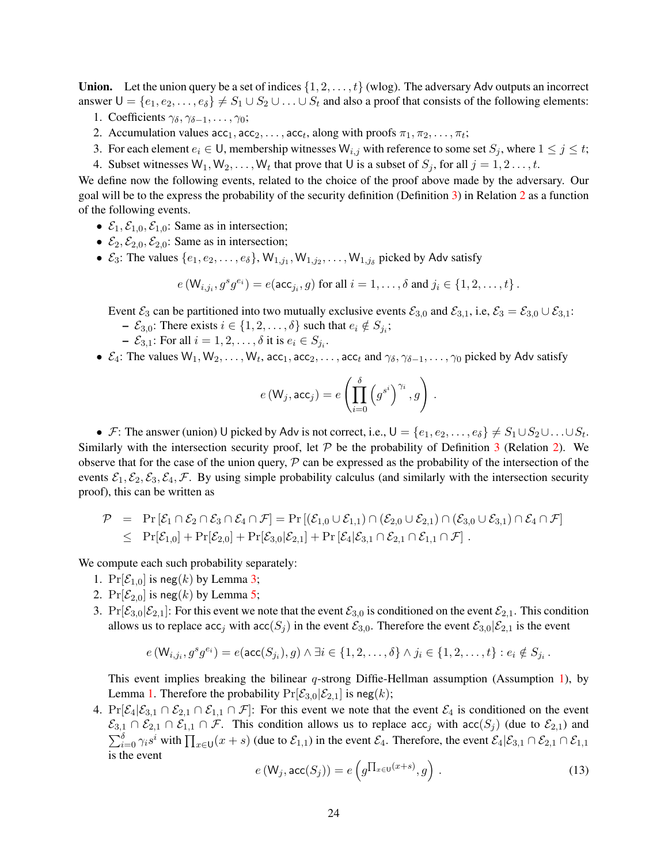**Union.** Let the union query be a set of indices  $\{1, 2, \ldots, t\}$  (wlog). The adversary Adv outputs an incorrect answer  $\mathsf{U} = \{e_1, e_2, \ldots, e_\delta\} \neq S_1 \cup S_2 \cup \ldots \cup S_t$  and also a proof that consists of the following elements:

- 1. Coefficients  $\gamma_{\delta}, \gamma_{\delta-1}, \ldots, \gamma_0;$
- 2. Accumulation values  $acc_1, acc_2, \ldots, acc_t$ , along with proofs  $\pi_1, \pi_2, \ldots, \pi_t$ ;
- 3. For each element  $e_i \in U$ , membership witnesses  $W_{i,j}$  with reference to some set  $S_j$ , where  $1 \leq j \leq t$ ;
- 4. Subset witnesses  $W_1, W_2, \ldots, W_t$  that prove that U is a subset of  $S_j$ , for all  $j = 1, 2, \ldots, t$ .

We define now the following events, related to the choice of the proof above made by the adversary. Our goal will be to the express the probability of the security definition (Definition [3\)](#page-4-2) in Relation [2](#page-4-4) as a function of the following events.

- $\mathcal{E}_1, \mathcal{E}_{1,0}, \mathcal{E}_{1,0}$ : Same as in intersection;
- $\mathcal{E}_2, \mathcal{E}_{2,0}, \mathcal{E}_{2,0}$ : Same as in intersection;
- $\mathcal{E}_3$ : The values  $\{e_1, e_2, \ldots, e_\delta\}$ ,  $W_{1,j_1}, W_{1,j_2}, \ldots, W_{1,j_\delta}$  picked by Adv satisfy

$$
e\left(\mathsf{W}_{i,j_i}, g^s g^{e_i}\right) = e(\mathsf{acc}_{j_i}, g) \text{ for all } i = 1,\ldots,\delta \text{ and } j_i \in \{1,2,\ldots,t\}.
$$

Event  $\mathcal{E}_3$  can be partitioned into two mutually exclusive events  $\mathcal{E}_{3,0}$  and  $\mathcal{E}_{3,1}$ , i.e,  $\mathcal{E}_3 = \mathcal{E}_{3,0} \cup \mathcal{E}_{3,1}$ .

- $\mathcal{E}_{3,0}$ : There exists  $i \in \{1, 2, \ldots, \delta\}$  such that  $e_i \notin S_{j_i}$ ;
- $\mathcal{E}_{3,1}$ : For all  $i = 1, 2, \ldots, \delta$  it is  $e_i \in S_{j_i}$ .
- $\mathcal{E}_4$ : The values  $W_1, W_2, \ldots, W_t$ , acc<sub>1</sub>, acc<sub>2</sub>, . . . , acc<sub>t</sub> and  $\gamma_\delta, \gamma_{\delta-1}, \ldots, \gamma_0$  picked by Adv satisfy

$$
e\left(\mathsf{W}_{j}, \mathsf{acc}_{j}\right)=e\left(\prod_{i=0}^{\delta}\left(g^{s^{i}}\right)^{\gamma_{i}}, g\right).
$$

• F: The answer (union) U picked by Adv is not correct, i.e.,  $U = \{e_1, e_2, \ldots, e_\delta\} \neq S_1 \cup S_2 \cup \ldots \cup S_t$ . Similarly with the intersection security proof, let  $P$  be the probability of Definition [3](#page-4-2) (Relation [2\)](#page-4-4). We observe that for the case of the union query,  $\mathcal P$  can be expressed as the probability of the intersection of the events  $\mathcal{E}_1, \mathcal{E}_2, \mathcal{E}_3, \mathcal{E}_4, \mathcal{F}$ . By using simple probability calculus (and similarly with the intersection security proof), this can be written as

$$
\mathcal{P} = \Pr\left[\mathcal{E}_1 \cap \mathcal{E}_2 \cap \mathcal{E}_3 \cap \mathcal{E}_4 \cap \mathcal{F}\right] = \Pr\left[\left(\mathcal{E}_{1,0} \cup \mathcal{E}_{1,1}\right) \cap \left(\mathcal{E}_{2,0} \cup \mathcal{E}_{2,1}\right) \cap \left(\mathcal{E}_{3,0} \cup \mathcal{E}_{3,1}\right) \cap \mathcal{E}_4 \cap \mathcal{F}\right] \\ \leq \Pr[\mathcal{E}_{1,0}] + \Pr[\mathcal{E}_{2,0}] + \Pr[\mathcal{E}_{3,0}|\mathcal{E}_{2,1}] + \Pr\left[\mathcal{E}_4|\mathcal{E}_{3,1} \cap \mathcal{E}_{2,1} \cap \mathcal{E}_{1,1} \cap \mathcal{F}\right].
$$

We compute each such probability separately:

- 1.  $Pr[\mathcal{E}_{1,0}]$  is neg(k) by Lemma [3;](#page-7-3)
- 2.  $Pr[\mathcal{E}_{2,0}]$  is neg(k) by Lemma [5;](#page-7-1)
- 3.  $Pr[\mathcal{E}_{3,0}|\mathcal{E}_{2,1}]$ : For this event we note that the event  $\mathcal{E}_{3,0}$  is conditioned on the event  $\mathcal{E}_{2,1}$ . This condition allows us to replace  $\text{acc}_i$  with  $\text{acc}(S_i)$  in the event  $\mathcal{E}_{3,0}$ . Therefore the event  $\mathcal{E}_{3,0}|\mathcal{E}_{2,1}$  is the event

$$
e\left(\mathsf{W}_{i,j_i}, g^s g^{e_i}\right) = e(\mathsf{acc}(S_{j_i}), g) \land \exists i \in \{1, 2, \ldots, \delta\} \land j_i \in \{1, 2, \ldots, t\} : e_i \notin S_{j_i}.
$$

This event implies breaking the bilinear  $q$ -strong Diffie-Hellman assumption (Assumption [1\)](#page-3-4), by Lemma [1.](#page-4-3) Therefore the probability  $Pr[\mathcal{E}_{3,0}|\mathcal{E}_{2,1}]$  is neg(k);

4.  $Pr[\mathcal{E}_4|\mathcal{E}_{3,1} \cap \mathcal{E}_{2,1} \cap \mathcal{E}_{1,1} \cap \mathcal{F}]$ : For this event we note that the event  $\mathcal{E}_4$  is conditioned on the event  $\mathcal{E}_{3,1} \cap \mathcal{E}_{2,1} \cap \mathcal{E}_{1,1} \cap \mathcal{F}$ . This condition allows us to replace acc<sub>j</sub> with acc(S<sub>j</sub>) (due to  $\mathcal{E}_{2,1}$ ) and  $\sum_{i=0}^{\delta} \gamma_i s^i$  with  $\prod_{x \in U} (x + s)$  (due to  $\mathcal{E}_{1,1}$ ) in the event  $\mathcal{E}_4$ . Therefore, the event  $\mathcal{E}_4 | \mathcal{E}_{3,1} \cap \mathcal{E}_{2,1} \cap \mathcal{E}_{1,1}$ is the event

<span id="page-23-0"></span>
$$
e(\mathsf{W}_j,\mathsf{acc}(S_j)) = e\left(g^{\prod_{x \in \mathsf{U}}(x+s)},g\right).
$$
 (13)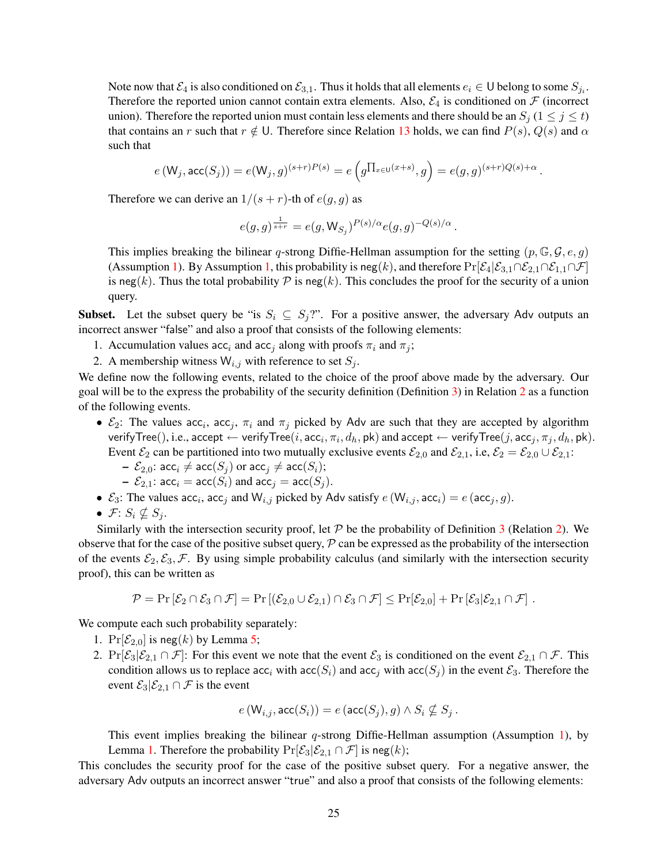Note now that  $\mathcal{E}_4$  is also conditioned on  $\mathcal{E}_{3,1}$ . Thus it holds that all elements  $e_i \in \mathsf{U}$  belong to some  $S_{j_i}$ . Therefore the reported union cannot contain extra elements. Also,  $\mathcal{E}_4$  is conditioned on  $\mathcal F$  (incorrect union). Therefore the reported union must contain less elements and there should be an  $S_i$  ( $1 \leq j \leq t$ ) that contains an r such that  $r \notin U$ . Therefore since Relation [13](#page-23-0) holds, we can find  $P(s)$ ,  $Q(s)$  and  $\alpha$ such that

$$
e(W_j, \mathsf{acc}(S_j)) = e(W_j, g)^{(s+r)P(s)} = e\left(g\Pi_{x \in U}(x+s), g\right) = e(g, g)^{(s+r)Q(s)+\alpha}.
$$

Therefore we can derive an  $1/(s + r)$ -th of  $e(g, g)$  as

$$
e(g,g)^{\frac{1}{s+r}} = e(g,{\sf W}_{S_j})^{P(s)/\alpha} e(g,g)^{-Q(s)/\alpha}.
$$

This implies breaking the bilinear q-strong Diffie-Hellman assumption for the setting  $(p, \mathbb{G}, \mathcal{G}, e, g)$ (Assumption [1\)](#page-3-4). By Assumption [1,](#page-3-4) this probability is neg(k), and therefore  $Pr[\mathcal{E}_4|\mathcal{E}_{3,1} \cap \mathcal{E}_{2,1} \cap \mathcal{F}_1]$ is neg(k). Thus the total probability  $P$  is neg(k). This concludes the proof for the security of a union query.

**Subset.** Let the subset query be "is  $S_i \subseteq S_j$ ?". For a positive answer, the adversary Adv outputs an incorrect answer "false" and also a proof that consists of the following elements:

- 1. Accumulation values acc<sub>i</sub> and acc<sub>j</sub> along with proofs  $\pi_i$  and  $\pi_j$ ;
- 2. A membership witness  $W_{i,j}$  with reference to set  $S_j$ .

We define now the following events, related to the choice of the proof above made by the adversary. Our goal will be to the express the probability of the security definition (Definition [3\)](#page-4-2) in Relation [2](#page-4-4) as a function of the following events.

•  $\mathcal{E}_2$ : The values acc<sub>i</sub>, acc<sub>j</sub>,  $\pi_i$  and  $\pi_j$  picked by Adv are such that they are accepted by algorithm verifyTree(), i.e., accept  $\leftarrow$  verifyTree $(i,\texttt{acc}_i,\pi_i,d_h,\textsf{pk})$  and accept  $\leftarrow$  verifyTree( $j,\texttt{acc}_j,\pi_j,d_h,\textsf{pk})$ . Event  $\mathcal{E}_2$  can be partitioned into two mutually exclusive events  $\mathcal{E}_{2,0}$  and  $\mathcal{E}_{2,1}$ , i.e,  $\mathcal{E}_2 = \mathcal{E}_{2,0} \cup \mathcal{E}_{2,1}$ :

$$
- \mathcal{E}_{2,0}: \mathsf{acc}_i \neq \mathsf{acc}(S_j) \text{ or } \mathsf{acc}_j \neq \mathsf{acc}(S_i);
$$

$$
- \mathcal{E}_{2,1}: \mathsf{acc}_i = \mathsf{acc}(S_i) \text{ and } \mathsf{acc}_j = \mathsf{acc}(S_j).
$$

•  $\mathcal{E}_3$ : The values acc<sub>i</sub>, acc<sub>j</sub> and  $\mathsf{W}_{i,j}$  picked by Adv satisfy  $e(\mathsf{W}_{i,j}, \text{acc}_i) = e(\text{acc}_j, g)$ .

• 
$$
\mathcal{F}: S_i \nsubseteq S_j
$$
.

Similarly with the intersection security proof, let  $P$  be the probability of Definition [3](#page-4-2) (Relation [2\)](#page-4-4). We observe that for the case of the positive subset query,  $P$  can be expressed as the probability of the intersection of the events  $\mathcal{E}_2, \mathcal{E}_3, \mathcal{F}$ . By using simple probability calculus (and similarly with the intersection security proof), this can be written as

$$
\mathcal{P} = \Pr\left[\mathcal{E}_2 \cap \mathcal{E}_3 \cap \mathcal{F}\right] = \Pr\left[\left(\mathcal{E}_{2,0} \cup \mathcal{E}_{2,1}\right) \cap \mathcal{E}_3 \cap \mathcal{F}\right] \leq \Pr[\mathcal{E}_{2,0}] + \Pr\left[\mathcal{E}_3 | \mathcal{E}_{2,1} \cap \mathcal{F}\right].
$$

We compute each such probability separately:

- 1.  $Pr[\mathcal{E}_{2,0}]$  is neg(k) by Lemma [5;](#page-7-1)
- 2. Pr[ $\mathcal{E}_3|\mathcal{E}_{2,1} \cap \mathcal{F}$ ]: For this event we note that the event  $\mathcal{E}_3$  is conditioned on the event  $\mathcal{E}_{2,1} \cap \mathcal{F}$ . This condition allows us to replace  $acc_i$  with  $acc(S_i)$  and  $acc_j$  with  $acc(S_j)$  in the event  $\mathcal{E}_3$ . Therefore the event  $\mathcal{E}_3|\mathcal{E}_{2,1} \cap \mathcal{F}$  is the event

$$
e(\mathsf{W}_{i,j}, \mathsf{acc}(S_i)) = e(\mathsf{acc}(S_j), g) \wedge S_i \nsubseteq S_j.
$$

This event implies breaking the bilinear  $q$ -strong Diffie-Hellman assumption (Assumption [1\)](#page-3-4), by Lemma [1.](#page-4-3) Therefore the probability  $Pr[\mathcal{E}_3|\mathcal{E}_{2,1} \cap \mathcal{F}]$  is neg(k);

This concludes the security proof for the case of the positive subset query. For a negative answer, the adversary Adv outputs an incorrect answer "true" and also a proof that consists of the following elements: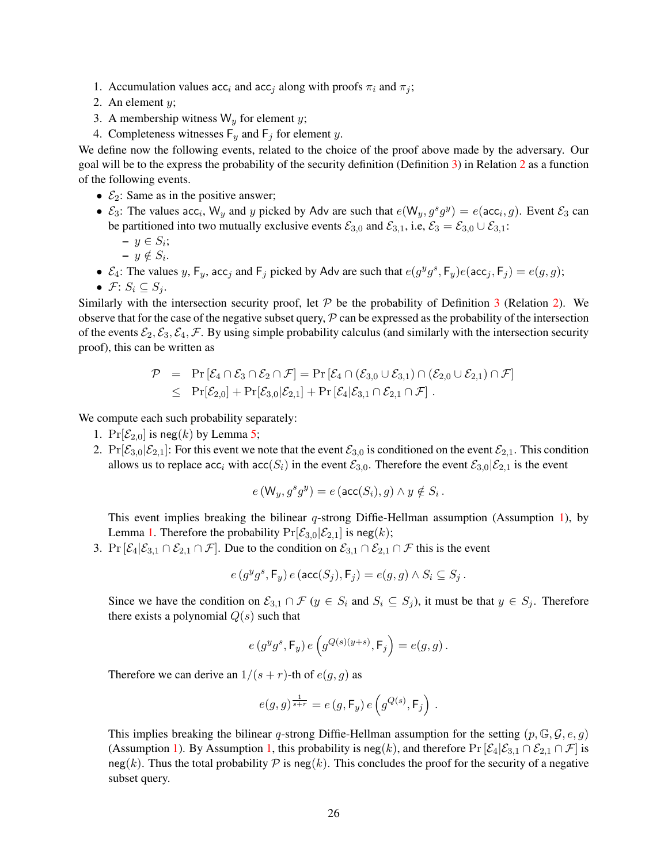- 1. Accumulation values acc<sub>i</sub> and acc<sub>j</sub> along with proofs  $\pi_i$  and  $\pi_j$ ;
- 2. An element  $y$ ;
- 3. A membership witness  $W_y$  for element y;
- 4. Completeness witnesses  $F_y$  and  $F_j$  for element y.

We define now the following events, related to the choice of the proof above made by the adversary. Our goal will be to the express the probability of the security definition (Definition [3\)](#page-4-2) in Relation [2](#page-4-4) as a function of the following events.

- $\mathcal{E}_2$ : Same as in the positive answer;
- $\mathcal{E}_3$ : The values acc<sub>i</sub>, W<sub>y</sub> and y picked by Adv are such that  $e(W_y, g^s g^y) = e(\text{acc}_i, g)$ . Event  $\mathcal{E}_3$  can be partitioned into two mutually exclusive events  $\mathcal{E}_{3,0}$  and  $\mathcal{E}_{3,1}$ , i.e,  $\mathcal{E}_3 = \mathcal{E}_{3,0} \cup \mathcal{E}_{3,1}$ :

$$
-y \in S_i
$$

;

.

$$
- y \notin S_i
$$

- $\mathcal{E}_4$ : The values y,  $F_y$ , acc<sub>j</sub> and  $F_j$  picked by Adv are such that  $e(g^y g^s, F_y)e(\text{acc}_j, F_j) = e(g, g);$
- $\mathcal{F}: S_i \subseteq S_j$ .

Similarly with the intersection security proof, let  $P$  be the probability of Definition [3](#page-4-2) (Relation [2\)](#page-4-4). We observe that for the case of the negative subset query,  $P$  can be expressed as the probability of the intersection of the events  $\mathcal{E}_2, \mathcal{E}_3, \mathcal{E}_4, \mathcal{F}$ . By using simple probability calculus (and similarly with the intersection security proof), this can be written as

$$
\mathcal{P} = \Pr \left[ \mathcal{E}_4 \cap \mathcal{E}_3 \cap \mathcal{E}_2 \cap \mathcal{F} \right] = \Pr \left[ \mathcal{E}_4 \cap (\mathcal{E}_{3,0} \cup \mathcal{E}_{3,1}) \cap (\mathcal{E}_{2,0} \cup \mathcal{E}_{2,1}) \cap \mathcal{F} \right]
$$
  
\n
$$
\leq \Pr[\mathcal{E}_{2,0}] + \Pr[\mathcal{E}_{3,0} | \mathcal{E}_{2,1}] + \Pr \left[ \mathcal{E}_4 | \mathcal{E}_{3,1} \cap \mathcal{E}_{2,1} \cap \mathcal{F} \right].
$$

We compute each such probability separately:

- 1.  $Pr[\mathcal{E}_{2,0}]$  is neg(k) by Lemma [5;](#page-7-1)
- 2.  $Pr[\mathcal{E}_{3,0}|\mathcal{E}_{2,1}]$ : For this event we note that the event  $\mathcal{E}_{3,0}$  is conditioned on the event  $\mathcal{E}_{2,1}$ . This condition allows us to replace acc<sub>i</sub> with acc(S<sub>i</sub>) in the event  $\mathcal{E}_{3,0}$ . Therefore the event  $\mathcal{E}_{3,0}|\mathcal{E}_{2,1}$  is the event

$$
e\left(\mathsf{W}_{y}, g^{s}g^{y}\right) = e\left(\mathsf{acc}(S_{i}), g\right) \wedge y \notin S_{i}.
$$

This event implies breaking the bilinear  $q$ -strong Diffie-Hellman assumption (Assumption [1\)](#page-3-4), by Lemma [1.](#page-4-3) Therefore the probability  $Pr[\mathcal{E}_{3,0}|\mathcal{E}_{2,1}]$  is neg(k);

3. Pr  $[\mathcal{E}_4|\mathcal{E}_{3,1} \cap \mathcal{E}_{2,1} \cap \mathcal{F}]$ . Due to the condition on  $\mathcal{E}_{3,1} \cap \mathcal{E}_{2,1} \cap \mathcal{F}$  this is the event

$$
e(g^yg^s, \mathsf{F}_y) e(\mathsf{acc}(S_j), \mathsf{F}_j) = e(g, g) \wedge S_i \subseteq S_j.
$$

Since we have the condition on  $\mathcal{E}_{3,1} \cap \mathcal{F}$  ( $y \in S_i$  and  $S_i \subseteq S_j$ ), it must be that  $y \in S_j$ . Therefore there exists a polynomial  $Q(s)$  such that

$$
e(g^y g^s, F_y) e(g^{Q(s)(y+s)}, F_j) = e(g, g).
$$

Therefore we can derive an  $1/(s + r)$ -th of  $e(g, g)$  as

$$
e(g,g)^{\frac{1}{s+r}}=e\left(g,\mathsf{F}_{y}\right)e\left(g^{Q(s)},\mathsf{F}_{j}\right)\,.
$$

This implies breaking the bilinear q-strong Diffie-Hellman assumption for the setting  $(p, \mathbb{G}, \mathcal{G}, e, g)$ (Assumption [1\)](#page-3-4). By Assumption [1,](#page-3-4) this probability is neg(k), and therefore  $Pr[\mathcal{E}_4|\mathcal{E}_{3,1}\cap \mathcal{E}_{2,1}\cap \mathcal{F}]$  is  $neg(k)$ . Thus the total probability  $\mathcal P$  is neg(k). This concludes the proof for the security of a negative subset query.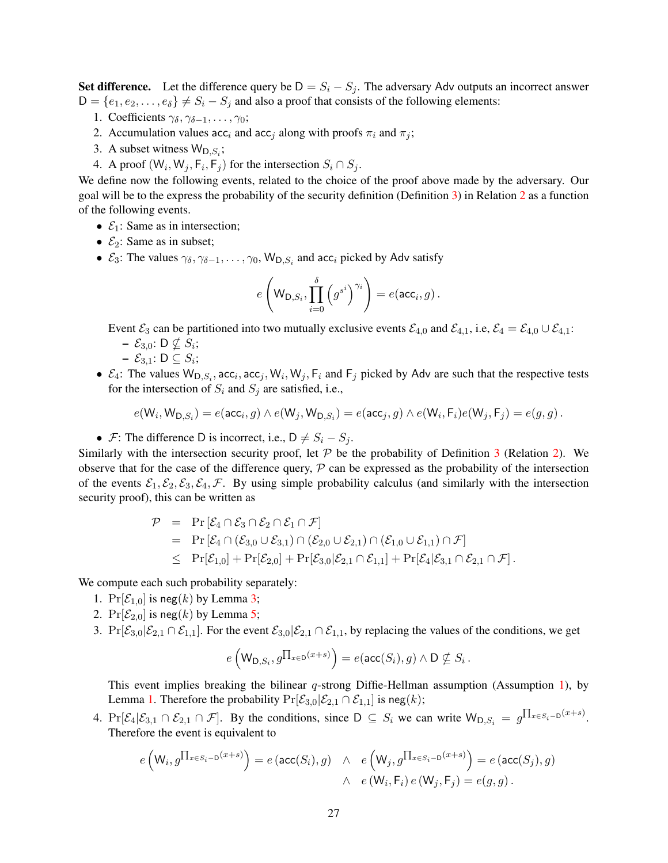**Set difference.** Let the difference query be  $D = S_i - S_j$ . The adversary Adv outputs an incorrect answer  $D = \{e_1, e_2, \ldots, e_\delta\} \neq S_i - S_j$  and also a proof that consists of the following elements:

- 1. Coefficients  $\gamma_{\delta}, \gamma_{\delta-1}, \ldots, \gamma_0;$
- 2. Accumulation values acc<sub>i</sub> and acc<sub>j</sub> along with proofs  $\pi_i$  and  $\pi_j$ ;
- 3. A subset witness  $W_{D,S_i}$ ;
- 4. A proof  $(W_i, W_j, F_i, F_j)$  for the intersection  $S_i \cap S_j$ .

We define now the following events, related to the choice of the proof above made by the adversary. Our goal will be to the express the probability of the security definition (Definition [3\)](#page-4-2) in Relation [2](#page-4-4) as a function of the following events.

- $\mathcal{E}_1$ : Same as in intersection;
- $\mathcal{E}_2$ : Same as in subset;
- $\mathcal{E}_3$ : The values  $\gamma_{\delta}, \gamma_{\delta-1}, \ldots, \gamma_0, W_{D,S_i}$  and acc<sub>i</sub> picked by Adv satisfy

$$
e\left(\mathsf{W}_{\mathsf{D},S_i},\prod_{i=0}^{\delta}\left(g^{s^i}\right)^{\gamma_i}\right)=e(\mathsf{acc}_i,g).
$$

Event  $\mathcal{E}_3$  can be partitioned into two mutually exclusive events  $\mathcal{E}_{4,0}$  and  $\mathcal{E}_{4,1}$ , i.e,  $\mathcal{E}_4 = \mathcal{E}_{4,0} \cup \mathcal{E}_{4,1}$ .

- $\mathcal{E}_{3,0}$ : D $\nsubseteq S_i$ ;
- $\mathcal{E}_{3,1}$ : D $\subseteq S_i$ ;
- $\mathcal{E}_4$ : The values  $W_{D,S_i}$ , acc<sub>i</sub>, acc<sub>j</sub>,  $W_i$ ,  $W_j$ ,  $F_i$  and  $F_j$  picked by Adv are such that the respective tests for the intersection of  $S_i$  and  $S_j$  are satisfied, i.e.,

$$
e(\mathsf{W}_i,\mathsf{W}_{\mathsf{D},S_i})=e(\mathsf{acc}_i,g)\wedge e(\mathsf{W}_j,\mathsf{W}_{\mathsf{D},S_i})=e(\mathsf{acc}_j,g)\wedge e(\mathsf{W}_i,\mathsf{F}_i)e(\mathsf{W}_j,\mathsf{F}_j)=e(g,g)\,.
$$

• F: The difference D is incorrect, i.e.,  $D \neq S_i - S_j$ .

Similarly with the intersection security proof, let  $P$  be the probability of Definition [3](#page-4-2) (Relation [2\)](#page-4-4). We observe that for the case of the difference query,  $P$  can be expressed as the probability of the intersection of the events  $\mathcal{E}_1, \mathcal{E}_2, \mathcal{E}_3, \mathcal{E}_4, \mathcal{F}$ . By using simple probability calculus (and similarly with the intersection security proof), this can be written as

$$
\begin{array}{rcl}\n\mathcal{P} & = & \Pr\left[\mathcal{E}_4 \cap \mathcal{E}_3 \cap \mathcal{E}_2 \cap \mathcal{E}_1 \cap \mathcal{F}\right] \\
& = & \Pr\left[\mathcal{E}_4 \cap (\mathcal{E}_{3,0} \cup \mathcal{E}_{3,1}) \cap (\mathcal{E}_{2,0} \cup \mathcal{E}_{2,1}) \cap (\mathcal{E}_{1,0} \cup \mathcal{E}_{1,1}) \cap \mathcal{F}\right] \\
& \leq & \Pr[\mathcal{E}_{1,0}] + \Pr[\mathcal{E}_{2,0}] + \Pr[\mathcal{E}_{3,0} | \mathcal{E}_{2,1} \cap \mathcal{E}_{1,1}] + \Pr[\mathcal{E}_4 | \mathcal{E}_{3,1} \cap \mathcal{E}_{2,1} \cap \mathcal{F}].\n\end{array}
$$

We compute each such probability separately:

- 1.  $Pr[\mathcal{E}_{1,0}]$  is neg(k) by Lemma [3;](#page-7-3)
- 2.  $Pr[\mathcal{E}_{2,0}]$  is neg(k) by Lemma [5;](#page-7-1)
- 3. Pr $[\mathcal{E}_{3,0}|\mathcal{E}_{2,1} \cap \mathcal{E}_{1,1}]$ . For the event  $\mathcal{E}_{3,0}|\mathcal{E}_{2,1} \cap \mathcal{E}_{1,1}$ , by replacing the values of the conditions, we get

$$
e\left(\mathsf{W}_{\mathsf{D},S_i}, g^{\prod_{x \in \mathsf{D}} (x+s)}\right) = e(\mathsf{acc}(S_i), g) \land \mathsf{D} \nsubseteq S_i.
$$

This event implies breaking the bilinear  $q$ -strong Diffie-Hellman assumption (Assumption [1\)](#page-3-4), by Lemma [1.](#page-4-3) Therefore the probability  $Pr[\mathcal{E}_{3,0}|\mathcal{E}_{2,1} \cap \mathcal{E}_{1,1}]$  is neg(k);

4.  $Pr[\mathcal{E}_4 | \mathcal{E}_{3,1} \cap \mathcal{E}_{2,1} \cap \mathcal{F}]$ . By the conditions, since  $D \subseteq S_i$  we can write  $W_{D,S_i} = g^{\prod_{x \in S_i - D}(x+s)}$ . Therefore the event is equivalent to

$$
e\left(\mathsf{W}_{i}, g^{\prod_{x \in S_{i}-\mathsf{D}}(x+s)}\right) = e\left(\mathsf{acc}(S_{i}), g\right) \quad \wedge \quad e\left(\mathsf{W}_{j}, g^{\prod_{x \in S_{i}-\mathsf{D}}(x+s)}\right) = e\left(\mathsf{acc}(S_{j}), g\right) \quad \wedge \quad e\left(\mathsf{W}_{i}, \mathsf{F}_{i}\right) = e(g, g) .
$$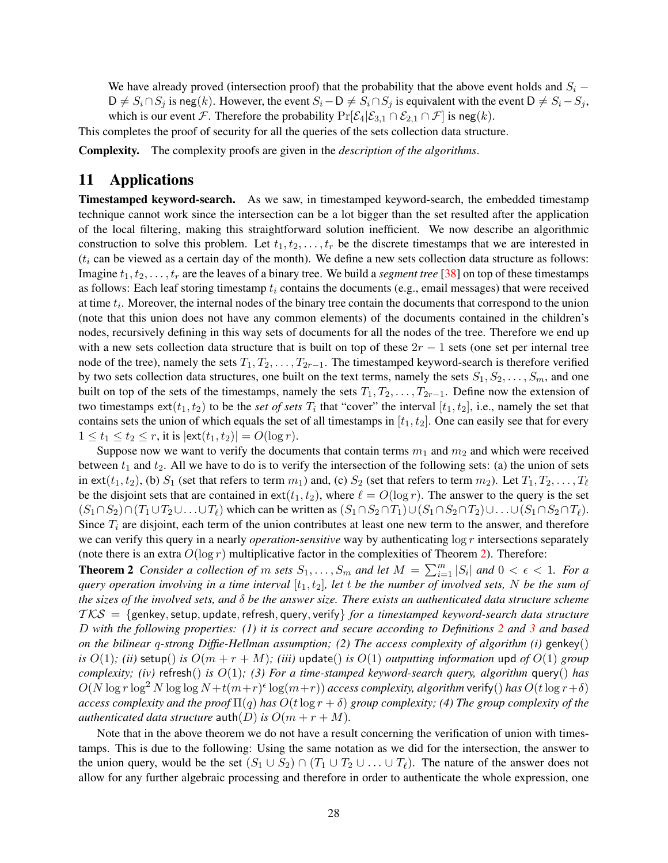We have already proved (intersection proof) that the probability that the above event holds and  $S_i$  –  $D \neq S_i \cap S_j$  is neg(k). However, the event  $S_i - D \neq S_i \cap S_j$  is equivalent with the event  $D \neq S_i - S_j$ , which is our event F. Therefore the probability  $Pr[\mathcal{E}_4 | \mathcal{E}_{3,1} \cap \mathcal{E}_{2,1} \cap \mathcal{F}]$  is neg(k).

This completes the proof of security for all the queries of the sets collection data structure.

Complexity. The complexity proofs are given in the *description of the algorithms*.

# <span id="page-27-0"></span>11 Applications

Timestamped keyword-search. As we saw, in timestamped keyword-search, the embedded timestamp technique cannot work since the intersection can be a lot bigger than the set resulted after the application of the local filtering, making this straightforward solution inefficient. We now describe an algorithmic construction to solve this problem. Let  $t_1, t_2, \ldots, t_r$  be the discrete timestamps that we are interested in  $(t<sub>i</sub>$  can be viewed as a certain day of the month). We define a new sets collection data structure as follows: Imagine  $t_1, t_2, \ldots, t_r$  are the leaves of a binary tree. We build a *segment tree* [\[38\]](#page-15-5) on top of these timestamps as follows: Each leaf storing timestamp  $t_i$  contains the documents (e.g., email messages) that were received at time  $t_i$ . Moreover, the internal nodes of the binary tree contain the documents that correspond to the union (note that this union does not have any common elements) of the documents contained in the children's nodes, recursively defining in this way sets of documents for all the nodes of the tree. Therefore we end up with a new sets collection data structure that is built on top of these  $2r - 1$  sets (one set per internal tree node of the tree), namely the sets  $T_1, T_2, \ldots, T_{2r-1}$ . The timestamped keyword-search is therefore verified by two sets collection data structures, one built on the text terms, namely the sets  $S_1, S_2, \ldots, S_m$ , and one built on top of the sets of the timestamps, namely the sets  $T_1, T_2, \ldots, T_{2r-1}$ . Define now the extension of two timestamps  $ext(t_1, t_2)$  to be the *set of sets*  $T_i$  that "cover" the interval  $[t_1, t_2]$ , i.e., namely the set that contains sets the union of which equals the set of all timestamps in  $[t_1, t_2]$ . One can easily see that for every  $1 \le t_1 \le t_2 \le r$ , it is  $|\text{ext}(t_1, t_2)| = O(\log r)$ .

Suppose now we want to verify the documents that contain terms  $m_1$  and  $m_2$  and which were received between  $t_1$  and  $t_2$ . All we have to do is to verify the intersection of the following sets: (a) the union of sets in ext(t<sub>1</sub>, t<sub>2</sub>), (b) S<sub>1</sub> (set that refers to term  $m_1$ ) and, (c) S<sub>2</sub> (set that refers to term  $m_2$ ). Let  $T_1, T_2, \ldots, T_\ell$ be the disjoint sets that are contained in  $ext(t_1, t_2)$ , where  $\ell = O(\log r)$ . The answer to the query is the set  $(S_1 \cap S_2) \cap (T_1 \cup T_2 \cup \ldots \cup T_\ell)$  which can be written as  $(S_1 \cap S_2 \cap T_1) \cup (S_1 \cap S_2 \cap T_2) \cup \ldots \cup (S_1 \cap S_2 \cap T_\ell)$ . Since  $T_i$  are disjoint, each term of the union contributes at least one new term to the answer, and therefore we can verify this query in a nearly *operation-sensitive* way by authenticating  $\log r$  intersections separately (note there is an extra  $O(\log r)$  multiplicative factor in the complexities of Theorem [2\)](#page-27-1). Therefore:

<span id="page-27-1"></span>**Theorem 2** Consider a collection of m sets  $S_1, \ldots, S_m$  and let  $M = \sum_{i=1}^m |S_i|$  and  $0 < \epsilon < 1$ . For a *query operation involving in a time interval*  $[t_1, t_2]$ , let t be the number of involved sets, N be the sum of *the sizes of the involved sets, and* δ *be the answer size. There exists an authenticated data structure scheme*  $TKS = \{$ genkey, setup, update, refresh, query, verify  $\}$  *for a timestamped keyword-search data structure* D *with the following properties: (1) it is correct and secure according to Definitions [2](#page-4-1) and [3](#page-4-2) and based on the bilinear* q*-strong Diffie-Hellman assumption; (2) The access complexity of algorithm (i)* genkey() is  $O(1)$ ; (ii) setup() is  $O(m + r + M)$ ; (iii) update() is  $O(1)$  *outputting information* upd *of*  $O(1)$  *group complexity; (iv)* refresh() *is* O(1)*; (3) For a time-stamped keyword-search query, algorithm* query() *has*  $O(N \log r \log^2 N \log \log N + t(m+r)^{\epsilon} \log (m+r))$  *access complexity, algorithm* verify() has  $O(t \log r + \delta)$ *access complexity and the proof*  $\Pi(q)$  *has*  $O(t \log r + \delta)$  *group complexity; (4) The group complexity of the authenticated data structure*  $\text{auth}(D)$  *is*  $O(m + r + M)$ *.* 

Note that in the above theorem we do not have a result concerning the verification of union with timestamps. This is due to the following: Using the same notation as we did for the intersection, the answer to the union query, would be the set  $(S_1 \cup S_2) \cap (T_1 \cup T_2 \cup \ldots \cup T_\ell)$ . The nature of the answer does not allow for any further algebraic processing and therefore in order to authenticate the whole expression, one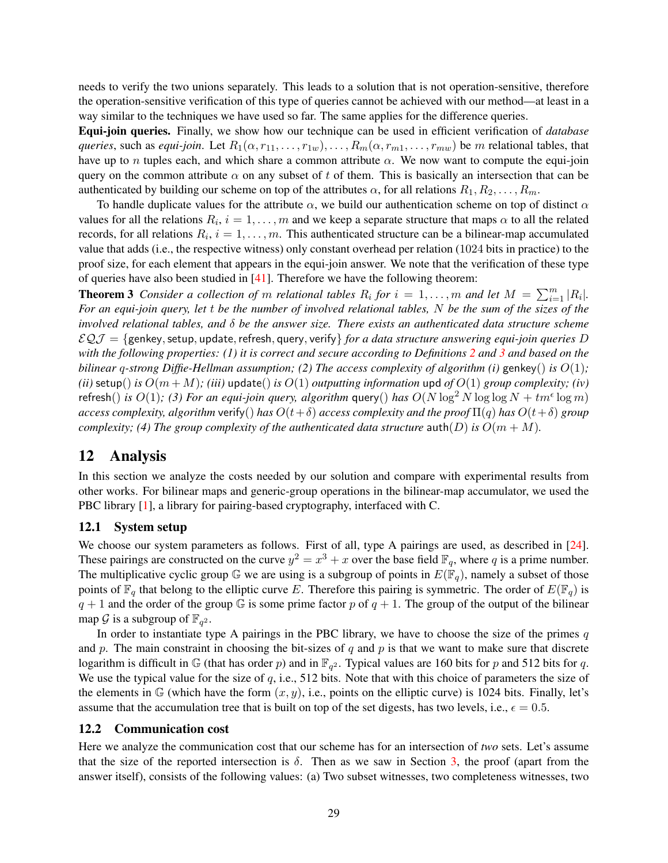needs to verify the two unions separately. This leads to a solution that is not operation-sensitive, therefore the operation-sensitive verification of this type of queries cannot be achieved with our method—at least in a way similar to the techniques we have used so far. The same applies for the difference queries.

Equi-join queries. Finally, we show how our technique can be used in efficient verification of *database queries*, such as *equi-join*. Let  $R_1(\alpha, r_1, \ldots, r_{1w}), \ldots, R_m(\alpha, r_{m1}, \ldots, r_{mw})$  be m relational tables, that have up to n tuples each, and which share a common attribute  $\alpha$ . We now want to compute the equi-join query on the common attribute  $\alpha$  on any subset of t of them. This is basically an intersection that can be authenticated by building our scheme on top of the attributes  $\alpha$ , for all relations  $R_1, R_2, \ldots, R_m$ .

To handle duplicate values for the attribute  $\alpha$ , we build our authentication scheme on top of distinct  $\alpha$ values for all the relations  $R_i$ ,  $i = 1, ..., m$  and we keep a separate structure that maps  $\alpha$  to all the related records, for all relations  $R_i$ ,  $i = 1, \ldots, m$ . This authenticated structure can be a bilinear-map accumulated value that adds (i.e., the respective witness) only constant overhead per relation (1024 bits in practice) to the proof size, for each element that appears in the equi-join answer. We note that the verification of these type of queries have also been studied in  $[41]$ . Therefore we have the following theorem:

<span id="page-28-1"></span>**Theorem 3** Consider a collection of m relational tables  $R_i$  for  $i = 1, ..., m$  and let  $M = \sum_{i=1}^{m} |R_i|$ . *For an equi-join query, let* t *be the number of involved relational tables,* N *be the sum of the sizes of the involved relational tables, and* δ *be the answer size. There exists an authenticated data structure scheme*  $\mathcal{EQJ} = \{\text{genkey}, \text{setup}, \text{update}, \text{refresh}, \text{query}, \text{verify}\}\$  *for a data structure answering equi-join queries* D *with the following properties: (1) it is correct and secure according to Definitions [2](#page-4-1) and [3](#page-4-2) and based on the bilinear* q*-strong Diffie-Hellman assumption; (2) The access complexity of algorithm (i)* genkey() *is* O(1)*; (ii)* setup() *is*  $O(m + M)$ *; (iii)* update() *is*  $O(1)$  *outputting information* upd *of*  $O(1)$  *group complexity; (iv)* refresh() *is*  $O(1)$ ; (3) For an equi-join query, algorithm query() has  $O(N \log^2 N \log \log N + t m^{\epsilon} \log m)$ *access complexity, algorithm* verify() *has*  $O(t+\delta)$  *access complexity and the proof*  $\Pi(q)$  *has*  $O(t+\delta)$  *group complexity; (4) The group complexity of the authenticated data structure* auth(D) is  $O(m + M)$ .

# <span id="page-28-0"></span>12 Analysis

In this section we analyze the costs needed by our solution and compare with experimental results from other works. For bilinear maps and generic-group operations in the bilinear-map accumulator, we used the PBC library [\[1\]](#page-13-16), a library for pairing-based cryptography, interfaced with C.

### 12.1 System setup

We choose our system parameters as follows. First of all, type A pairings are used, as described in [\[24\]](#page-14-16). These pairings are constructed on the curve  $y^2 = x^3 + x$  over the base field  $\mathbb{F}_q$ , where q is a prime number. The multiplicative cyclic group G we are using is a subgroup of points in  $E(\mathbb{F}_q)$ , namely a subset of those points of  $\mathbb{F}_q$  that belong to the elliptic curve E. Therefore this pairing is symmetric. The order of  $E(\mathbb{F}_q)$  is  $q + 1$  and the order of the group G is some prime factor p of  $q + 1$ . The group of the output of the bilinear map G is a subgroup of  $\mathbb{F}_{q^2}$ .

In order to instantiate type A pairings in the PBC library, we have to choose the size of the primes  $q$ and  $p$ . The main constraint in choosing the bit-sizes of  $q$  and  $p$  is that we want to make sure that discrete logarithm is difficult in  $\mathbb G$  (that has order p) and in  $\mathbb F_{q^2}$ . Typical values are 160 bits for p and 512 bits for q. We use the typical value for the size of  $q$ , i.e., 512 bits. Note that with this choice of parameters the size of the elements in  $\mathbb G$  (which have the form  $(x, y)$ , i.e., points on the elliptic curve) is 1024 bits. Finally, let's assume that the accumulation tree that is built on top of the set digests, has two levels, i.e.,  $\epsilon = 0.5$ .

#### 12.2 Communication cost

Here we analyze the communication cost that our scheme has for an intersection of *two* sets. Let's assume that the size of the reported intersection is  $\delta$ . Then as we saw in Section [3,](#page-5-3) the proof (apart from the answer itself), consists of the following values: (a) Two subset witnesses, two completeness witnesses, two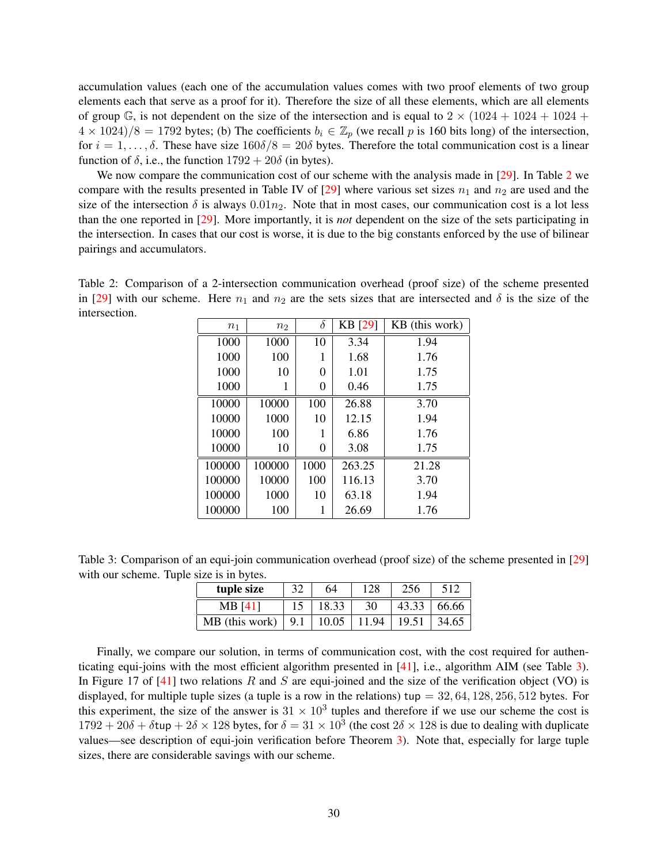accumulation values (each one of the accumulation values comes with two proof elements of two group elements each that serve as a proof for it). Therefore the size of all these elements, which are all elements of group  $\mathbb{G}$ , is not dependent on the size of the intersection and is equal to  $2 \times (1024 + 1024 + 1024 + 1024)$  $4 \times 1024)/8 = 1792$  bytes; (b) The coefficients  $b_i \in \mathbb{Z}_p$  (we recall p is 160 bits long) of the intersection, for  $i = 1, \ldots, \delta$ . These have size  $160\delta/8 = 20\delta$  bytes. Therefore the total communication cost is a linear function of  $\delta$ , i.e., the function  $1792 + 20\delta$  (in bytes).

We now compare the communication cost of our scheme with the analysis made in [\[29\]](#page-14-3). In Table [2](#page-29-0) we compare with the results presented in Table IV of  $[29]$  where various set sizes  $n_1$  and  $n_2$  are used and the size of the intersection  $\delta$  is always  $0.01n<sub>2</sub>$ . Note that in most cases, our communication cost is a lot less than the one reported in [\[29\]](#page-14-3). More importantly, it is *not* dependent on the size of the sets participating in the intersection. In cases that our cost is worse, it is due to the big constants enforced by the use of bilinear pairings and accumulators.

<span id="page-29-0"></span>Table 2: Comparison of a 2-intersection communication overhead (proof size) of the scheme presented in [\[29\]](#page-14-3) with our scheme. Here  $n_1$  and  $n_2$  are the sets sizes that are intersected and  $\delta$  is the size of the intersection.

| n <sub>1</sub> | n <sub>2</sub> | $\delta$ | KB [29] | KB (this work) |
|----------------|----------------|----------|---------|----------------|
| 1000           | 1000           | 10       | 3.34    | 1.94           |
| 1000           | 100            | 1        | 1.68    | 1.76           |
| 1000           | 10             | 0        | 1.01    | 1.75           |
| 1000           | 1              | 0        | 0.46    | 1.75           |
| 10000          | 10000          | 100      | 26.88   | 3.70           |
| 10000          | 1000           | 10       | 12.15   | 1.94           |
| 10000          | 100            | 1        | 6.86    | 1.76           |
| 10000          | 10             | 0        | 3.08    | 1.75           |
| 100000         | 100000         | 1000     | 263.25  | 21.28          |
| 100000         | 10000          | 100      | 116.13  | 3.70           |
| 100000         | 1000           | 10       | 63.18   | 1.94           |
| 100000         | 100            |          | 26.69   | 1.76           |

<span id="page-29-1"></span>Table 3: Comparison of an equi-join communication overhead (proof size) of the scheme presented in [\[29\]](#page-14-3) with our scheme. Tuple size is in bytes.

| tuple size     | 32                | 64    | 128   | 256   |       |
|----------------|-------------------|-------|-------|-------|-------|
| MB [41]        |                   | 18.33 | 30    | 43.33 | 66.66 |
| MB (this work) | $\vert 9.1 \vert$ | 10.05 | 11.94 | 19.51 | 34.65 |

Finally, we compare our solution, in terms of communication cost, with the cost required for authenticating equi-joins with the most efficient algorithm presented in [\[41\]](#page-15-3), i.e., algorithm AIM (see Table [3\)](#page-29-1). In Figure 17 of  $[41]$  two relations R and S are equi-joined and the size of the verification object (VO) is displayed, for multiple tuple sizes (a tuple is a row in the relations) tup  $= 32, 64, 128, 256, 512$  bytes. For this experiment, the size of the answer is  $31 \times 10^3$  tuples and therefore if we use our scheme the cost is  $1792 + 20\delta + \delta$ tup +  $2\delta \times 128$  bytes, for  $\delta = 31 \times 10^3$  (the cost  $2\delta \times 128$  is due to dealing with duplicate values—see description of equi-join verification before Theorem [3\)](#page-28-1). Note that, especially for large tuple sizes, there are considerable savings with our scheme.